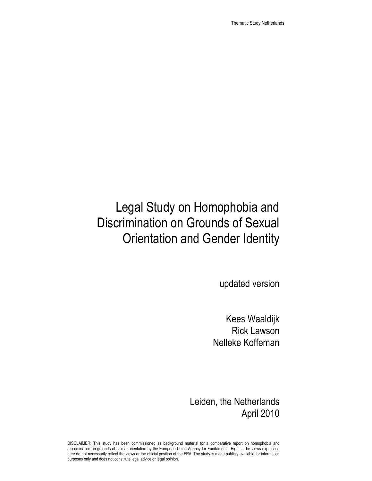Thematic Study Netherlands

# Legal Study on Homophobia and Discrimination on Grounds of Sexual Orientation and Gender Identity

updated version

Kees Waaldijk Rick Lawson Nelleke Koffeman

Leiden, the Netherlands April 2010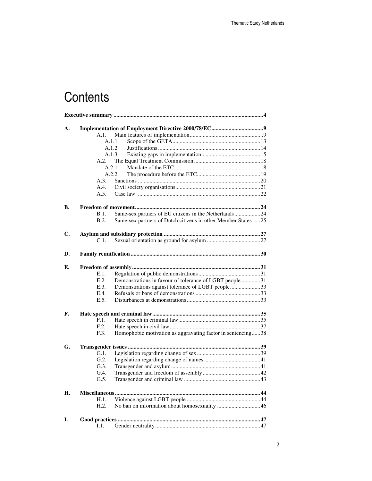# **Contents**

| A. |               |                                                               |  |  |  |
|----|---------------|---------------------------------------------------------------|--|--|--|
|    | A.1.          |                                                               |  |  |  |
|    | A.1.1.        |                                                               |  |  |  |
|    | A.1.2.        |                                                               |  |  |  |
|    | A.1.3.        |                                                               |  |  |  |
|    | A.2.          |                                                               |  |  |  |
|    | A.2.1.        |                                                               |  |  |  |
|    | A.2.2.        |                                                               |  |  |  |
|    | A.3.          |                                                               |  |  |  |
|    | A.4.          |                                                               |  |  |  |
|    | A.5.          |                                                               |  |  |  |
|    |               |                                                               |  |  |  |
| В. |               |                                                               |  |  |  |
|    | B.1.          | Same-sex partners of EU citizens in the Netherlands24         |  |  |  |
|    | B.2.          | Same-sex partners of Dutch citizens in other Member States 25 |  |  |  |
| C. |               |                                                               |  |  |  |
|    |               |                                                               |  |  |  |
|    | C.1.          |                                                               |  |  |  |
| D. |               |                                                               |  |  |  |
|    |               |                                                               |  |  |  |
| Е. |               |                                                               |  |  |  |
|    | E.1.          |                                                               |  |  |  |
|    | E.2.          | Demonstrations in favour of tolerance of LGBT people 31       |  |  |  |
|    | E.3.          | Demonstrations against tolerance of LGBT people33             |  |  |  |
|    | E.4.          |                                                               |  |  |  |
|    | E.5.          |                                                               |  |  |  |
| F. |               |                                                               |  |  |  |
|    | F.1.          |                                                               |  |  |  |
|    | F.2.          |                                                               |  |  |  |
|    | F.3.          | Homophobic motivation as aggravating factor in sentencing38   |  |  |  |
|    |               |                                                               |  |  |  |
| G. |               |                                                               |  |  |  |
|    | G.1.          |                                                               |  |  |  |
|    | G.2.          |                                                               |  |  |  |
|    | G.3           |                                                               |  |  |  |
|    | G.4.          |                                                               |  |  |  |
|    | G.5.          |                                                               |  |  |  |
| Н. | Miscellaneous |                                                               |  |  |  |
|    | H.1.          |                                                               |  |  |  |
|    | H.2.          |                                                               |  |  |  |
|    |               |                                                               |  |  |  |
| I. |               |                                                               |  |  |  |
|    | I.1.          |                                                               |  |  |  |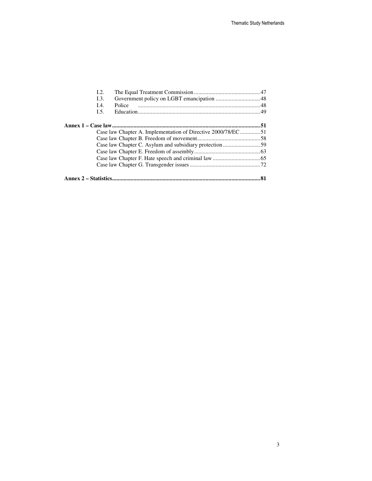|                                                              | I.2. |        |    |
|--------------------------------------------------------------|------|--------|----|
|                                                              | I.3. |        |    |
|                                                              | I.4. | Police |    |
|                                                              | I.5. |        |    |
|                                                              |      |        |    |
| Case law Chapter A. Implementation of Directive 2000/78/EC51 |      |        |    |
|                                                              |      |        |    |
|                                                              |      |        |    |
|                                                              |      |        |    |
|                                                              |      |        |    |
|                                                              |      |        |    |
|                                                              |      |        | 81 |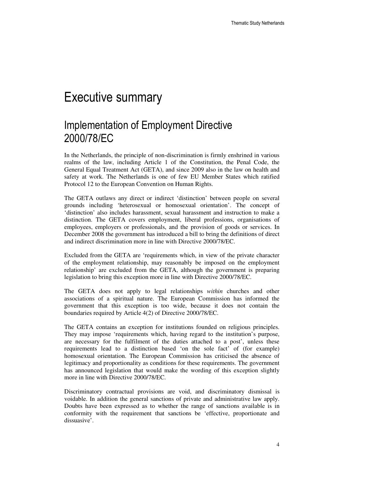# Executive summary

### Implementation of Employment Directive 2000/78/EC

In the Netherlands, the principle of non-discrimination is firmly enshrined in various realms of the law, including Article 1 of the Constitution, the Penal Code, the General Equal Treatment Act (GETA), and since 2009 also in the law on health and safety at work. The Netherlands is one of few EU Member States which ratified Protocol 12 to the European Convention on Human Rights.

The GETA outlaws any direct or indirect 'distinction' between people on several grounds including 'heterosexual or homosexual orientation'. The concept of 'distinction' also includes harassment, sexual harassment and instruction to make a distinction. The GETA covers employment, liberal professions, organisations of employees, employers or professionals, and the provision of goods or services. In December 2008 the government has introduced a bill to bring the definitions of direct and indirect discrimination more in line with Directive 2000/78/EC.

Excluded from the GETA are 'requirements which, in view of the private character of the employment relationship, may reasonably be imposed on the employment relationship' are excluded from the GETA, although the government is preparing legislation to bring this exception more in line with Directive 2000/78/EC.

The GETA does not apply to legal relationships *within* churches and other associations of a spiritual nature. The European Commission has informed the government that this exception is too wide, because it does not contain the boundaries required by Article 4(2) of Directive 2000/78/EC.

The GETA contains an exception for institutions founded on religious principles. They may impose 'requirements which, having regard to the institution's purpose, are necessary for the fulfilment of the duties attached to a post', unless these requirements lead to a distinction based 'on the sole fact' of (for example) homosexual orientation. The European Commission has criticised the absence of legitimacy and proportionality as conditions for these requirements. The government has announced legislation that would make the wording of this exception slightly more in line with Directive 2000/78/EC.

Discriminatory contractual provisions are void, and discriminatory dismissal is voidable. In addition the general sanctions of private and administrative law apply. Doubts have been expressed as to whether the range of sanctions available is in conformity with the requirement that sanctions be 'effective, proportionate and dissuasive'.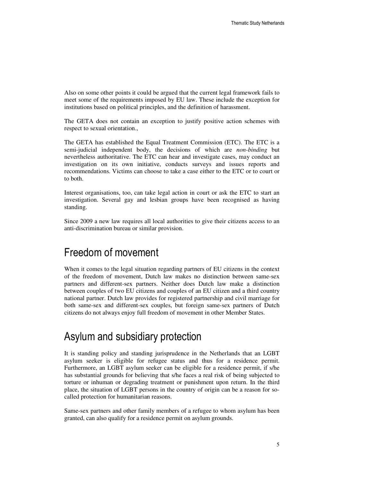Also on some other points it could be argued that the current legal framework fails to meet some of the requirements imposed by EU law. These include the exception for institutions based on political principles, and the definition of harassment.

The GETA does not contain an exception to justify positive action schemes with respect to sexual orientation.,

The GETA has established the Equal Treatment Commission (ETC). The ETC is a semi-judicial independent body, the decisions of which are *non-binding* but nevertheless authoritative. The ETC can hear and investigate cases, may conduct an investigation on its own initiative, conducts surveys and issues reports and recommendations. Victims can choose to take a case either to the ETC or to court or to both.

Interest organisations, too, can take legal action in court or ask the ETC to start an investigation. Several gay and lesbian groups have been recognised as having standing.

Since 2009 a new law requires all local authorities to give their citizens access to an anti-discrimination bureau or similar provision.

### Freedom of movement

When it comes to the legal situation regarding partners of EU citizens in the context of the freedom of movement, Dutch law makes no distinction between same-sex partners and different-sex partners. Neither does Dutch law make a distinction between couples of two EU citizens and couples of an EU citizen and a third country national partner. Dutch law provides for registered partnership and civil marriage for both same-sex and different-sex couples, but foreign same-sex partners of Dutch citizens do not always enjoy full freedom of movement in other Member States.

#### Asylum and subsidiary protection

It is standing policy and standing jurisprudence in the Netherlands that an LGBT asylum seeker is eligible for refugee status and thus for a residence permit. Furthermore, an LGBT asylum seeker can be eligible for a residence permit, if s/he has substantial grounds for believing that s/he faces a real risk of being subjected to torture or inhuman or degrading treatment or punishment upon return. In the third place, the situation of LGBT persons in the country of origin can be a reason for socalled protection for humanitarian reasons.

Same-sex partners and other family members of a refugee to whom asylum has been granted, can also qualify for a residence permit on asylum grounds.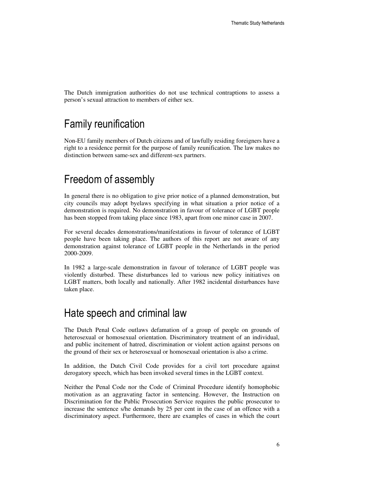The Dutch immigration authorities do not use technical contraptions to assess a person's sexual attraction to members of either sex.

### Family reunification

Non-EU family members of Dutch citizens and of lawfully residing foreigners have a right to a residence permit for the purpose of family reunification. The law makes no distinction between same-sex and different-sex partners.

### Freedom of assembly

In general there is no obligation to give prior notice of a planned demonstration, but city councils may adopt byelaws specifying in what situation a prior notice of a demonstration is required. No demonstration in favour of tolerance of LGBT people has been stopped from taking place since 1983, apart from one minor case in 2007.

For several decades demonstrations/manifestations in favour of tolerance of LGBT people have been taking place. The authors of this report are not aware of any demonstration against tolerance of LGBT people in the Netherlands in the period 2000-2009.

In 1982 a large-scale demonstration in favour of tolerance of LGBT people was violently disturbed. These disturbances led to various new policy initiatives on LGBT matters, both locally and nationally. After 1982 incidental disturbances have taken place.

#### Hate speech and criminal law

The Dutch Penal Code outlaws defamation of a group of people on grounds of heterosexual or homosexual orientation. Discriminatory treatment of an individual, and public incitement of hatred, discrimination or violent action against persons on the ground of their sex or heterosexual or homosexual orientation is also a crime.

In addition, the Dutch Civil Code provides for a civil tort procedure against derogatory speech, which has been invoked several times in the LGBT context.

Neither the Penal Code nor the Code of Criminal Procedure identify homophobic motivation as an aggravating factor in sentencing. However, the Instruction on Discrimination for the Public Prosecution Service requires the public prosecutor to increase the sentence s/he demands by 25 per cent in the case of an offence with a discriminatory aspect. Furthermore, there are examples of cases in which the court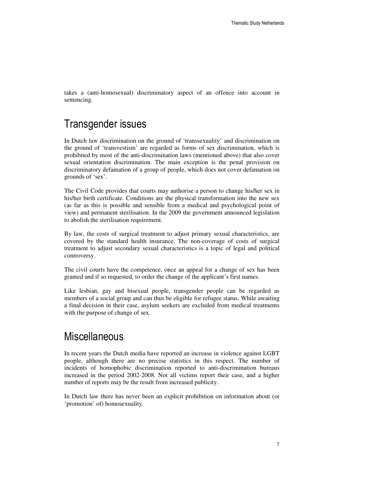takes a (anti-homosexual) discriminatory aspect of an offence into account in sentencing.

#### Transgender issues

In Dutch law discrimination on the ground of 'transsexuality' and discrimination on the ground of 'transvestism' are regarded as forms of sex discrimination, which is prohibited by most of the anti-discrimination laws (mentioned above) that also cover sexual orientation discrimination. The main exception is the penal provision on discriminatory defamation of a group of people, which does not cover defamation on grounds of 'sex'.

The Civil Code provides that courts may authorise a person to change his/her sex in his/her birth certificate. Conditions are the physical transformation into the new sex (as far as this is possible and sensible from a medical and psychological point of view) and permanent sterilisation. In the 2009 the government announced legislation to abolish the sterilisation requirement.

By law, the costs of surgical treatment to adjust primary sexual characteristics, are covered by the standard health insurance. The non-coverage of costs of surgical treatment to adjust secondary sexual characteristics is a topic of legal and political controversy.

The civil courts have the competence, once an appeal for a change of sex has been granted and if so requested, to order the change of the applicant's first names.

Like lesbian, gay and bisexual people, transgender people can be regarded as members of a social group and can thus be eligible for refugee status. While awaiting a final decision in their case, asylum seekers are excluded from medical treatments with the purpose of change of sex.

#### **Miscellaneous**

In recent years the Dutch media have reported an increase in violence against LGBT people, although there are no precise statistics in this respect. The number of incidents of homophobic discrimination reported to anti-discrimination bureaus increased in the period 2002-2008. Not all victims report their case, and a higher number of reports may be the result from increased publicity.

In Dutch law there has never been an explicit prohibition on information about (or 'promotion' of) homosexuality.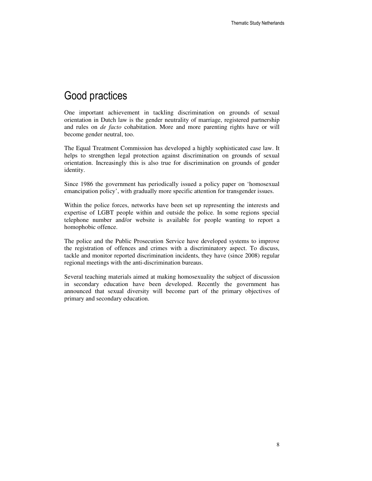### Good practices

One important achievement in tackling discrimination on grounds of sexual orientation in Dutch law is the gender neutrality of marriage, registered partnership and rules on *de facto* cohabitation. More and more parenting rights have or will become gender neutral, too.

The Equal Treatment Commission has developed a highly sophisticated case law. It helps to strengthen legal protection against discrimination on grounds of sexual orientation. Increasingly this is also true for discrimination on grounds of gender identity.

Since 1986 the government has periodically issued a policy paper on 'homosexual emancipation policy', with gradually more specific attention for transgender issues.

Within the police forces, networks have been set up representing the interests and expertise of LGBT people within and outside the police. In some regions special telephone number and/or website is available for people wanting to report a homophobic offence.

The police and the Public Prosecution Service have developed systems to improve the registration of offences and crimes with a discriminatory aspect. To discuss, tackle and monitor reported discrimination incidents, they have (since 2008) regular regional meetings with the anti-discrimination bureaus.

Several teaching materials aimed at making homosexuality the subject of discussion in secondary education have been developed. Recently the government has announced that sexual diversity will become part of the primary objectives of primary and secondary education.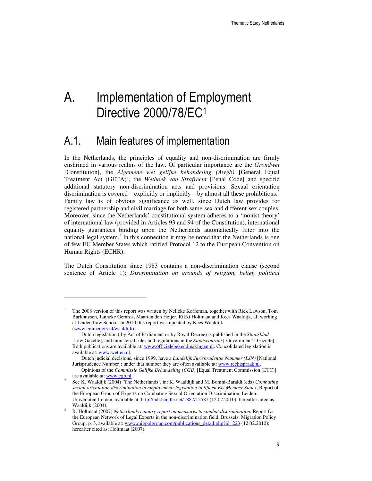# A. Implementation of Employment Directive 2000/78/EC<sup>1</sup>

### A.1. Main features of implementation

In the Netherlands, the principles of equality and non-discrimination are firmly enshrined in various realms of the law. Of particular importance are the *Grondwet* [Constitution], the *Algemene wet gelijke behandeling (Awgb)* [General Equal Treatment Act (GETA)], the *Wetboek van Strafrecht* [Penal Code] and specific additional statutory non-discrimination acts and provisions. Sexual orientation discrimination is covered – explicitly or implicitly – by almost all these prohibitions.<sup>2</sup> Family law is of obvious significance as well, since Dutch law provides for registered partnership and civil marriage for both same-sex and different-sex couples. Moreover, since the Netherlands' constitutional system adheres to a 'monist theory' of international law (provided in Articles 93 and 94 of the Constitution), international equality guarantees binding upon the Netherlands automatically filter into the national legal system.<sup>3</sup> In this connection it may be noted that the Netherlands is one of few EU Member States which ratified Protocol 12 to the European Convention on Human Rights (ECHR).

The Dutch Constitution since 1983 contains a non-discrimination clause (second sentence of Article 1): *Discrimination on grounds of religion, belief, political* 

<sup>1</sup> The 2008 version of this report was written by Nelleke Koffeman, together with Rick Lawson, Tom Barkhuysen, Janneke Gerards, Maarten den Heijer, Rikki Holtmaat and Kees Waaldijk, all working at Leiden Law School. In 2010 this report was updated by Kees Waaldijk (www.emmeijers.nl/waaldijk).

Dutch legislation ( by Act of Parliament or by Royal Decree) is published in the *Staatsblad* [Law Gazette], and ministerial rules and regulations in the *Staatscourant* [ Government's Gazette]. Both publications are available at: www.officielebekendmakingen.nl. Concolidated legislation is available at: www.wetten.nl.

Dutch judicial decisions, since 1999, have a *Landelijk Jurisprudentie Nummer (LJN)* [National Jurisprudence Number]; under that number they are often available at: www.rechtspraak.nl.

Opinions of the *Commissie Gelijke Behandeling (CGB)* [Equal Treatment Commission (ETC)] are available at: www.cgb.nl.

<sup>2</sup> See K. Waaldijk (2004) 'The Netherlands', in: K. Waaldijk and M. Bonini-Baraldi (eds) *Combating sexual orientation discrimination in employment: legislation in fifteen EU Member States*, Report of the European Group of Experts on Combating Sexual Orientation Discrimination, Leiden: Universiteit Leiden, available at: http://hdl.handle.net/1887/12587 (12.02.2010); hereafter cited as: Waaldijk (2004).

<sup>3</sup> R. Holtmaat (2007) *Netherlands country report on measures to combat discrimination*, Report for the European Network of Legal Experts in the non-discrimination field, Brussels: Migration Policy Group, p. 3, available at: www.migpolgroup.com/publications\_detail.php?id=223 (12.02.2010); hereafter cited as: Holtmaat (2007).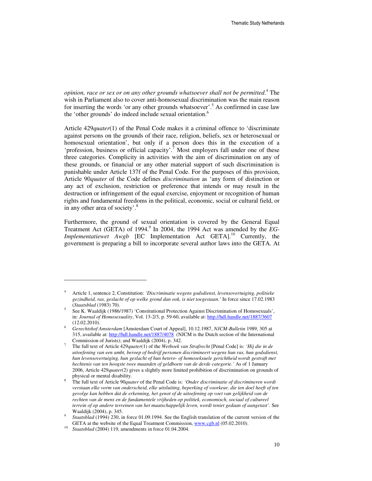*opinion, race or sex or on any other grounds whatsoever shall not be permitted*. 4 The wish in Parliament also to cover anti-homosexual discrimination was the main reason for inserting the words 'or any other grounds whatsoever'.<sup>5</sup> As confirmed in case law the 'other grounds' do indeed include sexual orientation.<sup>6</sup>

Article 429*quater*(1) of the Penal Code makes it a criminal offence to 'discriminate against persons on the grounds of their race, religion, beliefs, sex or heterosexual or homosexual orientation', but only if a person does this in the execution of a 'profession, business or official capacity'.<sup>7</sup> Most employers fall under one of these three categories. Complicity in activities with the aim of discrimination on any of these grounds, or financial or any other material support of such discrimination is punishable under Article 137f of the Penal Code. For the purposes of this provision, Article 90*quater* of the Code defines *discrimination* as 'any form of distinction or any act of exclusion, restriction or preference that intends or may result in the destruction or infringement of the equal exercise, enjoyment or recognition of human rights and fundamental freedoms in the political, economic, social or cultural field, or in any other area of society'.<sup>8</sup>

Furthermore, the ground of sexual orientation is covered by the General Equal Treatment Act (GETA) of 1994.<sup>9</sup> In 2004, the 1994 Act was amended by the *EG*-*Implementatiewet Awgb* [EC Implementation Act GETA].<sup>10</sup> Currently, the government is preparing a bill to incorporate several author laws into the GETA. At

<sup>4</sup> Article 1, sentence 2, Constitution: *'Discriminatie wegens godsdienst, levensovertuiging, politieke gezindheid, ras, geslacht of op welke grond dan ook, is niet toegestaan.'* In force since 17.02.1983 (*Staatsblad* (1983) 70).

<sup>5</sup> See K. Waaldijk (1986/1987) 'Constitutional Protection Against Discrimination of Homosexuals', in: *Journal of Homosexuality*, Vol. 13-2/3, p. 59-60, available at: http://hdl.handle.net/1887/3607 (12.02.2010).

<sup>6</sup> *Gerechtshof Amsterdam* [Amsterdam Court of Appeal], 10.12.1987, *NJCM-Bulletin* 1989, 305 at 315, available at: http://hdl.handle.net/1887/4078 (NJCM is the Dutch section of the International Commission of Jurists); and Waaldijk (2004), p. 342.

<sup>7</sup> The full text of Article 429*quater*(1) of the *Wetboek van Strafrecht* [Penal Code] is: *'Hij die in de uitoefening van een ambt, beroep of bedrijf personen discrimineert wegens hun ras, hun godsdienst, hun levensovertuiging, hun geslacht of hun hetero- of homoseksuele gerichtheid wordt gestraft met hechtenis van ten hoogste twee maanden of geldboete van de derde categorie.'* As of 1 January 2006, Article 429*quater*(2) gives a slightly more limited prohibition of discrimination on grounds of physical or mental disability.

<sup>8</sup> The full text of Article 90*quater* of the Penal Code is: *'Onder discriminatie of discrimineren wordt verstaan elke vorm van onderscheid, elke uitsluiting, beperking of voorkeur, die ten doel heeft of ten gevolge kan hebben dat de erkenning, het genot of de uitoefening op voet van gelijkheid van de rechten van de mens en de fundamentele vrijheden op politiek, economisch, sociaal of cultureel terrein of op andere terreinen van het maatschappelijk leven, wordt teniet gedaan of aangetast'.* See Waaldijk (2004), p. 345.

<sup>9</sup> *Staatsblad* (1994) 230, in force 01.09.1994. See the English translation of the current version of the GETA at the website of the Equal Treatment Commission, www.cgb.nl (05.02.2010).

<sup>10</sup> *Staatsblad* (2004) 119, amendments in force 01.04.2004.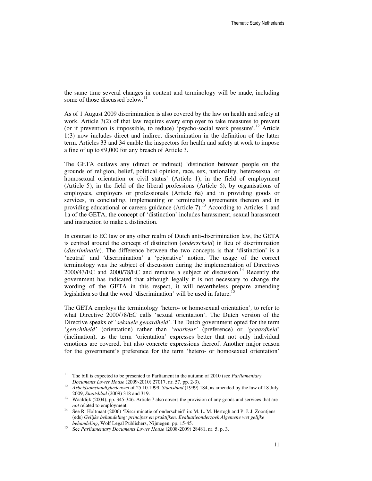the same time several changes in content and terminology will be made, including some of those discussed below. $11$ 

As of 1 August 2009 discrimination is also covered by the law on health and safety at work. Article 3(2) of that law requires every employer to take measures to prevent (or if prevention is impossible, to reduce) 'psycho-social work pressure'.<sup>12</sup> Article 1(3) now includes direct and indirect discrimination in the definition of the latter term. Articles 33 and 34 enable the inspectors for health and safety at work to impose a fine of up to  $\epsilon$ 9,000 for any breach of Article 3.

The GETA outlaws any (direct or indirect) 'distinction between people on the grounds of religion, belief, political opinion, race, sex, nationality, heterosexual or homosexual orientation or civil status' (Article 1), in the field of employment (Article 5), in the field of the liberal professions (Article 6), by organisations of employees, employers or professionals (Article 6a) and in providing goods or services, in concluding, implementing or terminating agreements thereon and in providing educational or careers guidance (Article 7).<sup>13</sup> According to Articles 1 and 1a of the GETA, the concept of 'distinction' includes harassment, sexual harassment and instruction to make a distinction.

In contrast to EC law or any other realm of Dutch anti-discrimination law, the GETA is centred around the concept of distinction (*onderscheid*) in lieu of discrimination (*discriminatie*). The difference between the two concepts is that 'distinction' is a 'neutral' and 'discrimination' a 'pejorative' notion. The usage of the correct terminology was the subject of discussion during the implementation of Directives  $2000/43/EC$  and  $2000/78/EC$  and remains a subject of discussion.<sup>14</sup> Recently the government has indicated that although legally it is not necessary to change the wording of the GETA in this respect, it will nevertheless prepare amending legislation so that the word 'discrimination' will be used in future.<sup>15</sup>

The GETA employs the terminology 'hetero- or homosexual orientation'*,* to refer to what Directive 2000/78/EC calls 'sexual orientation'. The Dutch version of the Directive speaks of '*seksuele geaardheid'*. The Dutch government opted for the term *'gerichtheid'* (orientation) rather than *'voorkeur'* (preference) or *'geaardheid'* (inclination), as the term 'orientation' expresses better that not only individual emotions are covered, but also concrete expressions thereof. Another major reason for the government's preference for the term 'hetero- or homosexual orientation'

<sup>11</sup> The bill is expected to be presented to Parliament in the autumn of 2010 (see *Parliamentary Documents Lower House* (2009-2010) 27017, nr. 57, pp. 2-3).

<sup>&</sup>lt;sup>12</sup> Arbeidsomstandighedenwet of 25.10.1999, *Staatsblad* (1999) 184, as amended by the law of 18 July 2009, *Staatsblad* (2009) 318 and 319.

<sup>&</sup>lt;sup>13</sup> Waaldijk (2004), pp. 345-346. Article 7 also covers the provision of any goods and services that are *not* related to employment.

<sup>&</sup>lt;sup>14</sup> See R. Holtmaat (2006) 'Discriminatie of onderscheid' in: M. L. M. Hertogh and P. J. J. Zoontjens (eds) *Gelijke behandeling: principes en praktijken. Evaluatieonderzoek Algemene wet gelijke behandeling*, Wolf Legal Publishers, Nijmegen, pp. 15-45.

<sup>15</sup> See *Parliamentary Documents Lower House* (2008-2009) 28481, nr. 5, p. 3.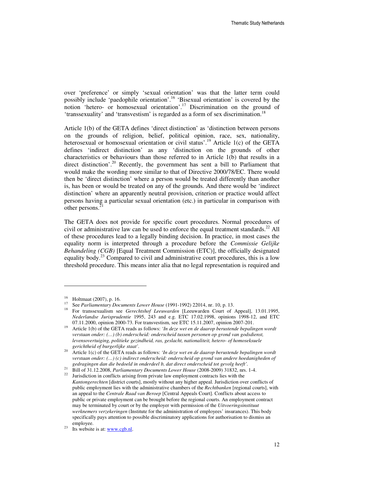over 'preference' or simply 'sexual orientation' was that the latter term could possibly include 'paedophile orientation'.<sup>16</sup> 'Bisexual orientation' is covered by the notion 'hetero- or homosexual orientation'.<sup>17</sup> Discrimination on the ground of 'transsexuality' and 'transvestism' is regarded as a form of sex discrimination.<sup>18</sup>

Article 1(b) of the GETA defines 'direct distinction' as 'distinction between persons on the grounds of religion, belief, political opinion, race, sex, nationality, heterosexual or homosexual orientation or civil status'.<sup>19</sup> Article 1(c) of the GETA defines 'indirect distinction' as any 'distinction on the grounds of other characteristics or behaviours than those referred to in Article 1(b) that results in a direct distinction'.<sup>20</sup> Recently, the government has sent a bill to Parliament that would make the wording more similar to that of Directive 2000/78/EC. There would then be 'direct distinction' where a person would be treated differently than another is, has been or would be treated on any of the grounds. And there would be 'indirect distinction' where an apparently neutral provision, criterion or practice would affect persons having a particular sexual orientation (etc.) in particular in comparison with other persons.<sup>21</sup>

The GETA does not provide for specific court procedures. Normal procedures of civil or administrative law can be used to enforce the equal treatment standards.<sup>22</sup> All of these procedures lead to a legally binding decision. In practice, in most cases the equality norm is interpreted through a procedure before the *Commissie Gelijke Behandeling (CGB)* [Equal Treatment Commission (ETC)], the officially designated equality body.<sup>23</sup> Compared to civil and administrative court procedures, this is a low threshold procedure. This means inter alia that no legal representation is required and

 $\overline{a}$ 

<sup>21</sup> Bill of 31.12.2008, *Parliamentary Documents Lower House* (2008-2009) 31832, nrs. 1-4.

<sup>&</sup>lt;sup>16</sup> Holtmaat (2007), p. 16.

<sup>17</sup> See *Parliamentary Documents Lower House* (1991-1992) 22014, nr. 10, p. 13.

<sup>&</sup>lt;sup>18</sup> For transsexualism see *Gerechtshof Leeuwarden* [Leeuwarden Court of Appeal], 13.01.1995, *Nederlandse Jurisprudentie* 1995, 243 and e.g. ETC 17.02.1998, opinions 1998-12, and ETC 07.11.2000, opinion 2000-73. For transvestism, see ETC 15.11.2007, opinion 2007-201.

<sup>19</sup> Article 1(b) of the GETA reads as follows: *'In deze wet en de daarop berustende bepalingen wordt verstaan onder: (…) (b) onderscheid: onderscheid tussen personen op grond van godsdienst, levensovertuiging, politieke gezindheid, ras, geslacht, nationaliteit, hetero- of homoseksuele gerichtheid of burgerlijke staat'.*

<sup>20</sup> Article 1(c) of the GETA reads as follows: *'In deze wet en de daarop berustende bepalingen wordt verstaan onder: (…) (c) indirect onderscheid: onderscheid op grond van andere hoedanigheden of gedragingen dan die bedoeld in onderdeel b, dat direct onderscheid tot gevolg heeft'.*

Jurisdiction in conflicts arising from private law employment contracts lies with the *Kantongerechten* [district courts], mostly without any higher appeal. Jurisdiction over conflicts of public employment lies with the administrative chambers of the *Rechtbanken* [regional courts], with an appeal to the *Centrale Raad van Beroep* [Central Appeals Court]. Conflicts about access to public or private employment can be brought before the regional courts. An employment contract may be terminated by court or by the employer with permission of the *Uitvoeringsinstituut werknemers verzekeringen* (Institute for the administration of employees' insurances). This body specifically pays attention to possible discriminatory applications for authorisation to dismiss an employee.

 $23$  Its website is at: www.cgb.nl.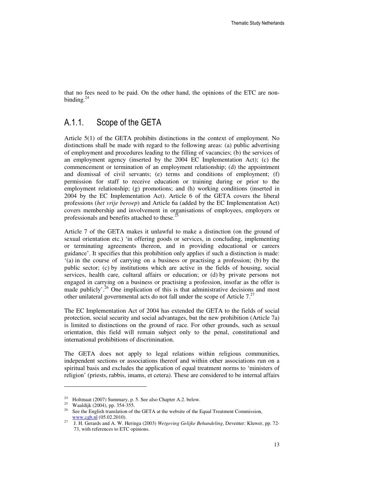that no fees need to be paid. On the other hand, the opinions of the ETC are nonbinding. $^{2}$ 

#### A.1.1. Scope of the GETA

Article 5(1) of the GETA prohibits distinctions in the context of employment. No distinctions shall be made with regard to the following areas: (a) public advertising of employment and procedures leading to the filling of vacancies; (b) the services of an employment agency (inserted by the 2004 EC Implementation Act); (c) the commencement or termination of an employment relationship; (d) the appointment and dismissal of civil servants; (e) terms and conditions of employment; (f) permission for staff to receive education or training during or prior to the employment relationship; (g) promotions; and (h) working conditions (inserted in 2004 by the EC Implementation Act). Article 6 of the GETA covers the liberal professions (*het vrije beroep*) and Article 6a (added by the EC Implementation Act) covers membership and involvement in organisations of employees, employers or professionals and benefits attached to these. $25$ 

Article 7 of the GETA makes it unlawful to make a distinction (on the ground of sexual orientation etc.) 'in offering goods or services, in concluding, implementing or terminating agreements thereon, and in providing educational or careers guidance'. It specifies that this prohibition only applies if such a distinction is made: '(a) in the course of carrying on a business or practising a profession; (b) by the public sector; (c) by institutions which are active in the fields of housing, social services, health care, cultural affairs or education; or (d) by private persons not engaged in carrying on a business or practising a profession, insofar as the offer is made publicly'.<sup>26</sup> One implication of this is that administrative decisions and most other unilateral governmental acts do not fall under the scope of Article  $7<sup>27</sup>$ 

The EC Implementation Act of 2004 has extended the GETA to the fields of social protection, social security and social advantages, but the new prohibition (Article 7a) is limited to distinctions on the ground of race. For other grounds, such as sexual orientation, this field will remain subject only to the penal, constitutional and international prohibitions of discrimination.

The GETA does not apply to legal relations within religious communities, independent sections or associations thereof and within other associations run on a spiritual basis and excludes the application of equal treatment norms to 'ministers of religion' (priests, rabbis, imams, et cetera). These are considered to be internal affairs

<sup>&</sup>lt;sup>24</sup> Holtmaat (2007) Summary, p. 5. See also Chapter A.2. below.<br><sup>25</sup> Wooldiik (2004) pp. 254, 255.

<sup>25</sup> Waaldijk (2004), pp. 354-355.

<sup>&</sup>lt;sup>26</sup> See the English translation of the GETA at the website of the Equal Treatment Commission, www.cgb.nl (05.02.2010).

<sup>27</sup> J. H. Gerards and A. W. Heringa (2003) *Wetgeving Gelijke Behandeling*, Deventer: Kluwer, pp. 72- 73, with references to ETC opinions.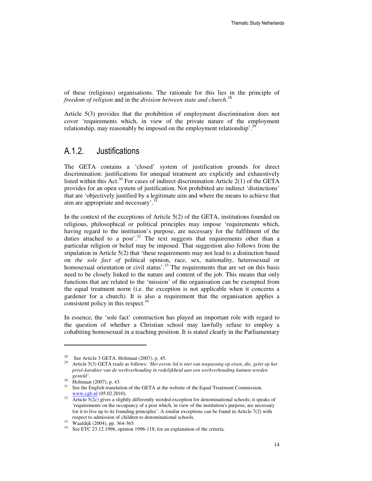of these (religious) organisations. The rationale for this lies in the principle of *freedom of religion* and in the *division between state and church*. 28

Article 5(3) provides that the prohibition of employment discrimination does not cover 'requirements which, in view of the private nature of the employment relationship, may reasonably be imposed on the employment relationship'.<sup>29</sup>

#### A.1.2. Justifications

The GETA contains a 'closed' system of justification grounds for direct discrimination: justifications for unequal treatment are explicitly and exhaustively listed within this Act.<sup>30</sup> For cases of indirect discrimination Article  $2(1)$  of the GETA provides for an open system of justification. Not prohibited are indirect 'distinctions' that are 'objectively justified by a legitimate aim and where the means to achieve that aim are appropriate and necessary'.<sup>3</sup>

In the context of the exceptions of Article 5(2) of the GETA, institutions founded on religious, philosophical or political principles may impose 'requirements which, having regard to the institution's purpose, are necessary for the fulfilment of the duties attached to a post'.<sup>32</sup> The text suggests that requirements other than a particular religion or belief may be imposed. That suggestion also follows from the stipulation in Article 5(2) that 'these requirements may not lead to a distinction based on *the sole fact of* political opinion, race, sex, nationality, heterosexual or homosexual orientation or civil status'.<sup>33</sup> The requirements that are set on this basis need to be closely linked to the nature and content of the job. This means that only functions that are related to the 'mission' of the organisation can be exempted from the equal treatment norm (i.e. the exception is not applicable when it concerns a gardener for a church). It is also a requirement that the organisation applies a consistent policy in this respect.<sup>34</sup>

In essence, the 'sole fact' construction has played an important role with regard to the question of whether a Christian school may lawfully refuse to employ a cohabiting homosexual in a teaching position. It is stated clearly in the Parliamentary

<sup>&</sup>lt;sup>28</sup> See Article 3 GETA. Holtmaat (2007), p. 45.<br><sup>29</sup> Article 5(3) GETA roads as follows: *Het* egg

<sup>29</sup> Article 5(3) GETA reads as follows: *'Het eerste lid is niet van toepassing op eisen, die, gelet op het privé-karakter van de werkverhouding in redelijkheid aan een werkverhouding kunnen worden gesteld'.*

 $^{30}$  Holtmaat (2007), p. 43.

See the English translation of the GETA at the website of the Equal Treatment Commission, www.cgb.nl (05.02.2010).

 $\overline{32}$  Article 5(2c) gives a slightly differently worded exception for denominational schools; it speaks of 'requirements on the occupancy of a post which, in view of the institution's purpose, are necessary for it to live up to its founding principles'. A similar exceptions can be found in Article 7(2) with respect to admission of children to denominational schools.

Waaldijk (2004), pp. 364-365.

<sup>34</sup> See ETC 23.12.1996, opinion 1996-118, for an explanation of the criteria.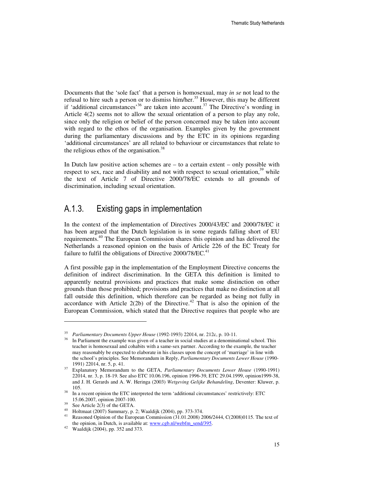Documents that the 'sole fact' that a person is homosexual, may *in se* not lead to the refusal to hire such a person or to dismiss him/her.<sup>35</sup> However, this may be different if 'additional circumstances'<sup>36</sup> are taken into account.<sup>37</sup> The Directive's wording in Article 4(2) seems not to allow the sexual orientation of a person to play any role, since only the religion or belief of the person concerned may be taken into account with regard to the ethos of the organisation. Examples given by the government during the parliamentary discussions and by the ETC in its opinions regarding 'additional circumstances' are all related to behaviour or circumstances that relate to the religious ethos of the organisation.<sup>38</sup>

In Dutch law positive action schemes are  $-$  to a certain extent  $-$  only possible with respect to sex, race and disability and not with respect to sexual orientation, $39$  while the text of Article 7 of Directive 2000/78/EC extends to all grounds of discrimination, including sexual orientation.

#### A.1.3. Existing gaps in implementation

In the context of the implementation of Directives 2000/43/EC and 2000/78/EC it has been argued that the Dutch legislation is in some regards falling short of EU requirements.<sup>40</sup> The European Commission shares this opinion and has delivered the Netherlands a reasoned opinion on the basis of Article 226 of the EC Treaty for failure to fulfil the obligations of Directive  $2000/78$ /EC.<sup>41</sup>

A first possible gap in the implementation of the Employment Directive concerns the definition of indirect discrimination. In the GETA this definition is limited to apparently neutral provisions and practices that make some distinction on other grounds than those prohibited; provisions and practices that make no distinction at all fall outside this definition, which therefore can be regarded as being not fully in accordance with Article  $2(2b)$  of the Directive.<sup>42</sup> That is also the opinion of the European Commission, which stated that the Directive requires that people who are

<sup>35</sup> <sup>35</sup> Parliamentary Documents Upper House (1992-1993) 22014, nr. 212c, p. 10-11.<br><sup>36</sup> In Berliament the example was given of a togetor in social studies at a denomina

In Parliament the example was given of a teacher in social studies at a denominational school. This teacher is homosexual and cohabits with a same-sex partner. According to the example, the teacher may reasonably be expected to elaborate in his classes upon the concept of 'marriage' in line with the school's principles. See Memorandum in Reply, *Parliamentary Documents Lower House* (1990- 1991) 22014, nr. 5, p. 41.

<sup>37</sup> Explanatory Memorandum to the GETA, *Parliamentary Documents Lower House* (1990-1991) 22014, nr. 3, p. 18-19. See also ETC 10.06.196, opinion 1996-39, ETC 29.04.1999, opinion1999-38, and J. H. Gerards and A. W. Heringa (2003) *Wetgeving Gelijke Behandeling*, Deventer: Kluwer, p. 105.

<sup>&</sup>lt;sup>38</sup> In a recent opinion the ETC interpreted the term 'additional circumstances' restrictively: ETC 15.06.2007, opinion 2007-100.

 $39$  See Article 2(3) of the GETA.

<sup>&</sup>lt;sup>40</sup> Holtmaat (2007) Summary, p. 2; Waaldijk (2004), pp. 373-374.<br><sup>41</sup> Bessened Opinion of the European Commission (21.01.2008).

Reasoned Opinion of the European Commission (31.01.2008) 2006/2444, C(2008)0115. The text of the opinion, in Dutch, is available at: www.cgb.nl/webfm\_send/395.

<sup>42</sup> Waaldijk (2004), pp. 352 and 373.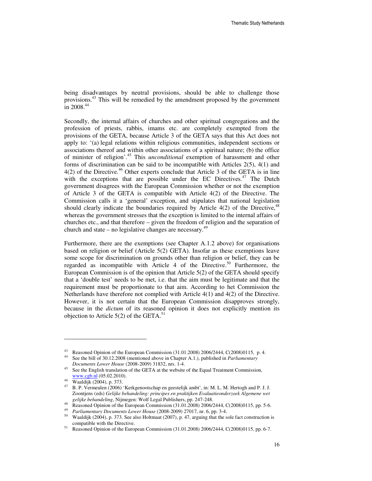being disadvantages by neutral provisions, should be able to challenge those provisions.<sup>43</sup> This will be remedied by the amendment proposed by the government  $\frac{1}{1}$ in 2008.<sup>44</sup>

Secondly, the internal affairs of churches and other spiritual congregations and the profession of priests, rabbis, imams etc. are completely exempted from the provisions of the GETA, because Article 3 of the GETA says that this Act does not apply to: '(a) legal relations within religious communities, independent sections or associations thereof and within other associations of a spiritual nature; (b) the office of minister of religion'.<sup>45</sup> This *unconditional* exemption of harassment and other forms of discrimination can be said to be incompatible with Articles 2(5), 4(1) and  $4(2)$  of the Directive.<sup>46</sup> Other experts conclude that Article 3 of the GETA is in line with the exceptions that are possible under the EC Directives.<sup>47</sup> The Dutch government disagrees with the European Commission whether or not the exemption of Article 3 of the GETA is compatible with Article 4(2) of the Directive. The Commission calls it a 'general' exception, and stipulates that national legislation should clearly indicate the boundaries required by Article  $4(2)$  of the Directive,<sup>48</sup> whereas the government stresses that the exception is limited to the internal affairs of churches etc., and that therefore – given the freedom of religion and the separation of church and state – no legislative changes are necessary.<sup>49</sup>

Furthermore, there are the exemptions (see Chapter A.1.2 above) for organisations based on religion or belief (Article 5(2) GETA). Insofar as these exemptions leave some scope for discrimination on grounds other than religion or belief, they can be regarded as incompatible with Article 4 of the Directive.<sup>50</sup> Furthermore, the European Commission is of the opinion that Article 5(2) of the GETA should specify that a 'double test' needs to be met, i.e. that the aim must be legitimate and that the requirement must be proportionate to that aim. According to het Commission the Netherlands have therefore not complied with Article 4(1) and 4(2) of the Directive. However, it is not certain that the European Commission disapproves strongly, because in the *dictum* of its reasoned opinion it does not explicitly mention its objection to Article  $5(2)$  of the GETA.<sup>51</sup>

<sup>43</sup> Reasoned Opinion of the European Commission (31.01.2008) 2006/2444, C(2008)0115, p. 4.

<sup>44</sup> See the bill of 30.12.2008 (mentioned above in Chapter A.1.), published in *Parliamentary Documents Lower House* (2008-2009) 31832, nrs. 1-4.

<sup>&</sup>lt;sup>45</sup> See the English translation of the GETA at the website of the Equal Treatment Commission, www.cgb.nl (05.02.2010).

<sup>46</sup> Waaldijk (2004), p. 373.

<sup>47</sup> B. P. Vermeulen (2006) 'Kerkgenootschap en geestelijk ambt', in: M. L. M. Hertogh and P. J. J. Zoontjens (eds) *Gelijke behandeling: principes en praktijken Evaluatieonderzoek Algemene wet gelijke behandeling*, Nijmegen: Wolf Legal Publishers, pp. 247-248.

<sup>48</sup> Reasoned Opinion of the European Commission (31.01.2008) 2006/2444, C(2008)0115, pp. 5-6.

<sup>49</sup> *Parliamentary Documents Lower House* (2008-2009) 27017, nr. 6, pp. 3-4.

<sup>50</sup> Waaldijk (2004), p. 373. See also Holtmaat (2007), p. 47, arguing that the sole fact construction is compatible with the Directive.

<sup>&</sup>lt;sup>51</sup> Reasoned Opinion of the European Commission (31.01.2008) 2006/2444, C(2008)0115, pp. 6-7.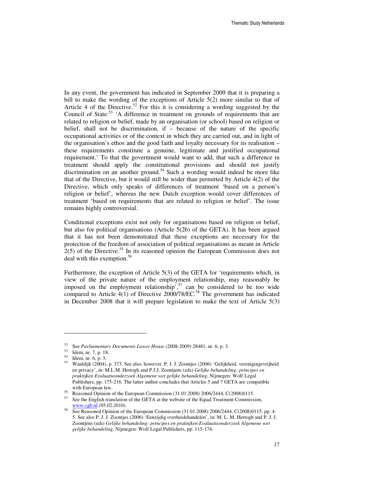In any event, the government has indicated in September 2009 that it is preparing a bill to make the wording of the exceptions of Article 5(2) more similar to that of Article 4 of the Directive.<sup>52</sup> For this it is considering a wording suggested by the Council of State: $53$  'A difference in treatment on grounds of requirements that are related to religion or belief, made by an organisation (or school) based on religion or belief, shall not be discrimination, if – because of the nature of the specific occupational activities or of the context in which they are carried out, and in light of the organisation's ethos and the good faith and loyalty necessary for its realisation – these requirements constitute a genuine, legitimate and justified occupational requirement.' To that the government would want to add, that such a difference in treatment should apply the constitutional provisions and should not justify discrimination on an another ground.<sup>54</sup> Such a wording would indeed be more like that of the Directive, but it would still be wider than permitted by Article 4(2) of the Directive, which only speaks of differences of treatment 'based on a person's religion or belief', whereas the new Dutch exception would cover differences of treatment 'based on requirements that are related to religion or belief'. The issue remains highly controversial.

Conditional exceptions exist not only for organisations based on religion or belief, but also for political organisations (Article 5(2b) of the GETA). It has been argued that it has not been demonstrated that these exceptions are necessary for the protection of the freedom of association of political organisations as meant in Article  $2(5)$  of the Directive.<sup>55</sup> In its reasoned opinion the European Commission does not deal with this exemption.<sup>56</sup>

Furthermore, the exception of Article 5(3) of the GETA for 'requirements which, in view of the private nature of the employment relationship, may reasonably be imposed on the employment relationship', $57$  can be considered to be too wide compared to Article 4(1) of Directive  $2000/78/EC$ .<sup>58</sup> The government has indicated in December 2008 that it will prepare legislation to make the text of Article 5(3)

<sup>52</sup> See *Parliamentary Documents Lower House* (2008-2009) 28481, nr. 6, p. 3.

<sup>53</sup> Idem, nr. 7, p. 18.

<sup>54</sup> Idem, nr. 6, p. 3.

<sup>55</sup> Waaldijk (2004), p. 373. See also, however, P. J. J. Zoontjes (2006) 'Gelijkheid, verenigingsvrijheid en privacy', in: M.L.M. Hertogh and P.J.J. Zoontjens (eds) *Gelijke behandeling: principes en praktijken Evaluatieonderzoek Algemene wet gelijke behandeling*, Nijmegen: Wolf Legal Publishers, pp. 175-216. The latter author concludes that Articles 5 and 7 GETA are compatible with European law.

<sup>&</sup>lt;sup>56</sup> Reasoned Opinion of the European Commission (31.01.2008) 2006/2444, C(2008)0115.

See the English translation of the GETA at the website of the Equal Treatment Commission, www.cgb.nl (05.02.2010).

<sup>58</sup> See Reasoned Opinion of the European Commission (31.01.2008) 2006/2444, C(2008)0115, pp. 4- 5. See also P. J. J. Zoontjes (2006) 'Eenzijdig overheidshandelen', in: M. L. M. Hertogh and P. J. J. Zoontjens (eds) *Gelijke behandeling: principes en praktijken Evaluatieonderzoek Algemene wet gelijke behandeling*, Nijmegen: Wolf Legal Publishers, pp. 115-174.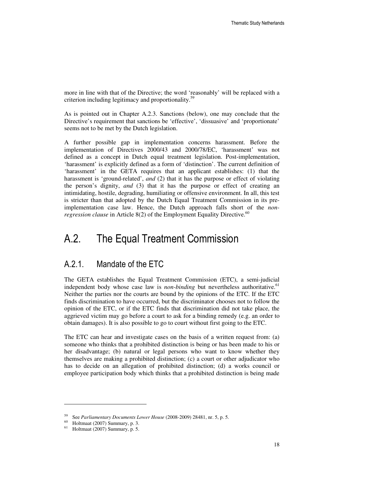more in line with that of the Directive; the word 'reasonably' will be replaced with a criterion including legitimacy and proportionality.<sup>59</sup>

As is pointed out in Chapter A.2.3. Sanctions (below), one may conclude that the Directive's requirement that sanctions be 'effective', 'dissuasive' and 'proportionate' seems not to be met by the Dutch legislation.

A further possible gap in implementation concerns harassment. Before the implementation of Directives 2000/43 and 2000/78/EC, 'harassment' was not defined as a concept in Dutch equal treatment legislation. Post-implementation, 'harassment' is explicitly defined as a form of 'distinction'. The current definition of 'harassment' in the GETA requires that an applicant establishes: (1) that the harassment is 'ground-related', *and* (2) that it has the purpose or effect of violating the person's dignity, *and* (3) that it has the purpose or effect of creating an intimidating, hostile, degrading, humiliating or offensive environment. In all, this test is stricter than that adopted by the Dutch Equal Treatment Commission in its preimplementation case law. Hence, the Dutch approach falls short of the *nonregression clause* in Article 8(2) of the Employment Equality Directive.<sup>60</sup>

### A.2. The Equal Treatment Commission

#### A.2.1. Mandate of the ETC

The GETA establishes the Equal Treatment Commission (ETC), a semi-judicial independent body whose case law is *non-binding* but nevertheless authoritative.<sup>61</sup> Neither the parties nor the courts are bound by the opinions of the ETC. If the ETC finds discrimination to have occurred, but the discriminator chooses not to follow the opinion of the ETC, or if the ETC finds that discrimination did not take place, the aggrieved victim may go before a court to ask for a binding remedy (e.g. an order to obtain damages). It is also possible to go to court without first going to the ETC.

The ETC can hear and investigate cases on the basis of a written request from: (a) someone who thinks that a prohibited distinction is being or has been made to his or her disadvantage; (b) natural or legal persons who want to know whether they themselves are making a prohibited distinction; (c) a court or other adjudicator who has to decide on an allegation of prohibited distinction; (d) a works council or employee participation body which thinks that a prohibited distinction is being made

<sup>59</sup> See *Parliamentary Documents Lower House* (2008-2009) 28481, nr. 5, p. 5.

<sup>60</sup> Holtmaat (2007) Summary, p. 3.

 $61$  Holtmaat (2007) Summary, p. 5.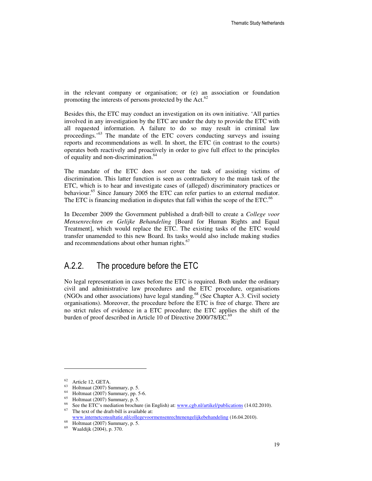in the relevant company or organisation; or (e) an association or foundation promoting the interests of persons protected by the Act. $62$ 

Besides this, the ETC may conduct an investigation on its own initiative. 'All parties involved in any investigation by the ETC are under the duty to provide the ETC with all requested information. A failure to do so may result in criminal law proceedings.'<sup>63</sup> The mandate of the ETC covers conducting surveys and issuing reports and recommendations as well. In short, the ETC (in contrast to the courts) operates both reactively and proactively in order to give full effect to the principles of equality and non-discrimination.<sup>64</sup>

The mandate of the ETC does *not* cover the task of assisting victims of discrimination. This latter function is seen as contradictory to the main task of the ETC, which is to hear and investigate cases of (alleged) discriminatory practices or behaviour.<sup>65</sup> Since January 2005 the ETC can refer parties to an external mediator. The ETC is financing mediation in disputes that fall within the scope of the ETC.<sup>66</sup>

In December 2009 the Government published a draft-bill to create a *College voor Mensenrechten en Gelijke Behandeling* [Board for Human Rights and Equal Treatment], which would replace the ETC. The existing tasks of the ETC would transfer unamended to this new Board. Its tasks would also include making studies and recommendations about other human rights. $67$ 

#### A.2.2. The procedure before the ETC

No legal representation in cases before the ETC is required. Both under the ordinary civil and administrative law procedures and the ETC procedure, organisations (NGOs and other associations) have legal standing.<sup>68</sup> (See Chapter A.3. Civil society organisations). Moreover, the procedure before the ETC is free of charge. There are no strict rules of evidence in a ETC procedure; the ETC applies the shift of the burden of proof described in Article 10 of Directive 2000/78/EC.<sup>69</sup>

<sup>62</sup> Article 12, GETA.

<sup>63</sup> Holtmaat (2007) Summary, p. 5.

<sup>64</sup> Holtmaat (2007) Summary, pp. 5-6.

<sup>65</sup> Holtmaat (2007) Summary, p. 5.

<sup>&</sup>lt;sup>66</sup> See the ETC's mediation brochure (in English) at: www.cgb.nl/artikel/publications (14.02.2010). The text of the draft-bill is available at:

www.internetconsultatie.nl/collegevoormensenrechtenengelijkebehandeling (16.04.2010).

Holtmaat (2007) Summary, p. 5.

<sup>69</sup> Waaldijk (2004), p. 370.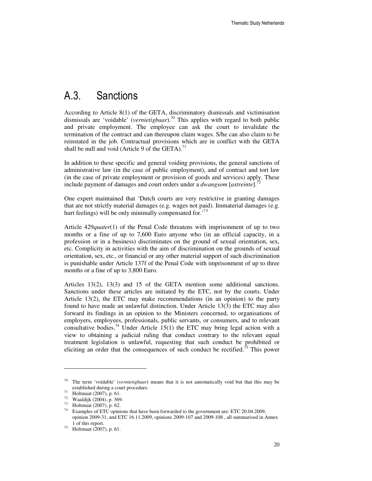#### A.3. Sanctions

According to Article 8(1) of the GETA, discriminatory dismissals and victimisation dismissals are 'voidable' (*vernietigbaar*).<sup>70</sup> This applies with regard to both public and private employment. The employee can ask the court to invalidate the termination of the contract and can thereupon claim wages. S/he can also claim to be reinstated in the job. Contractual provisions which are in conflict with the GETA shall be null and void (Article 9 of the GETA).<sup>71</sup>

In addition to these specific and general voiding provisions, the general sanctions of administrative law (in the case of public employment), and of contract and tort law (in the case of private employment or provision of goods and services) apply. These include payment of damages and court orders under a *dwangsom* [*astreinte*].<sup>7</sup>

One expert maintained that 'Dutch courts are very restrictive in granting damages that are not strictly material damages (e.g. wages not paid). Immaterial damages (e.g. hurt feelings) will be only minimally compensated for.<sup>73</sup>

Article 429*quater*(1) of the Penal Code threatens with imprisonment of up to two months or a fine of up to 7,600 Euro anyone who (in an official capacity, in a profession or in a business) discriminates on the ground of sexual orientation, sex, etc. Complicity in activities with the aim of discrimination on the grounds of sexual orientation, sex, etc., or financial or any other material support of such discrimination is punishable under Article 137f of the Penal Code with imprisonment of up to three months or a fine of up to 3,800 Euro.

Articles 13(2), 13(3) and 15 of the GETA mention some additional sanctions. Sanctions under these articles are initiated by the ETC, not by the courts. Under Article 13(2), the ETC may make recommendations (in an opinion) to the party found to have made an unlawful distinction. Under Article 13(3) the ETC may also forward its findings in an opinion to the Ministers concerned, to organisations of employers, employees, professionals, public servants, or consumers, and to relevant consultative bodies.<sup>74</sup> Under Article 15(1) the ETC may bring legal action with a view to obtaining a judicial ruling that conduct contrary to the relevant equal treatment legislation is unlawful, requesting that such conduct be prohibited or eliciting an order that the consequences of such conduct be rectified.<sup>75</sup> This power

<sup>70</sup> The term 'voidable' (*vernietigbaar*) means that it is not automatically void but that this may be established during a court procedure.

<sup>71</sup> Holtmaat (2007), p. 61.

<sup>72</sup> Waaldijk (2004), p. 369.

 $^{73}$  Holtmaat (2007), p. 62.

Examples of ETC opinions that have been forwarded to the government are: ETC 20.04.2009, opinion 2009-31, and ETC 16.11.2009, opinions 2009-107 and 2009-108 , all summarised in Annex 1 of this report.

<sup>75</sup> Holtmaat (2007), p. 61.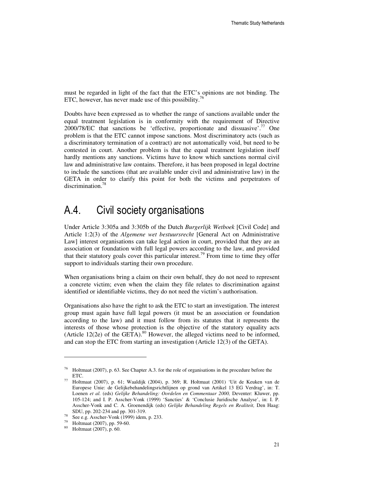must be regarded in light of the fact that the ETC's opinions are not binding. The ETC, however, has never made use of this possibility.<sup>76</sup>

Doubts have been expressed as to whether the range of sanctions available under the equal treatment legislation is in conformity with the requirement of Directive  $2000/78/EC$  that sanctions be 'effective, proportionate and dissuasive'.<sup>77</sup> One problem is that the ETC cannot impose sanctions. Most discriminatory acts (such as a discriminatory termination of a contract) are not automatically void, but need to be contested in court. Another problem is that the equal treatment legislation itself hardly mentions any sanctions. Victims have to know which sanctions normal civil law and administrative law contains. Therefore, it has been proposed in legal doctrine to include the sanctions (that are available under civil and administrative law) in the GETA in order to clarify this point for both the victims and perpetrators of discrimination.<sup>78</sup>

## A.4. Civil society organisations

Under Article 3:305a and 3:305b of the Dutch *Burgerlijk Wetboek* [Civil Code] and Article 1:2(3) of the *Algemene wet bestuursrecht* [General Act on Administrative Law] interest organisations can take legal action in court, provided that they are an association or foundation with full legal powers according to the law, and provided that their statutory goals cover this particular interest.<sup>79</sup> From time to time they offer support to individuals starting their own procedure.

When organisations bring a claim on their own behalf, they do not need to represent a concrete victim; even when the claim they file relates to discrimination against identified or identifiable victims, they do not need the victim's authorisation.

Organisations also have the right to ask the ETC to start an investigation. The interest group must again have full legal powers (it must be an association or foundation according to the law) and it must follow from its statutes that it represents the interests of those whose protection is the objective of the statutory equality acts (Article 12(2e) of the GETA).<sup>80</sup> However, the alleged victims need to be informed, and can stop the ETC from starting an investigation (Article 12(3) of the GETA).

Holtmaat (2007), p. 63. See Chapter A.3. for the role of organisations in the procedure before the ETC.

<sup>77</sup> Holtmaat (2007), p. 61; Waaldijk (2004), p. 369; R. Holtmaat (2001) 'Uit de Keuken van de Europese Unie: de Gelijkebehandelingsrichtlijnen op grond van Artikel 13 EG Verdrag', in: T. Loenen *et al.* (eds) *Gelijke Behandeling: Oordelen en Commentaar 2000,* Deventer: Kluwer, pp. 105-124; and I. P. Asscher-Vonk (1999) 'Sancties' & 'Conclusie Juridische Analyse', in: I. P. Asscher-Vonk and C. A. Groenendijk (eds) *Gelijke Behandeling Regels en Realiteit,* Den Haag: SDU, pp. 202-234 and pp. 301-319.

 $78$  See e.g. Asscher-Vonk (1999) idem, p. 233.

<sup>79</sup> Holtmaat (2007), pp. 59-60.

<sup>80</sup> Holtmaat (2007), p. 60.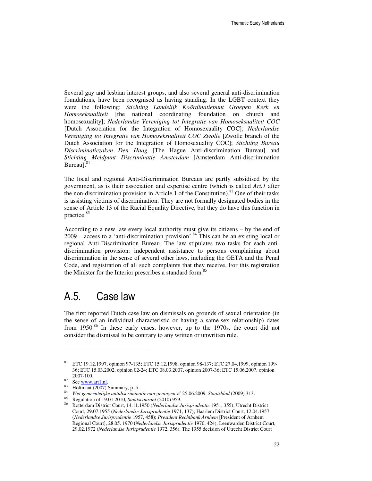Several gay and lesbian interest groups, and also several general anti-discrimination foundations, have been recognised as having standing. In the LGBT context they were the following: *Stichting Landelijk Koördinatiepunt Groepen Kerk en Homoseksualiteit* [the national coordinating foundation on church and homosexuality]; *Nederlandse Vereniging tot Integratie van Homoseksualiteit COC* [Dutch Association for the Integration of Homosexuality COC]; *Nederlandse Vereniging tot Integratie van Homoseksualiteit COC Zwolle* [Zwolle branch of the Dutch Association for the Integration of Homosexuality COC]; *Stichting Bureau Discriminatiezaken Den Haag* [The Hague Anti-discrimination Bureau] and *Stichting Meldpunt Discriminatie Amsterdam* [Amsterdam Anti-discrimination Bureau].<sup>8</sup>

The local and regional Anti-Discrimination Bureaus are partly subsidised by the government, as is their association and expertise centre (which is called *Art.1* after the non-discrimination provision in Article 1 of the Constitution).<sup>82</sup> One of their tasks is assisting victims of discrimination. They are not formally designated bodies in the sense of Article 13 of the Racial Equality Directive, but they do have this function in practice.<sup>83</sup>

According to a new law every local authority must give its citizens – by the end of  $2009$  – access to a 'anti-discrimination provision'.<sup>84</sup> This can be an existing local or regional Anti-Discrimination Bureau. The law stipulates two tasks for each antidiscrimination provision: independent assistance to persons complaining about discrimination in the sense of several other laws, including the GETA and the Penal Code, and registration of all such complaints that they receive. For this registration the Minister for the Interior prescribes a standard form.<sup>8</sup>

#### A.5. Case law

The first reported Dutch case law on dismissals on grounds of sexual orientation (in the sense of an individual characteristic or having a same-sex relationship) dates from  $1950$ .<sup>86</sup> In these early cases, however, up to the 1970s, the court did not consider the dismissal to be contrary to any written or unwritten rule.

<sup>81</sup> ETC 19.12.1997, opinion 97-135; ETC 15.12.1998, opinion 98-137; ETC 27.04.1999, opinion 199- 36; ETC 15.03.2002, opinion 02-24; ETC 08.03.2007, opinion 2007-36; ETC 15.06.2007, opinion 2007-100.

 $82$  See www.art1.nl.

<sup>83</sup> Holtmaat (2007) Summary, p. 5.

<sup>84</sup> *Wet gemeentelijke antidiscriminatievoorzieningen* of 25.06.2009, *Staatsblad* (2009) 313.

<sup>85</sup> Regulation of 19.01.2010, *Staatscourant* (2010) 959.

<sup>86</sup> Rotterdam District Court, 14.11.1950 (*Nederlandse Jurisprudentie* 1951, 355); Utrecht District Court, 29.07.1955 (*Nederlandse Jurisprudentie* 1971, 137); Haarlem District Court, 12.04.1957 (*Nederlandse Jurisprudentie* 1957, 458); *President Rechtbank Arnhem* [President of Arnhem Regional Court], 28.05. 1970 (*Nederlandse Jurisprudentie* 1970, 424); Leeuwarden District Court, 29.02.1972 (*Nederlandse Jurisprudentie* 1972, 356). The 1955 decision of Utrecht District Court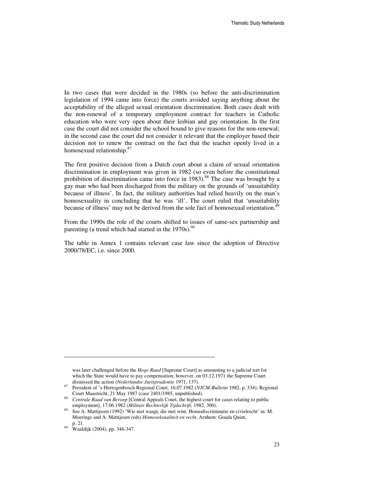In two cases that were decided in the 1980s (so before the anti-discrimination legislation of 1994 came into force) the courts avoided saying anything about the acceptability of the alleged sexual orientation discrimination. Both cases dealt with the non-renewal of a temporary employment contract for teachers in Catholic education who were very open about their lesbian and gay orientation. In the first case the court did not consider the school bound to give reasons for the non-renewal; in the second case the court did not consider it relevant that the employer based their decision not to renew the contract on the fact that the teacher openly lived in a homosexual relationship.<sup>87</sup>

The first positive decision from a Dutch court about a claim of sexual orientation discrimination in employment was given in 1982 (so even before the constitutional prohibition of discrimination came into force in  $1983$ ).<sup>88</sup> The case was brought by a gay man who had been discharged from the military on the grounds of 'unsuitability because of illness'. In fact, the military authorities had relied heavily on the man's homosexuality in concluding that he was 'ill'. The court ruled that 'unsuitability because of illness' may not be derived from the sole fact of homosexual orientation.<sup>89</sup>

From the 1990s the role of the courts shifted to issues of same-sex partnership and parenting (a trend which had started in the  $1970s$ ).<sup>90</sup>

The table in Annex 1 contains relevant case law since the adoption of Directive 2000/78/EC, i.e. since 2000.

was later challenged before the *Hoge Raad* [Supreme Court] as amounting to a judicial tort for which the State would have to pay compensation; however, on 03.12.1971 the Supreme Court dismissed the action (*Nederlandse Jurisprudentie* 1971, 137).

<sup>87</sup> President of 's-Hertogenbosch Regional Court, 16.07.1982 (*NJCM-Bulletin* 1982, p. 334); Regional Court Maastricht, 21 May 1987 (case 2401/1985, unpublished).

<sup>88</sup> *Centrale Raad van Beroep* [Central Appeals Court, the highest court for cases relating to public employment], 17.06.1982 (*Militair Rechterlijk Tijdschrift,* 1982, 300).

<sup>&</sup>lt;sup>89</sup> See A. Mattijssen (1992) 'Wie niet waagt, die niet wint. Homodiscriminatie en civielrecht' in: M. Moerings and A. Mattijssen (eds) *Homoseksualiteit en recht*, Arnhem: Gouda Quint, p. 21.

<sup>90</sup> Waaldijk (2004), pp. 346-347.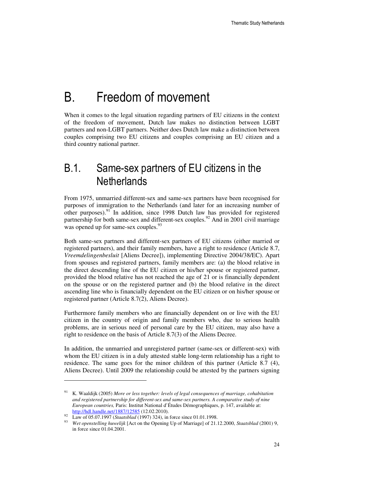# B. Freedom of movement

When it comes to the legal situation regarding partners of EU citizens in the context of the freedom of movement, Dutch law makes no distinction between LGBT partners and non-LGBT partners. Neither does Dutch law make a distinction between couples comprising two EU citizens and couples comprising an EU citizen and a third country national partner.

### B.1. Same-sex partners of EU citizens in the **Netherlands**

From 1975, unmarried different-sex and same-sex partners have been recognised for purposes of immigration to the Netherlands (and later for an increasing number of other purposes).<sup>91</sup> In addition, since 1998 Dutch law has provided for registered partnership for both same-sex and different-sex couples.<sup>92</sup> And in 2001 civil marriage was opened up for same-sex couples.<sup>93</sup>

Both same-sex partners and different-sex partners of EU citizens (either married or registered partners), and their family members, have a right to residence (Article 8.7, *Vreemdelingenbesluit* [Aliens Decree]), implementing Directive 2004/38/EC). Apart from spouses and registered partners, family members are: (a) the blood relative in the direct descending line of the EU citizen or his/her spouse or registered partner, provided the blood relative has not reached the age of 21 or is financially dependent on the spouse or on the registered partner and (b) the blood relative in the direct ascending line who is financially dependent on the EU citizen or on his/her spouse or registered partner (Article 8.7(2), Aliens Decree).

Furthermore family members who are financially dependent on or live with the EU citizen in the country of origin and family members who, due to serious health problems, are in serious need of personal care by the EU citizen, may also have a right to residence on the basis of Article 8.7(3) of the Aliens Decree.

In addition, the unmarried and unregistered partner (same-sex or different-sex) with whom the EU citizen is in a duly attested stable long-term relationship has a right to residence. The same goes for the minor children of this partner (Article 8.7 (4), Aliens Decree). Until 2009 the relationship could be attested by the partners signing

<sup>91</sup> K. Waaldijk (2005) *More or less together: levels of legal consequences of marriage, cohabitation and registered partnership for different-sex and same-sex partners. A comparative study of nine European countries,* Paris: Institut National d'Études Démographiques, p. 147, available at: http://hdl.handle.net/1887/12585 (12.02.2010).

<sup>92</sup> Law of 05.07.1997 (*Staatsblad* (1997) 324), in force since 01.01.1998.

<sup>93</sup> *Wet openstelling huwelijk* [Act on the Opening Up of Marriage] of 21.12.2000, *Staatsblad* (2001) 9, in force since 01.04.2001.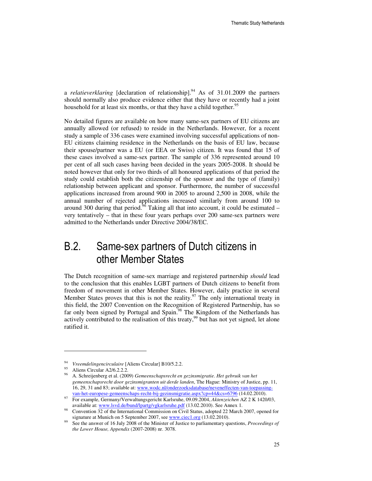a *relatieverklaring* [declaration of relationship].<sup>94</sup> As of 31.01.2009 the partners should normally also produce evidence either that they have or recently had a joint household for at least six months, or that they have a child together.<sup>95</sup>

No detailed figures are available on how many same-sex partners of EU citizens are annually allowed (or refused) to reside in the Netherlands. However, for a recent study a sample of 336 cases were examined involving successful applications of non-EU citizens claiming residence in the Netherlands on the basis of EU law, because their spouse/partner was a EU (or EEA or Swiss) citizen. It was found that 15 of these cases involved a same-sex partner. The sample of 336 represented around 10 per cent of all such cases having been decided in the years 2005-2008. It should be noted however that only for two thirds of all honoured applications of that period the study could establish both the citizenship of the sponsor and the type of (family) relationship between applicant and sponsor. Furthermore, the number of successful applications increased from around 900 in 2005 to around 2,500 in 2008, while the annual number of rejected applications increased similarly from around 100 to around 300 during that period.<sup>96</sup> Taking all that into account, it could be estimated – very tentatively – that in these four years perhaps over 200 same-sex partners were admitted to the Netherlands under Directive 2004/38/EC.

# B.2. Same-sex partners of Dutch citizens in other Member States

The Dutch recognition of same-sex marriage and registered partnership *should* lead to the conclusion that this enables LGBT partners of Dutch citizens to benefit from freedom of movement in other Member States. However, daily practice in several Member States proves that this is not the reality.<sup>97</sup> The only international treaty in this field, the 2007 Convention on the Recognition of Registered Partnership, has so far only been signed by Portugal and Spain.<sup>98</sup> The Kingdom of the Netherlands has actively contributed to the realisation of this treaty,  $99$  but has not yet signed, let alone ratified it.

<sup>94</sup> *Vreemdelingencirculaire* [Aliens Circular] B10/5.2.2.

Aliens Circular A2/6.2.2.2.

<sup>96</sup> A. Schreijenberg et al. (2009) *Gemeenschapsrecht en gezinsmigratie. Het gebruik van het gemeenschapsrecht door gezinsmigranten uit derde landen*, The Hague: Ministry of Justice, pp. 11, 16, 29, 31 and 83; available at: www.wodc.nl/onderzoeksdatabase/neveneffecten-van-toepassingvan-het-europese-gemeenschaps-recht-bij-gezinsmigratie.aspx?cp=44&cs=6796 (14.02.2010).

<sup>97</sup> For example, Germany/Verwaltungsgericht Karlsruhe, 09.09.2004, *Aktenzeichen* AZ 2 K 1420/03, available at: www.lsvd.de/bund/lpartg/vgkarlsruhe.pdf (13.02.2010). See Annex 1.

<sup>98</sup> Convention 32 of the International Commission on Civil Status, adopted 22 March 2007, opened for signature at Munich on 5 September 2007, see www.ciec1.org (13.02.2010).

<sup>99</sup> See the answer of 16 July 2008 of the Minister of Justice to parliamentary questions, *Proceedings of the Lower House, Appendix* (2007-2008) nr. 3078.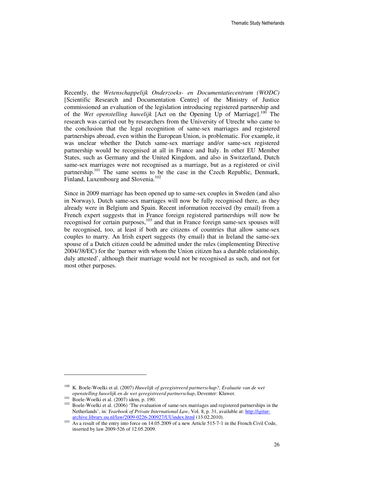Recently, the *Wetenschappelijk Onderzoeks- en Documentatiecentrum (WODC)* [Scientific Research and Documentation Centre] of the Ministry of Justice commissioned an evaluation of the legislation introducing registered partnership and of the *Wet openstelling huwelijk* [Act on the Opening Up of Marriage].<sup>100</sup> The research was carried out by researchers from the University of Utrecht who came to the conclusion that the legal recognition of same-sex marriages and registered partnerships abroad, even within the European Union, is problematic. For example, it was unclear whether the Dutch same-sex marriage and/or same-sex registered partnership would be recognised at all in France and Italy. In other EU Member States, such as Germany and the United Kingdom, and also in Switzerland, Dutch same-sex marriages were not recognised as a marriage, but as a registered or civil partnership.<sup>101</sup> The same seems to be the case in the Czech Republic, Denmark, Finland, Luxembourg and Slovenia.<sup>102</sup>

Since in 2009 marriage has been opened up to same-sex couples in Sweden (and also in Norway), Dutch same-sex marriages will now be fully recognised there, as they already were in Belgium and Spain. Recent information received (by email) from a French expert suggests that in France foreign registered partnerships will now be recognised for certain purposes,<sup>103</sup> and that in France foreign same-sex spouses will be recognised, too, at least if both are citizens of countries that allow same-sex couples to marry. An Irish expert suggests (by email) that in Ireland the same-sex spouse of a Dutch citizen could be admitted under the rules (implementing Directive 2004/38/EC) for the 'partner with whom the Union citizen has a durable relationship, duly attested', although their marriage would not be recognised as such, and not for most other purposes.

<sup>100</sup> K. Boele-Woelki et al. (2007) *Huwelijk of geregistreerd partnerschap?, Evaluatie van de wet openstelling huwelijk en de wet geregistreerd partnerschap*, Deventer: Kluwer.

 $101$  Boele-Woelki et al. (2007) idem, p. 190.

<sup>&</sup>lt;sup>102</sup> Boele-Woelki et al. (2006) 'The evaluation of same-sex marriages and registered partnerships in the Netherlands', in: *Yearbook of Private International Law*, Vol. 8, p. 31, available at: http://igiturarchive.library.uu.nl/law/2009-0226-200927/UUindex.html (13.02.2010).

As a result of the entry into force on 14.05.2009 of a new Article 515-7-1 in the French Civil Code, inserted by law 2009-526 of 12.05.2009.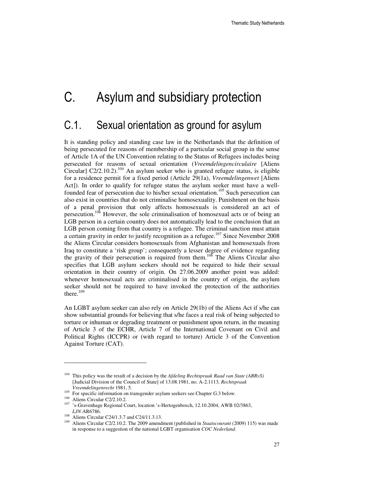# C. Asylum and subsidiary protection

### C.1. Sexual orientation as ground for asylum

It is standing policy and standing case law in the Netherlands that the definition of being persecuted for reasons of membership of a particular social group in the sense of Article 1A of the UN Convention relating to the Status of Refugees includes being persecuted for reasons of sexual orientation (*Vreemdelingencirculaire* [Aliens Circular] C2/2.10.2).<sup>104</sup> An asylum seeker who is granted refugee status, is eligible for a residence permit for a fixed period (Article 29(1a), *Vreemdelingenwet* [Aliens Act]). In order to qualify for refugee status the asylum seeker must have a wellfounded fear of persecution due to his/her sexual orientation.<sup>105</sup> Such persecution can also exist in countries that do not criminalise homosexuality. Punishment on the basis of a penal provision that only affects homosexuals is considered an act of persecution.<sup>106</sup> However, the sole criminalisation of homosexual acts or of being an LGB person in a certain country does not automatically lead to the conclusion that an LGB person coming from that country is a refugee. The criminal sanction must attain a certain gravity in order to justify recognition as a refugee.<sup>107</sup> Since November 2008 the Aliens Circular considers homosexuals from Afghanistan and homosexuals from Iraq to constitute a 'risk group'; consequently a lesser degree of evidence regarding the gravity of their persecution is required from them.<sup>108</sup> The Aliens Circular also specifies that LGB asylum seekers should not be required to hide their sexual orientation in their country of origin. On 27.06.2009 another point was added: whenever homosexual acts are criminalised in the country of origin, the asylum seeker should not be required to have invoked the protection of the authorities there. $109$ 

An LGBT asylum seeker can also rely on Article 29(1b) of the Aliens Act if s/he can show substantial grounds for believing that s/he faces a real risk of being subjected to torture or inhuman or degrading treatment or punishment upon return, in the meaning of Article 3 of the ECHR, Article 7 of the International Covenant on Civil and Political Rights (ICCPR) or (with regard to torture) Article 3 of the Convention Against Torture (CAT).

<sup>104</sup> This policy was the result of a decision by the *Afdeling Rechtspraak Raad van State (ARRvS)* [Judicial Division of the Council of State] of 13.08.1981, no. A-2.1113, *Rechtspraak Vreemdelingenrecht* 1981, 5.

<sup>&</sup>lt;sup>105</sup> For specific information on transgender asylum seekers see Chapter G.3 below.

<sup>106</sup> Aliens Circular C2/2.10.2.

<sup>107</sup> 's-Gravenhage Regional Court, location 's-Hertogenbosch, 12.10.2004, AWB 02/3863, *LJN* AR6786.

<sup>&</sup>lt;sup>108</sup> Aliens Circular C24/1.3.7 and C24/11.3.13.<br><sup>109</sup> Aliens Circular C2/2.10.2. The 2000 smooth

<sup>109</sup> Aliens Circular C2/2.10.2. The 2009 amendment (published in *Staatscourant* (2009) 115) was made in response to a suggestion of the national LGBT organisation *COC Nederland.*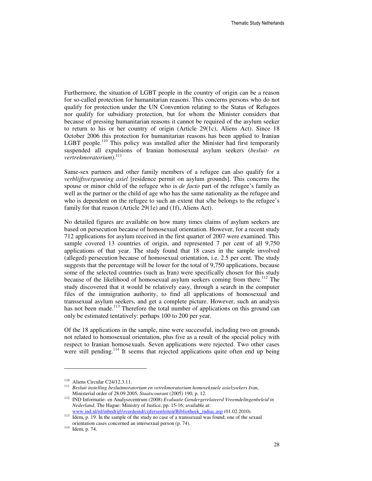Furthermore, the situation of LGBT people in the country of origin can be a reason for so-called protection for humanitarian reasons. This concerns persons who do not qualify for protection under the UN Convention relating to the Status of Refugees nor qualify for subsidiary protection, but for whom the Minister considers that because of pressing humanitarian reasons it cannot be required of the asylum seeker to return to his or her country of origin (Article 29(1c), Aliens Act). Since 18 October 2006 this protection for humanitarian reasons has been applied to Iranian LGBT people.<sup>110</sup> This policy was installed after the Minister had first temporarily suspended all expulsions of Iranian homosexual asylum seekers (*besluit- en vertrekmoratorium*).<sup>111</sup>

Same-sex partners and other family members of a refugee can also qualify for a *verblijfsvergunning asiel* [residence permit on asylum grounds]. This concerns the spouse or minor child of the refugee who is *de facto* part of the refugee's family as well as the partner or the child of age who has the same nationality as the refugee and who is dependent on the refugee to such an extent that s/he belongs to the refugee's family for that reason (Article 29(1e) and (1f), Aliens Act).

No detailed figures are available on how many times claims of asylum seekers are based on persecution because of homosexual orientation. However, for a recent study 712 applications for asylum received in the first quarter of 2007 were examined. This sample covered 13 countries of origin, and represented 7 per cent of all 9,750 applications of that year. The study found that 18 cases in the sample involved (alleged) persecution because of homosexual orientation, i.e. 2.5 per cent. The study suggests that the percentage will be lower for the total of 9,750 applications, because some of the selected countries (such as Iran) were specifically chosen for this study because of the likelihood of homosexual asylum seekers coming from there.<sup>112</sup> The study discovered that it would be relatively easy, through a search in the computer files of the immigration authority, to find all applications of homosexual and transsexual asylum seekers, and get a complete picture. However, such an analysis has not been made.<sup>113</sup> Therefore the total number of applications on this ground can only be estimated tentatively: perhaps 100 to 200 per year.

Of the 18 applications in the sample, nine were successful, including two on grounds not related to homosexual orientation, plus five as a result of the special policy with respect to Iranian homosexuals. Seven applications were rejected. Two other cases were still pending.<sup>114</sup> It seems that rejected applications quite often end up being

<sup>110</sup> Aliens Circular C24/12.3.11.

<sup>111</sup> *Besluit instelling besluitmoratorium en vetrekmoratorium homoseksuele asielzoekers Iran*, Ministerial order of 28.09.2005, *Staatscourant* (2005) 190, p. 12.

<sup>112</sup> IND Informatie- en Analysecentrum (2008) *Evaluatie Gendergerelateerd Vreemdelingenbeleid in Nederland*, The Hague: Ministry of Justice, pp. 15-16; available at: www.ind.nl/nl/inbedrijf/overdeind/cijfersenfeiten/Bibliotheek\_indiac.asp (01.02.2010).

<sup>&</sup>lt;sup>113</sup> Idem, p. 19. In the sample of the study no case of a transsexual was found; one of the sexual orientation cases concerned an intersexual person (p. 74).

<sup>114</sup> Idem, p. 74.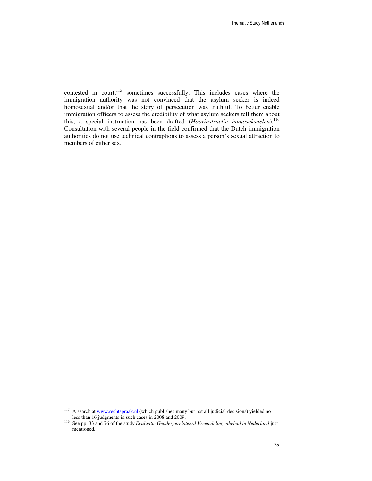contested in court,<sup>115</sup> sometimes successfully. This includes cases where the immigration authority was not convinced that the asylum seeker is indeed homosexual and/or that the story of persecution was truthful. To better enable immigration officers to assess the credibility of what asylum seekers tell them about this, a special instruction has been drafted (*Hoorinstructie homoseksuelen*).<sup>116</sup> Consultation with several people in the field confirmed that the Dutch immigration authorities do not use technical contraptions to assess a person's sexual attraction to members of either sex.

<sup>&</sup>lt;sup>115</sup> A search at www.rechtspraak.nl (which publishes many but not all judicial decisions) yielded no less than 16 judgments in such cases in 2008 and 2009.

<sup>116</sup> See pp. 33 and 76 of the study *Evaluatie Gendergerelateerd Vreemdelingenbeleid in Nederland* just mentioned.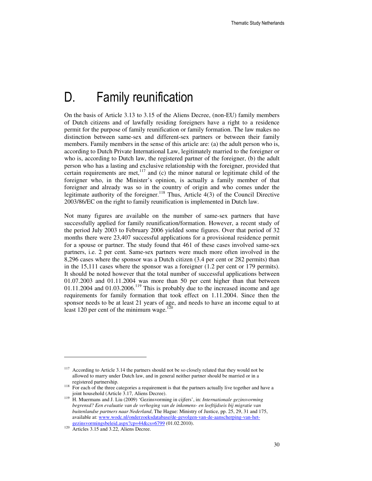# D. Family reunification

On the basis of Article 3.13 to 3.15 of the Aliens Decree, (non-EU) family members of Dutch citizens and of lawfully residing foreigners have a right to a residence permit for the purpose of family reunification or family formation. The law makes no distinction between same-sex and different-sex partners or between their family members. Family members in the sense of this article are: (a) the adult person who is, according to Dutch Private International Law, legitimately married to the foreigner or who is, according to Dutch law, the registered partner of the foreigner, (b) the adult person who has a lasting and exclusive relationship with the foreigner, provided that certain requirements are met, $117$  and (c) the minor natural or legitimate child of the foreigner who, in the Minister's opinion, is actually a family member of that foreigner and already was so in the country of origin and who comes under the legitimate authority of the foreigner.<sup>118</sup> Thus, Article  $4(3)$  of the Council Directive 2003/86/EC on the right to family reunification is implemented in Dutch law.

Not many figures are available on the number of same-sex partners that have successfully applied for family reunification/formation. However, a recent study of the period July 2003 to February 2006 yielded some figures. Over that period of 32 months there were 23,407 successful applications for a provisional residence permit for a spouse or partner. The study found that 461 of these cases involved same-sex partners, i.e. 2 per cent. Same-sex partners were much more often involved in the 8,296 cases where the sponsor was a Dutch citizen (3.4 per cent or 282 permits) than in the 15,111 cases where the sponsor was a foreigner (1.2 per cent or 179 permits). It should be noted however that the total number of successful applications between 01.07.2003 and 01.11.2004 was more than 50 per cent higher than that between  $01.11.2004$  and  $01.03.2006$ .<sup>119</sup> This is probably due to the increased income and age requirements for family formation that took effect on 1.11.2004. Since then the sponsor needs to be at least 21 years of age, and needs to have an income equal to at least 120 per cent of the minimum wage.<sup>120</sup>

<sup>&</sup>lt;sup>117</sup> According to Article 3.14 the partners should not be so closely related that they would not be allowed to marry under Dutch law, and in general neither partner should be married or in a registered partnership.

 $118$  For each of the three categories a requirement is that the partners actually live together and have a joint household (Article 3.17, Aliens Decree).

<sup>119</sup> H. Muermans and J. Liu (2009) 'Gezinsvorming in cijfers', in: *Internationale gezinsvorming begrensd? Een evaluatie van de verhoging van de inkomens- en leeftijdseis bij migratie van buitenlandse partners naar Nederland*, The Hague: Ministry of Justice, pp. 25, 29, 31 and 175, available at: www.wodc.nl/onderzoeksdatabase/de-gevolgen-van-de-aanscherping-van-hetgezinsvormingsbeleid.aspx?cp=44&cs=6799 (01.02.2010).

<sup>&</sup>lt;sup>120</sup> Articles 3.15 and 3.22, Aliens Decree.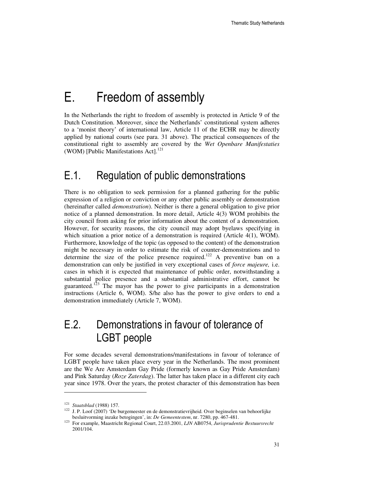# E. Freedom of assembly

In the Netherlands the right to freedom of assembly is protected in Article 9 of the Dutch Constitution. Moreover, since the Netherlands' constitutional system adheres to a 'monist theory' of international law, Article 11 of the ECHR may be directly applied by national courts (see para. 31 above). The practical consequences of the constitutional right to assembly are covered by the *Wet Openbare Manifestaties*  (WOM) [Public Manifestations Act].<sup>121</sup>

## E.1. Regulation of public demonstrations

There is no obligation to seek permission for a planned gathering for the public expression of a religion or conviction or any other public assembly or demonstration (hereinafter called *demonstration*). Neither is there a general obligation to give prior notice of a planned demonstration. In more detail, Article 4(3) WOM prohibits the city council from asking for prior information about the content of a demonstration. However, for security reasons, the city council may adopt byelaws specifying in which situation a prior notice of a demonstration is required (Article 4(1), WOM). Furthermore, knowledge of the topic (as opposed to the content) of the demonstration might be necessary in order to estimate the risk of counter-demonstrations and to determine the size of the police presence required.<sup>122</sup> A preventive ban on a demonstration can only be justified in very exceptional cases of *force majeure,* i.e. cases in which it is expected that maintenance of public order, notwithstanding a substantial police presence and a substantial administrative effort, cannot be guaranteed.<sup>123</sup> The mayor has the power to give participants in a demonstration instructions (Article 6, WOM). S/he also has the power to give orders to end a demonstration immediately (Article 7, WOM).

# E.2. Demonstrations in favour of tolerance of LGBT people

For some decades several demonstrations/manifestations in favour of tolerance of LGBT people have taken place every year in the Netherlands. The most prominent are the We Are Amsterdam Gay Pride (formerly known as Gay Pride Amsterdam) and Pink Saturday (*Roze Zaterdag*). The latter has taken place in a different city each year since 1978. Over the years, the protest character of this demonstration has been

<sup>121</sup> *Staatsblad* (1988) 157.

<sup>&</sup>lt;sup>122</sup> J. P. Loof (2007) 'De burgemeester en de demonstratievrijheid. Over beginselen van behoorlijke besluitvorming inzake betogingen', in: *De Gemeentestem*, nr. 7280, pp. 467-481.

<sup>123</sup> For example, Maastricht Regional Court, 22.03.2001, *LJN* AB0754, *Jurisprudentie Bestuursrecht* 2001/104.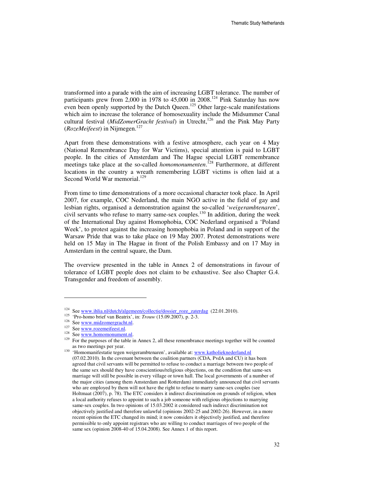transformed into a parade with the aim of increasing LGBT tolerance. The number of participants grew from 2,000 in 1978 to  $45,000$  in 2008.<sup>124</sup> Pink Saturday has now even been openly supported by the Dutch Queen.<sup>125</sup> Other large-scale manifestations which aim to increase the tolerance of homosexuality include the Midsummer Canal cultural festival (*MidZomerGracht festival*) in Utrecht,<sup>126</sup> and the Pink May Party (*RozeMeifeest*) in Nijmegen.<sup>127</sup>

Apart from these demonstrations with a festive atmosphere, each year on 4 May (National Remembrance Day for War Victims), special attention is paid to LGBT people. In the cities of Amsterdam and The Hague special LGBT remembrance meetings take place at the so-called *homomonumenten*.<sup>128</sup> Furthermore, at different locations in the country a wreath remembering LGBT victims is often laid at a Second World War memorial.<sup>129</sup>

From time to time demonstrations of a more occasional character took place. In April 2007, for example, COC Nederland, the main NGO active in the field of gay and lesbian rights, organised a demonstration against the so-called '*weigerambtenaren*', civil servants who refuse to marry same-sex couples. <sup>130</sup> In addition, during the week of the International Day against Homophobia, COC Nederland organised a 'Poland Week', to protest against the increasing homophobia in Poland and in support of the Warsaw Pride that was to take place on 19 May 2007. Protest demonstrations were held on 15 May in The Hague in front of the Polish Embassy and on 17 May in Amsterdam in the central square, the Dam.

The overview presented in the table in Annex 2 of demonstrations in favour of tolerance of LGBT people does not claim to be exhaustive. See also Chapter G.4. Transgender and freedom of assembly.

<sup>&</sup>lt;sup>124</sup> See www.ihlia.nl/dutch/algemeen/collectie/dossier\_roze\_zaterdag (22.01.2010).

<sup>125</sup> 'Pro-homo brief van Beatrix', in: *Trouw* (15.09.2007), p. 2-3.

<sup>&</sup>lt;sup>126</sup> See www.midzomergracht.nl.

 $127 \text{ See } \overline{\text{www.rozeneifest.nl.}}$ 

See www.homomonument.nl.

<sup>&</sup>lt;sup>129</sup> For the purposes of the table in Annex 2, all these remembrance meetings together will be counted as two meetings per year.

<sup>130 &#</sup>x27;Homomanifestatie tegen weigerambtenaren', available at: www.katholieknederland.nl (07.02.2010). In the covenant between the coalition partners (CDA, PvdA and CU) it has been agreed that civil servants will be permitted to refuse to conduct a marriage between two people of the same sex should they have conscientious/religious objections, on the condition that same-sex marriage will still be possible in every village or town hall. The local governments of a number of the major cities (among them Amsterdam and Rotterdam) immediately announced that civil servants who are employed by them will not have the right to refuse to marry same-sex couples (see Holtmaat (2007), p. 78). The ETC considers it indirect discrimination on grounds of religion, when a local authority refuses to appoint to such a job someone with religious objections to marrying same-sex couples. In two opinions of 15.03.2002 it considered such indirect discrimination not objectively justified and therefore unlawful (opinions 2002-25 and 2002-26). However, in a more recent opinion the ETC changed its mind; it now considers it objectively justified, and therefore permissible to only appoint registrars who are willing to conduct marriages of two people of the same sex (opinion 2008-40 of 15.04.2008). See Annex 1 of this report.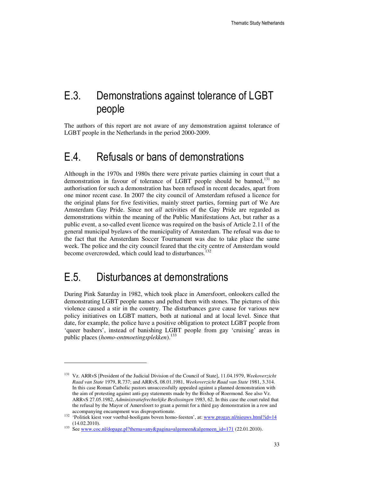## E.3. Demonstrations against tolerance of LGBT people

The authors of this report are not aware of any demonstration against tolerance of LGBT people in the Netherlands in the period 2000-2009.

### E.4. Refusals or bans of demonstrations

Although in the 1970s and 1980s there were private parties claiming in court that a demonstration in favour of tolerance of LGBT people should be banned,<sup>131</sup> no authorisation for such a demonstration has been refused in recent decades, apart from one minor recent case. In 2007 the city council of Amsterdam refused a licence for the original plans for five festivities, mainly street parties, forming part of We Are Amsterdam Gay Pride. Since not *all* activities of the Gay Pride are regarded as demonstrations within the meaning of the Public Manifestations Act, but rather as a public event, a so-called event licence was required on the basis of Article 2.11 of the general municipal byelaws of the municipality of Amsterdam. The refusal was due to the fact that the Amsterdam Soccer Tournament was due to take place the same week. The police and the city council feared that the city centre of Amsterdam would become overcrowded, which could lead to disturbances.<sup>132</sup>

### E.5. Disturbances at demonstrations

l

During Pink Saturday in 1982, which took place in Amersfoort, onlookers called the demonstrating LGBT people names and pelted them with stones. The pictures of this violence caused a stir in the country. The disturbances gave cause for various new policy initiatives on LGBT matters, both at national and at local level. Since that date, for example, the police have a positive obligation to protect LGBT people from 'queer bashers', instead of banishing LGBT people from gay 'cruising' areas in public places (*homo-ontmoetingsplekken*).<sup>133</sup>

<sup>131</sup> Vz. ARRvS [President of the Judicial Division of the Council of State], 11.04.1979, *Weekoverzicht Raad van State* 1979, R.737; and ARRvS, 08.01.1981, *Weekoverzicht Raad van State* 1981, 3.314. In this case Roman Catholic pastors unsuccessfully appealed against a planned demonstration with the aim of protesting against anti-gay statements made by the Bishop of Roermond. See also Vz. ARRvS 27.05.1982, *Administratiefrechtelijke Beslissingen* 1983, 62. In this case the court ruled that the refusal by the Mayor of Amersfoort to grant a permit for a third gay demonstration in a row and accompanying encampment was disproportionate.

<sup>&</sup>lt;sup>132</sup> 'Politiek kiest voor voetbal-hooligans boven homo-feesten', at: www.progay.nl/nieuws.html?id=14 (14.02.2010).

<sup>133</sup> See www.coc.nl/dopage.pl?thema=any&pagina=algemeen&algemeen\_id=171 (22.01.2010).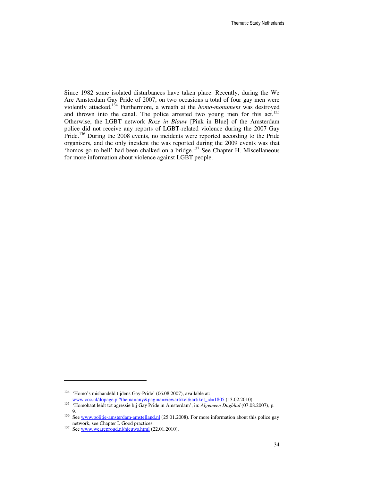Since 1982 some isolated disturbances have taken place. Recently, during the We Are Amsterdam Gay Pride of 2007, on two occasions a total of four gay men were violently attacked.<sup>134</sup> Furthermore, a wreath at the *homo-monument* was destroyed and thrown into the canal. The police arrested two young men for this act.<sup>135</sup> Otherwise, the LGBT network *Roze in Blauw* [Pink in Blue] of the Amsterdam police did not receive any reports of LGBT-related violence during the 2007 Gay Pride.<sup>136</sup> During the 2008 events, no incidents were reported according to the Pride organisers, and the only incident the was reported during the 2009 events was that 'homos go to hell' had been chalked on a bridge.<sup>137</sup> See Chapter H. Miscellaneous for more information about violence against LGBT people.

<sup>134</sup> 'Homo's mishandeld tijdens Gay-Pride' (06.08.2007), available at:

www.coc.nl/dopage.pl?thema=any&pagina=viewartikel&artikel\_id=1805 (13.02.2010).

<sup>135</sup> 'Homohaat leidt tot agressie bij Gay Pride in Amsterdam', in: *Algemeen Dagblad* (07.08.2007), p. 9.

<sup>&</sup>lt;sup>136</sup> See www.politie-amsterdam-amstelland.nl (25.01.2008). For more information about this police gay network, see Chapter I. Good practices.

<sup>&</sup>lt;sup>137</sup> See <u>www.weareproud.nl/nieuws.html</u> (22.01.2010).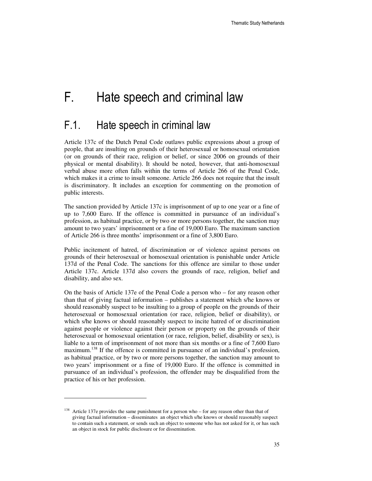# F. Hate speech and criminal law

# F.1. Hate speech in criminal law

Article 137c of the Dutch Penal Code outlaws public expressions about a group of people, that are insulting on grounds of their heterosexual or homosexual orientation (or on grounds of their race, religion or belief, or since 2006 on grounds of their physical or mental disability). It should be noted, however, that anti-homosexual verbal abuse more often falls within the terms of Article 266 of the Penal Code, which makes it a crime to insult someone. Article 266 does not require that the insult is discriminatory. It includes an exception for commenting on the promotion of public interests.

The sanction provided by Article 137c is imprisonment of up to one year or a fine of up to 7,600 Euro. If the offence is committed in pursuance of an individual's profession, as habitual practice, or by two or more persons together, the sanction may amount to two years' imprisonment or a fine of 19,000 Euro. The maximum sanction of Article 266 is three months' imprisonment or a fine of 3,800 Euro.

Public incitement of hatred, of discrimination or of violence against persons on grounds of their heterosexual or homosexual orientation is punishable under Article 137d of the Penal Code. The sanctions for this offence are similar to those under Article 137c. Article 137d also covers the grounds of race, religion, belief and disability, and also sex.

On the basis of Article 137e of the Penal Code a person who – for any reason other than that of giving factual information – publishes a statement which s/he knows or should reasonably suspect to be insulting to a group of people on the grounds of their heterosexual or homosexual orientation (or race, religion, belief or disability), or which s/he knows or should reasonably suspect to incite hatred of or discrimination against people or violence against their person or property on the grounds of their heterosexual or homosexual orientation (or race, religion, belief, disability or sex), is liable to a term of imprisonment of not more than six months or a fine of 7,600 Euro maximum.<sup>138</sup> If the offence is committed in pursuance of an individual's profession, as habitual practice, or by two or more persons together, the sanction may amount to two years' imprisonment or a fine of 19,000 Euro. If the offence is committed in pursuance of an individual's profession, the offender may be disqualified from the practice of his or her profession.

 $138$  Article 137e provides the same punishment for a person who – for any reason other than that of giving factual information – disseminates an object which s/he knows or should reasonably suspect to contain such a statement, or sends such an object to someone who has not asked for it, or has such an object in stock for public disclosure or for dissemination.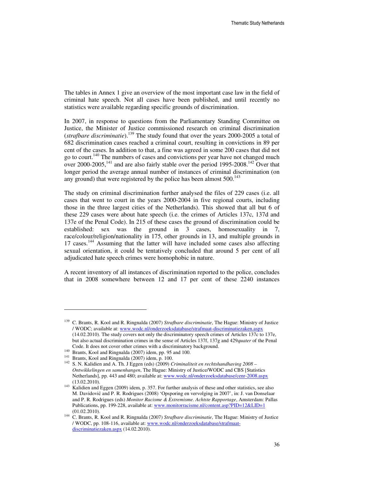The tables in Annex 1 give an overview of the most important case law in the field of criminal hate speech. Not all cases have been published, and until recently no statistics were available regarding specific grounds of discrimination.

In 2007, in response to questions from the Parliamentary Standing Committee on Justice, the Minister of Justice commissioned research on criminal discrimination (*strafbare discriminatie*).<sup>139</sup> The study found that over the years 2000-2005 a total of 682 discrimination cases reached a criminal court, resulting in convictions in 89 per cent of the cases. In addition to that, a fine was agreed in some 200 cases that did not go to court.<sup>140</sup> The numbers of cases and convictions per year have not changed much over 2000-2005,<sup>141</sup> and are also fairly stable over the period 1995-2008.<sup>142</sup> Over that longer period the average annual number of instances of criminal discrimination (on any ground) that were registered by the police has been almost  $500$ .<sup>143</sup>

The study on criminal discrimination further analysed the files of 229 cases (i.e. all cases that went to court in the years 2000-2004 in five regional courts, including those in the three largest cities of the Netherlands). This showed that all but 6 of these 229 cases were about hate speech (i.e. the crimes of Articles 137c, 137d and 137e of the Penal Code). In 215 of these cases the ground of discrimination could be established: sex was the ground in 3 cases, homosexuality in 7, race/colour/religion/nationality in 175, other grounds in 13, and multiple grounds in 17 cases.<sup>144</sup> Assuming that the latter will have included some cases also affecting sexual orientation, it could be tentatively concluded that around 5 per cent of all adjudicated hate speech crimes were homophobic in nature.

A recent inventory of all instances of discrimination reported to the police, concludes that in 2008 somewhere between 12 and 17 per cent of these 2240 instances

<sup>139</sup> C. Brants, R. Kool and R. Ringnalda (2007) *Strafbare discriminatie*, The Hague: Ministry of Justice / WODC; available at: www.wodc.nl/onderzoeksdatabase/strafmaat-discriminatiezaken.aspx (14.02.2010). The study covers not only the discriminatory speech crimes of Articles 137c to 137e, but also actual discrimination crimes in the sense of Articles 137f, 137g and 429*quater* of the Penal Code. It does not cover other crimes with a discriminatory background.

<sup>140</sup> Brants, Kool and Ringnalda (2007) idem, pp. 95 and 100.

<sup>141</sup> Brants, Kool and Ringnalda (2007) idem, p. 100.

<sup>142</sup> S. N. Kalidien and A. Th. J Eggen (eds) (2009) *Criminaliteit en rechtshandhaving 2008 – Ontwikkelingen en samenhangen*, The Hague: Ministry of Justice/WODC and CBS [Statistics Netherlands], pp. 443 and 480; available at: www.wodc.nl/onderzoeksdatabase/cenr-2008.aspx (13.02.2010).

<sup>&</sup>lt;sup>143</sup> Kalidien and Eggen (2009) idem, p. 357. For further analysis of these and other statistics, see also M. Davidović and P. R. Rodrigues (2008) 'Opsporing en vervolging in 2007', in: J. van Donselaar and P. R. Rodrigues (eds) *Monitor Racisme & Extremisme. Achtste Rapportage*, Amsterdam: Pallas Publications, pp. 199-228, available at: www.monitorracisme.nl/content.asp?PID=12&LID=1 (01.02.2010).

<sup>144</sup> C. Brants, R. Kool and R. Ringnalda (2007) *Strafbare discriminatie*, The Hague: Ministry of Justice / WODC, pp. 108-116, available at: www.wodc.nl/onderzoeksdatabase/strafmaatdiscriminatiezaken.aspx (14.02.2010).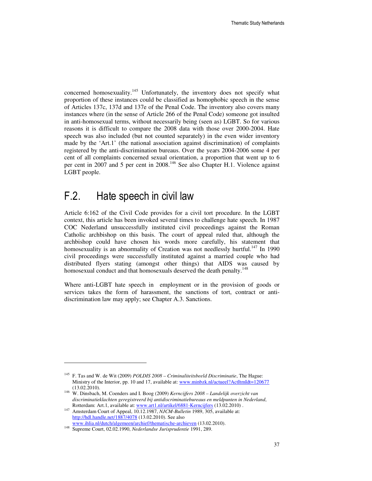concerned homosexuality.<sup>145</sup> Unfortunately, the inventory does not specify what proportion of these instances could be classified as homophobic speech in the sense of Articles 137c, 137d and 137e of the Penal Code. The inventory also covers many instances where (in the sense of Article 266 of the Penal Code) someone got insulted in anti-homosexual terms, without necessarily being (seen as) LGBT. So for various reasons it is difficult to compare the 2008 data with those over 2000-2004. Hate speech was also included (but not counted separately) in the even wider inventory made by the 'Art.1' (the national association against discrimination) of complaints registered by the anti-discrimination bureaus. Over the years 2004-2006 some 4 per cent of all complaints concerned sexual orientation, a proportion that went up to 6 per cent in 2007 and 5 per cent in 2008.<sup>146</sup> See also Chapter H.1. Violence against LGBT people.

### F.2. Hate speech in civil law

Article 6:162 of the Civil Code provides for a civil tort procedure. In the LGBT context, this article has been invoked several times to challenge hate speech. In 1987 COC Nederland unsuccessfully instituted civil proceedings against the Roman Catholic archbishop on this basis. The court of appeal ruled that, although the archbishop could have chosen his words more carefully, his statement that homosexuality is an abnormality of Creation was not needlessly hurtful.<sup>147</sup> In 1990 civil proceedings were successfully instituted against a married couple who had distributed flyers stating (amongst other things) that AIDS was caused by homosexual conduct and that homosexuals deserved the death penalty.<sup>148</sup>

Where anti-LGBT hate speech in employment or in the provision of goods or services takes the form of harassment, the sanctions of tort, contract or antidiscrimination law may apply; see Chapter A.3. Sanctions.

l

<sup>145</sup> F. Tas and W. de Wit (2009) *POLDIS 2008 – Criminaliteitsbeeld Discriminatie*, The Hague: Ministry of the Interior, pp. 10 and 17, available at: www.minbzk.nl/actueel?ActItmIdt=120677 (13.02.2010).

<sup>146</sup> W. Dinsbach, M. Coenders and I. Boog (2009) *Kerncijfers 2008 – Landelijk overzicht van discriminatieklachten geregistreerd bij antidiscriminatiebureaus en meldpunten in Nederland*, Rotterdam: Art.1, available at: www.art1.nl/artikel/6881-Kerncijfers (13.02.2010) .

<sup>147</sup> Amsterdam Court of Appeal, 10.12.1987, *NJCM-Bulletin* 1989, 305, available at: http://hdl.handle.net/1887/4078 (13.02.2010). See also www.ihlia.nl/dutch/algemeen/archief/thematische-archieven (13.02.2010).

<sup>148</sup> Supreme Court, 02.02.1990, *Nederlandse Jurisprudentie* 1991, 289.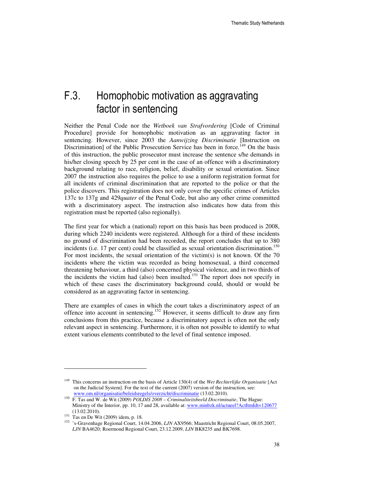## F.3. Homophobic motivation as aggravating factor in sentencing

Neither the Penal Code nor the *Wetboek van Strafvordering* [Code of Criminal Procedure] provide for homophobic motivation as an aggravating factor in sentencing. However, since 2003 the *Aanwijzing Discriminatie* [Instruction on Discrimination] of the Public Prosecution Service has been in force.<sup>149</sup> On the basis of this instruction, the public prosecutor must increase the sentence s/he demands in his/her closing speech by 25 per cent in the case of an offence with a discriminatory background relating to race, religion, belief, disability or sexual orientation. Since 2007 the instruction also requires the police to use a uniform registration format for all incidents of criminal discrimination that are reported to the police or that the police discovers. This registration does not only cover the specific crimes of Articles 137c to 137g and 429*quater* of the Penal Code, but also any other crime committed with a discriminatory aspect. The instruction also indicates how data from this registration must be reported (also regionally).

The first year for which a (national) report on this basis has been produced is 2008, during which 2240 incidents were registered. Although for a third of these incidents no ground of discrimination had been recorded, the report concludes that up to 380 incidents (i.e. 17 per cent) could be classified as sexual orientation discrimination.<sup>150</sup> For most incidents, the sexual orientation of the victim(s) is not known. Of the 70 incidents where the victim was recorded as being homosexual, a third concerned threatening behaviour, a third (also) concerned physical violence, and in two thirds of the incidents the victim had (also) been insulted.<sup>151</sup> The report does not specify in which of these cases the discriminatory background could, should or would be considered as an aggravating factor in sentencing.

There are examples of cases in which the court takes a discriminatory aspect of an offence into account in sentencing.<sup>152</sup> However, it seems difficult to draw any firm conclusions from this practice, because a discriminatory aspect is often not the only relevant aspect in sentencing. Furthermore, it is often not possible to identify to what extent various elements contributed to the level of final sentence imposed.

l

<sup>149</sup> This concerns an instruction on the basis of Article 130(4) of the *Wet Rechterlijke Organisatie* [Act on the Judicial System]. For the text of the current (2007) version of the instruction, see: www.om.nl/organisatie/beleidsregels/overzicht/discriminatie (13.02.2010).

<sup>150</sup> F. Tas and W. de Wit (2009) *POLDIS 2008 – Criminaliteitsbeeld Discriminatie*, The Hague: Ministry of the Interior, pp. 10, 17 and 28, available at: www.minbzk.nl/actueel?ActItmIdt=120677 (13.02.2010).

 $151$  Tas en De Wit (2009) idem, p. 18.

<sup>152</sup> 's-Gravenhage Regional Court, 14.04.2006, *LJN* AX9566; Maastricht Regional Court, 08.05.2007, *LJN* BA4620; Roermond Regional Court, 23.12.2009, *LJN* BK8235 and BK7698.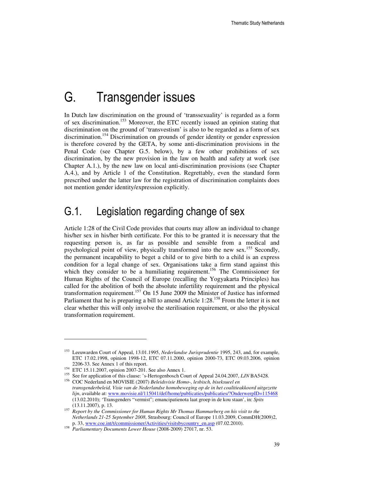## G. Transgender issues

In Dutch law discrimination on the ground of 'transsexuality' is regarded as a form of sex discrimination.<sup>153</sup> Moreover, the ETC recently issued an opinion stating that discrimination on the ground of 'transvestism' is also to be regarded as a form of sex discrimination.<sup>154</sup> Discrimination on grounds of gender identity or gender expression is therefore covered by the GETA, by some anti-discrimination provisions in the Penal Code (see Chapter G.5. below), by a few other prohibitions of sex discrimination, by the new provision in the law on health and safety at work (see Chapter A.1.), by the new law on local anti-discrimination provisions (see Chapter A.4.), and by Article 1 of the Constitution. Regrettably, even the standard form prescribed under the latter law for the registration of discrimination complaints does not mention gender identity/expression explicitly.

### G.1. Legislation regarding change of sex

Article 1:28 of the Civil Code provides that courts may allow an individual to change his/her sex in his/her birth certificate. For this to be granted it is necessary that the requesting person is, as far as possible and sensible from a medical and psychological point of view, physically transformed into the new sex.<sup>155</sup> Secondly, the permanent incapability to beget a child or to give birth to a child is an express condition for a legal change of sex. Organisations take a firm stand against this which they consider to be a humiliating requirement.<sup>156</sup> The Commissioner for Human Rights of the Council of Europe (recalling the Yogyakarta Principles) has called for the abolition of both the absolute infertility requirement and the physical transformation requirement.<sup>157</sup> On 15 June 2009 the Minister of Justice has informed Parliament that he is preparing a bill to amend Article  $1:28^{158}$  From the letter it is not clear whether this will only involve the sterilisation requirement, or also the physical transformation requirement.

 $\overline{a}$ 

<sup>153</sup> Leeuwarden Court of Appeal, 13.01.1995, *Nederlandse Jurisprudentie* 1995, 243, and, for example, ETC 17.02.1998, opinion 1998-12, ETC 07.11.2000, opinion 2000-73, ETC 09.03.2006, opinion 2206-33. See Annex 1 of this report.

<sup>154</sup> ETC 15.11.2007, opinion 2007-201. See also Annex 1.

<sup>155</sup> See for application of this clause: 's-Hertogenbosch Court of Appeal 24.04.2007, *LJN* BA5428.

<sup>156</sup> COC Nederland en MOVISIE (2007) *Beleidsvisie Homo-, lesbisch, biseksueel en transgenderbeleid, Visie van de Nederlandse homobeweging op de in het coalitieakkoord uitgezette lijn*, available at: www.movisie.nl/115041/def/home/publicaties/publicaties/?OnderwerpID=115468 (13.02.2010); 'Transgenders "vermist"; emancipatienota laat groep in de kou staan', in: *Spits* (13.11.2007), p. 13.

<sup>&</sup>lt;sup>157</sup> Report by the Commissioner for Human Rights Mr Thomas Hammarberg on his visit to the *Netherlands 21-25 September 2008*, Strasbourg: Council of Europe 11.03.2009, CommDH(2009)2, p. 33, www.coe.int/t/commissioner/Activities/visitsbycountry\_en.asp (07.02.2010).

<sup>158</sup> *Parliamentary Documents Lower House* (2008-2009) 27017, nr. 53.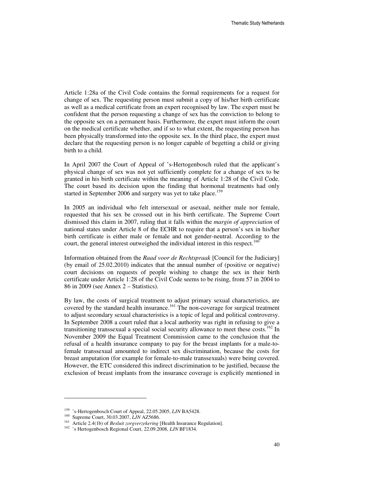Article 1:28a of the Civil Code contains the formal requirements for a request for change of sex. The requesting person must submit a copy of his/her birth certificate as well as a medical certificate from an expert recognised by law. The expert must be confident that the person requesting a change of sex has the conviction to belong to the opposite sex on a permanent basis. Furthermore, the expert must inform the court on the medical certificate whether, and if so to what extent, the requesting person has been physically transformed into the opposite sex. In the third place, the expert must declare that the requesting person is no longer capable of begetting a child or giving birth to a child.

In April 2007 the Court of Appeal of 's-Hertogenbosch ruled that the applicant's physical change of sex was not yet sufficiently complete for a change of sex to be granted in his birth certificate within the meaning of Article 1:28 of the Civil Code. The court based its decision upon the finding that hormonal treatments had only started in September 2006 and surgery was yet to take place.<sup>159</sup>

In 2005 an individual who felt intersexual or asexual, neither male nor female, requested that his sex be crossed out in his birth certificate. The Supreme Court dismissed this claim in 2007, ruling that it falls within the *margin of appreciation* of national states under Article 8 of the ECHR to require that a person's sex in his/her birth certificate is either male or female and not gender-neutral. According to the court, the general interest outweighed the individual interest in this respect.<sup>160</sup>

Information obtained from the *Raad voor de Rechtspraak* [Council for the Judiciary] (by email of 25.02.2010) indicates that the annual number of (positive or negative) court decisions on requests of people wishing to change the sex in their birth certificate under Article 1:28 of the Civil Code seems to be rising, from 57 in 2004 to 86 in 2009 (see Annex 2 – Statistics).

By law, the costs of surgical treatment to adjust primary sexual characteristics, are covered by the standard health insurance.<sup>161</sup> The non-coverage for surgical treatment to adjust secondary sexual characteristics is a topic of legal and political controversy. In September 2008 a court ruled that a local authority was right in refusing to give a transitioning transsexual a special social security allowance to meet these costs.<sup>162</sup> In November 2009 the Equal Treatment Commission came to the conclusion that the refusal of a health insurance company to pay for the breast implants for a male-tofemale transsexual amounted to indirect sex discrimination, because the costs for breast amputation (for example for female-to-male transsexuals) were being covered. However, the ETC considered this indirect discrimination to be justified, because the exclusion of breast implants from the insurance coverage is explicitly mentioned in

 $\overline{a}$ 

<sup>159</sup> 's-Hertogenbosch Court of Appeal, 22.05.2005, *LJN* BA5428.

<sup>160</sup> Supreme Court, 30.03.2007, *LJN* AZ5686.

<sup>161</sup> Article 2.4(1b) of *Besluit zorgverzekering* [Health Insurance Regulation].

<sup>162</sup> 's Hertogenbosch Regional Court, 22.09.2008, *LJN* BF1834.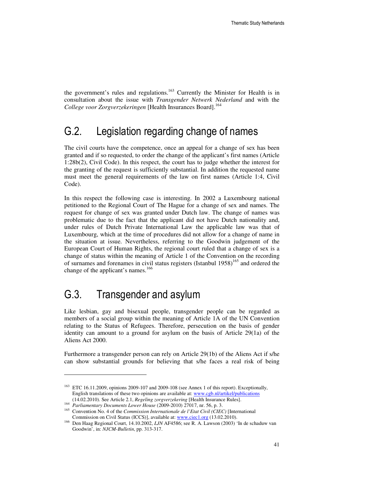the government's rules and regulations.<sup>163</sup> Currently the Minister for Health is in consultation about the issue with *Transgender Netwerk Nederland* and with the *College voor Zorgverzekeringen* [Health Insurances Board].<sup>164</sup>

### G.2. Legislation regarding change of names

The civil courts have the competence, once an appeal for a change of sex has been granted and if so requested, to order the change of the applicant's first names (Article 1:28b(2), Civil Code). In this respect, the court has to judge whether the interest for the granting of the request is sufficiently substantial. In addition the requested name must meet the general requirements of the law on first names (Article 1:4, Civil Code).

In this respect the following case is interesting. In 2002 a Luxembourg national petitioned to the Regional Court of The Hague for a change of sex and names. The request for change of sex was granted under Dutch law. The change of names was problematic due to the fact that the applicant did not have Dutch nationality and, under rules of Dutch Private International Law the applicable law was that of Luxembourg, which at the time of procedures did not allow for a change of name in the situation at issue. Nevertheless, referring to the Goodwin judgement of the European Court of Human Rights, the regional court ruled that a change of sex is a change of status within the meaning of Article 1 of the Convention on the recording of surnames and forenames in civil status registers (Istanbul  $1958$ )<sup>165</sup> and ordered the change of the applicant's names.<sup>166</sup>

## G.3. Transgender and asylum

l

Like lesbian, gay and bisexual people, transgender people can be regarded as members of a social group within the meaning of Article 1A of the UN Convention relating to the Status of Refugees. Therefore, persecution on the basis of gender identity can amount to a ground for asylum on the basis of Article 29(1a) of the Aliens Act 2000.

Furthermore a transgender person can rely on Article 29(1b) of the Aliens Act if s/he can show substantial grounds for believing that s/he faces a real risk of being

<sup>&</sup>lt;sup>163</sup> ETC 16.11.2009, opinions 2009-107 and 2009-108 (see Annex 1 of this report). Exceptionally, English translations of these two opinions are available at: www.cgb.nl/artikel/publications (14.02.2010). See Article 2.1, *Regeling zorgverzekering* [Health Insurance Rules].

<sup>164</sup> *Parliamentary Documents Lower House* (2009-2010) 27017, nr. 56, p. 3.

<sup>165</sup> Convention No. 4 of the *Commission Internationale de l'Etat Civil (CIEC)* [International Commission on Civil Status (ICCS)], available at: www.ciec1.org (13.02.2010).

<sup>166</sup> Den Haag Regional Court, 14.10.2002, *LJN* AF4586; see R. A. Lawson (2003) 'In de schaduw van Goodwin', in: *NJCM-Bulletin*, pp. 313-317.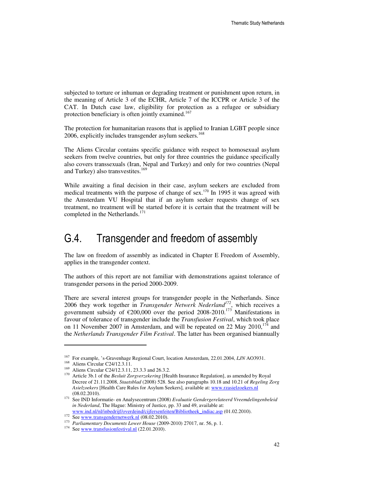subjected to torture or inhuman or degrading treatment or punishment upon return, in the meaning of Article 3 of the ECHR, Article 7 of the ICCPR or Article 3 of the CAT. In Dutch case law, eligibility for protection as a refugee or subsidiary protection beneficiary is often jointly examined.<sup>167</sup>

The protection for humanitarian reasons that is applied to Iranian LGBT people since 2006, explicitly includes transgender asylum seekers.<sup>168</sup>

The Aliens Circular contains specific guidance with respect to homosexual asylum seekers from twelve countries, but only for three countries the guidance specifically also covers transsexuals (Iran, Nepal and Turkey) and only for two countries (Nepal and Turkey) also transvestites.<sup>169</sup>

While awaiting a final decision in their case, asylum seekers are excluded from medical treatments with the purpose of change of sex.<sup>170</sup> In 1995 it was agreed with the Amsterdam VU Hospital that if an asylum seeker requests change of sex treatment, no treatment will be started before it is certain that the treatment will be completed in the Netherlands.<sup>171</sup>

### G.4. Transgender and freedom of assembly

The law on freedom of assembly as indicated in Chapter E Freedom of Assembly, applies in the transgender context.

The authors of this report are not familiar with demonstrations against tolerance of transgender persons in the period 2000-2009.

There are several interest groups for transgender people in the Netherlands. Since 2006 they work together in *Transgender Netwerk Nederland<sup>172</sup>*, which receives a government subsidy of  $\epsilon$ 200,000 over the period 2008-2010.<sup>173</sup> Manifestations in favour of tolerance of transgender include the *Transfusion Festival*, which took place on 11 November 2007 in Amsterdam, and will be repeated on 22 May 2010,  $174$  and the *Netherlands Transgender Film Festival*. The latter has been organised biannually

 $\overline{a}$ 

<sup>167</sup> For example, 's-Gravenhage Regional Court, location Amsterdam, 22.01.2004, *LJN* AO3931.

<sup>&</sup>lt;sup>168</sup> Aliens Circular C24/12.3.11.

<sup>&</sup>lt;sup>169</sup> Aliens Circular C24/12.3.11, 23.3.3 and 26.3.2.

<sup>170</sup> Article 3b.1 of the *Besluit Zorgverzekering* [Health Insurance Regulation], as amended by Royal Decree of 21.11.2008, *Staatsblad* (2008) 528. See also paragraphs 10.18 and 10.21 of *Regeling Zorg Asielzoekers* [Health Care Rules for Asylum Seekers]*,* available at: www.rzasielzoekers.nl (08.02.2010).

<sup>171</sup> See IND Informatie- en Analysecentrum (2008) *Evaluatie Gendergerelateerd Vreemdelingenbeleid in Nederland*, The Hague: Ministry of Justice, pp. 33 and 49, available at: www.ind.nl/nl/inbedrijf/overdeind/cijfersenfeiten/Bibliotheek\_indiac.asp (01.02.2010).

 $172$  See www.transgendernetwerk.nl (08.02.2010).

<sup>173</sup> *Parliamentary Documents Lower House* (2009-2010) 27017, nr. 56, p. 1.

<sup>&</sup>lt;sup>174</sup> See www.transfusionfestival.nl  $(22.01.2010)$ .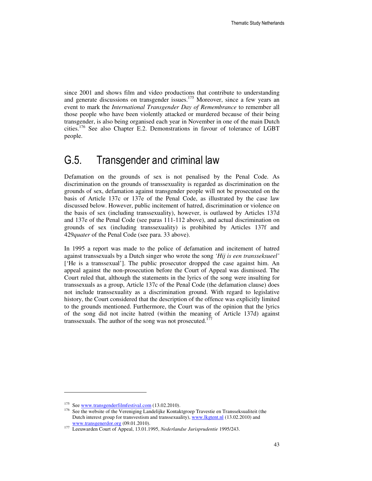since 2001 and shows film and video productions that contribute to understanding and generate discussions on transgender issues.<sup>175</sup> Moreover, since a few years an event to mark the *International Transgender Day of Remembrance* to remember all those people who have been violently attacked or murdered because of their being transgender, is also being organised each year in November in one of the main Dutch cities.<sup>176</sup> See also Chapter E.2. Demonstrations in favour of tolerance of LGBT people.

### G.5. Transgender and criminal law

Defamation on the grounds of sex is not penalised by the Penal Code. As discrimination on the grounds of transsexuality is regarded as discrimination on the grounds of sex, defamation against transgender people will not be prosecuted on the basis of Article 137c or 137e of the Penal Code, as illustrated by the case law discussed below. However, public incitement of hatred, discrimination or violence on the basis of sex (including transsexuality), however, is outlawed by Articles 137d and 137e of the Penal Code (see paras 111-112 above), and actual discrimination on grounds of sex (including transsexuality) is prohibited by Articles 137f and 429*quater* of the Penal Code (see para. 33 above).

In 1995 a report was made to the police of defamation and incitement of hatred against transsexuals by a Dutch singer who wrote the song *'Hij is een transseksueel'*  ['He is a transsexual']. The public prosecutor dropped the case against him. An appeal against the non-prosecution before the Court of Appeal was dismissed. The Court ruled that, although the statements in the lyrics of the song were insulting for transsexuals as a group, Article 137c of the Penal Code (the defamation clause) does not include transsexuality as a discrimination ground. With regard to legislative history, the Court considered that the description of the offence was explicitly limited to the grounds mentioned. Furthermore, the Court was of the opinion that the lyrics of the song did not incite hatred (within the meaning of Article 137d) against transsexuals. The author of the song was not prosecuted.<sup>177</sup>

 $\overline{a}$ 

<sup>&</sup>lt;sup>175</sup> See www.transgenderfilmfestival.com (13.02.2010).

<sup>&</sup>lt;sup>176</sup> See the website of the Vereniging Landelijke Kontaktgroep Travestie en Transseksualiteit (the Dutch interest group for transvestism and transsexuality), www.lkgtent.nl (13.02.2010) and www.transgenerdor.org (09.01.2010).

<sup>177</sup> Leeuwarden Court of Appeal, 13.01.1995, *Nederlandse Jurisprudentie* 1995/243.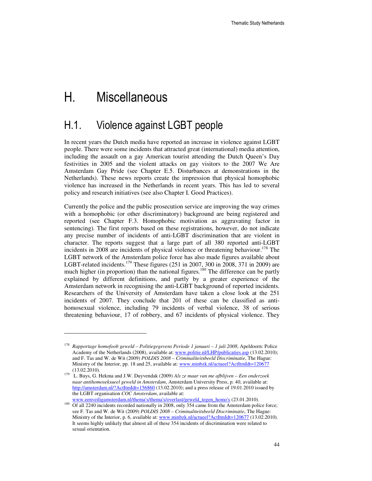# H. Miscellaneous

 $\overline{a}$ 

### H.1. Violence against LGBT people

In recent years the Dutch media have reported an increase in violence against LGBT people. There were some incidents that attracted great (international) media attention, including the assault on a gay American tourist attending the Dutch Queen's Day festivities in 2005 and the violent attacks on gay visitors to the 2007 We Are Amsterdam Gay Pride (see Chapter E.5. Disturbances at demonstrations in the Netherlands). These news reports create the impression that physical homophobic violence has increased in the Netherlands in recent years. This has led to several policy and research initiatives (see also Chapter I. Good Practices).

Currently the police and the public prosecution service are improving the way crimes with a homophobic (or other discriminatory) background are being registered and reported (see Chapter F.3. Homophobic motivation as aggravating factor in sentencing). The first reports based on these registrations, however, do not indicate any precise number of incidents of anti-LGBT discrimination that are violent in character. The reports suggest that a large part of all 380 reported anti-LGBT incidents in 2008 are incidents of physical violence or threatening behaviour.<sup>178</sup> The LGBT network of the Amsterdam police force has also made figures available about LGBT-related incidents.<sup>179</sup> These figures (251 in 2007, 300 in 2008, 371 in 2009) are much higher (in proportion) than the national figures.<sup>180</sup> The difference can be partly explained by different definitions, and partly by a greater experience of the Amsterdam network in recognising the anti-LGBT background of reported incidents. Researchers of the University of Amsterdam have taken a close look at the 251 incidents of 2007. They conclude that 201 of these can be classified as antihomosexual violence, including 79 incidents of verbal violence, 38 of serious threatening behaviour, 17 of robbery, and 67 incidents of physical violence. They

<sup>178</sup> *Rapportage homofoob geweld – Politiegegevens Periode 1 januari – 1 juli 2008*, Apeldoorn: Police Academy of the Netherlands (2008), available at: www.politie.nl/LHP/publicaties.asp (13.02.2010); and F. Tas and W. de Wit (2009) *POLDIS 2008 – Criminaliteitsbeeld Discriminatie*, The Hague: Ministry of the Interior, pp. 18 and 25, available at: www.minbzk.nl/actueel?ActItmIdt=120677 (13.02.2010).

<sup>179</sup> L. Buys, G. Hekma and J.W. Duyvendak (2009) *Als ze maar van me afblijven – Een onderzoek naar antihomoseksueel geweld in Amsterdam*, Amsterdam University Press, p. 40, available at: http://amsterdam.nl/?ActItmIdt=156860 (13.02.2010); and a press release of 19.01.2010 issued by the LGBT organisation *COC Amsterdam*, available at:

www.eenveiligamsterdam.nl/thema's/thema's/overlast/geweld\_tegen\_homo's (23.01.2010). <sup>180</sup> Of all 2240 incidents recorded nationally in 2008, only 354 came from the Amsterdam police force; see F. Tas and W. de Wit (2009) *POLDIS 2008 – Criminaliteitsbeeld Discriminatie*, The Hague: Ministry of the Interior, p. 6, available at: www.minbzk.nl/actueel?ActItmIdt=120677 (13.02.2010). It seems highly unlikely that almost all of these 354 incidents of discrimination were related to sexual orientation.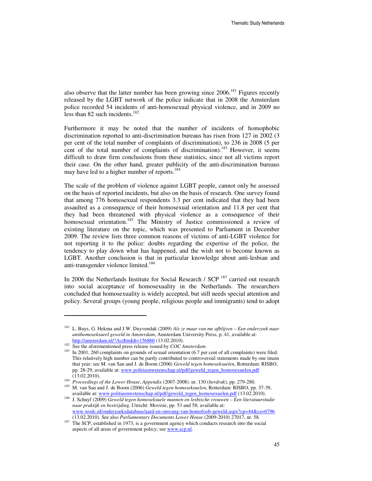also observe that the latter number has been growing since  $2006$ .<sup>181</sup> Figures recently released by the LGBT network of the police indicate that in 2008 the Amsterdam police recorded 54 incidents of anti-homosexual physical violence, and in 2009 no less than 82 such incidents. $182$ 

Furthermore it may be noted that the number of incidents of homophobic discrimination reported to anti-discrimination bureaus has risen from 127 in 2002 (3 per cent of the total number of complaints of discrimination), to 236 in 2008 (5 per cent of the total number of complaints of discrimination).<sup>183</sup> However, it seems difficult to draw firm conclusions from these statistics, since not all victims report their case. On the other hand, greater publicity of the anti-discrimination bureaus may have led to a higher number of reports.<sup>184</sup>

The scale of the problem of violence against LGBT people, cannot only be assessed on the basis of reported incidents, but also on the basis of research. One survey found that among 776 homosexual respondents 3.3 per cent indicated that they had been assaulted as a consequence of their homosexual orientation and 11.8 per cent that they had been threatened with physical violence as a consequence of their homosexual orientation.<sup>185</sup> The Ministry of Justice commissioned a review of existing literature on the topic, which was presented to Parliament in December 2009. The review lists three common reasons of victims of anti-LGBT violence for not reporting it to the police: doubts regarding the expertise of the police, the tendency to play down what has happened, and the wish not to become known as LGBT. Another conclusion is that in particular knowledge about anti-lesbian and anti-transgender violence limited.<sup>186</sup>

In 2006 the Netherlands Institute for Social Research / SCP<sup>187</sup> carried out research into social acceptance of homosexuality in the Netherlands. The researchers concluded that homosexuality is widely accepted, but still needs special attention and policy. Several groups (young people, religious people and immigrants) tend to adopt

 $\overline{a}$ 

<sup>181</sup> L. Buys, G. Hekma and J.W. Duyvendak (2009) *Als ze maar van me afblijven – Een onderzoek naar antihomoseksueel geweld in Amsterdam*, Amsterdam University Press, p. 41, available at: http://amsterdam.nl/?ActItmIdt=156860 (13.02.2010).

<sup>&</sup>lt;sup>182</sup> See the aforementioned press release issued by *COC Amsterdam*.

<sup>&</sup>lt;sup>183</sup> In 2001, 260 complaints on grounds of sexual orientation (6.7 per cent of all complaints) were filed. This relatively high number can be partly contributed to controversial statements made by one imam that year; see M. van San and J. de Boom (2006) *Geweld tegen homoseksuelen*, Rotterdam: RISBO, pp. 28-29, available at: www.politieenwetenschap.nl/pdf/geweld\_tegen\_homosexuelen.pdf (13.02.2010).

<sup>184</sup> *Proceedings of the Lower House*, *Appendix* (2007-2008). nr. 130 (*herdruk*), pp. 279-280.

<sup>185</sup> M. van San and J. de Boom (2006) *Geweld tegen homoseksuelen*, Rotterdam: RISBO, pp. 37-39, available at: www.politieenwetenschap.nl/pdf/geweld\_tegen\_homosexuelen.pdf (13.02.2010).

<sup>186</sup> J. Schuyf (2009) *Geweld tegen homoseksuele mannen en lesbische vrouwen – Een literatuurstudie naar praktijk en bestrijding*, Utrecht: Movisie, pp. 53 and 58; available at: www.wodc.nl/onderzoeksdatabase/aard-en-omvang-van-homofoob-geweld.aspx?cp=44&cs=6796 (13.02.2010). See also *Parliamentary Documents Lower House* (2009-2010) 27017, nr. 58.

<sup>&</sup>lt;sup>187</sup> The SCP, established in 1973, is a government agency which conducts research into the social aspects of all areas of government policy; see www.scp.nl.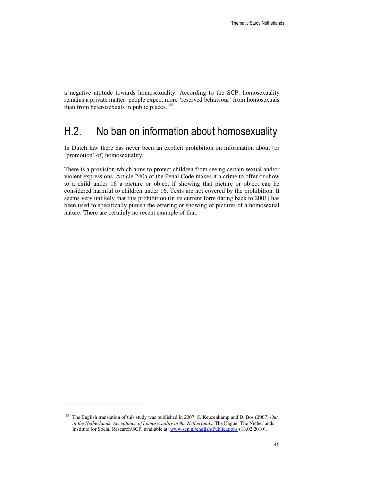a negative attitude towards homosexuality. According to the SCP, homosexuality remains a private matter: people expect more 'reserved behaviour' from homosexuals than from heterosexuals in public places. $188$ 

### H.2. No ban on information about homosexuality

In Dutch law there has never been an explicit prohibition on information about (or 'promotion' of) homosexuality.

There is a provision which aims to protect children from seeing certain sexual and/or violent expressions. Article 240a of the Penal Code makes it a crime to offer or show to a child under 16 a picture or object if showing that picture or object can be considered harmful to children under 16. Texts are not covered by the prohibition. It seems very unlikely that this prohibition (in its current form dating back to 2001) has been used to specifically punish the offering or showing of pictures of a homosexual nature. There are certainly no recent example of that.

 $\overline{a}$ 

<sup>188</sup> The English translation of this study was published in 2007: S. Keuzenkamp and D. Bos (2007) *Out in the Netherlands. Acceptance of homosexuality in the Netherlands*, The Hague: The Netherlands Institute for Social Research/SCP, available at: www.scp.nl/english/Publications (13.02.2010).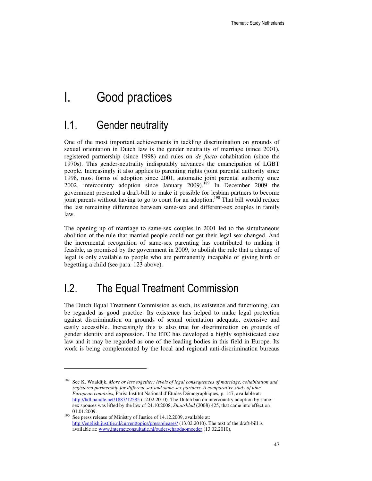## I. Good practices

### I.1. Gender neutrality

l

One of the most important achievements in tackling discrimination on grounds of sexual orientation in Dutch law is the gender neutrality of marriage (since 2001), registered partnership (since 1998) and rules on *de facto* cohabitation (since the 1970s). This gender-neutrality indisputably advances the emancipation of LGBT people. Increasingly it also applies to parenting rights (joint parental authority since 1998, most forms of adoption since 2001, automatic joint parental authority since 2002, intercountry adoption since January 2009).<sup>189</sup> In December 2009 the government presented a draft-bill to make it possible for lesbian partners to become joint parents without having to go to court for an adoption.<sup>190</sup> That bill would reduce the last remaining difference between same-sex and different-sex couples in family law.

The opening up of marriage to same-sex couples in 2001 led to the simultaneous abolition of the rule that married people could not get their legal sex changed. And the incremental recognition of same-sex parenting has contributed to making it feasible, as promised by the government in 2009, to abolish the rule that a change of legal is only available to people who are permanently incapable of giving birth or begetting a child (see para. 123 above).

### I.2. The Equal Treatment Commission

The Dutch Equal Treatment Commission as such, its existence and functioning, can be regarded as good practice. Its existence has helped to make legal protection against discrimination on grounds of sexual orientation adequate, extensive and easily accessible. Increasingly this is also true for discrimination on grounds of gender identity and expression. The ETC has developed a highly sophisticated case law and it may be regarded as one of the leading bodies in this field in Europe. Its work is being complemented by the local and regional anti-discrimination bureaus

<sup>189</sup> See K. Waaldijk, *More or less together: levels of legal consequences of marriage, cohabitation and registered partnership for different-sex and same-sex partners. A comparative study of nine European countries,* Paris: Institut National d'Études Démographiques, p. 147, available at: http://hdl.handle.net/1887/12585 (12.02.2010). The Dutch ban on intercountry adoption by samesex spouses was lifted by the law of 24.10.2008, *Staatsblad* (2008) 425, that came into effect on 01.01.2009.

<sup>&</sup>lt;sup>190</sup> See press release of Ministry of Justice of 14.12.2009, available at: http://english.justitie.nl/currenttopics/pressreleases/ (13.02.2010). The text of the draft-bill is available at: www.internetconsultatie.nl/ouderschapduomoeder (13.02.2010).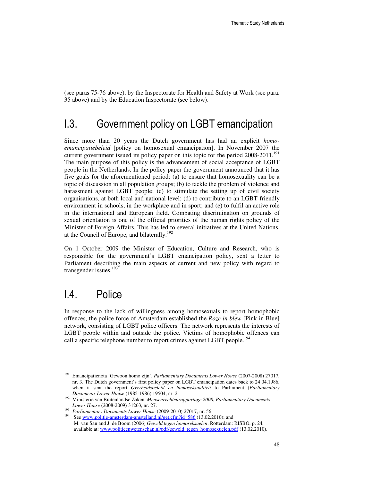(see paras 75-76 above), by the Inspectorate for Health and Safety at Work (see para. 35 above) and by the Education Inspectorate (see below).

### I.3. Government policy on LGBT emancipation

Since more than 20 years the Dutch government has had an explicit *homoemancipatiebeleid* [policy on homosexual emancipation]. In November 2007 the current government issued its policy paper on this topic for the period  $2008-2011$ .<sup>191</sup> The main purpose of this policy is the advancement of social acceptance of LGBT people in the Netherlands. In the policy paper the government announced that it has five goals for the aforementioned period: (a) to ensure that homosexuality can be a topic of discussion in all population groups; (b) to tackle the problem of violence and harassment against LGBT people; (c) to stimulate the setting up of civil society organisations, at both local and national level; (d) to contribute to an LGBT-friendly environment in schools, in the workplace and in sport; and (e) to fulfil an active role in the international and European field. Combating discrimination on grounds of sexual orientation is one of the official priorities of the human rights policy of the Minister of Foreign Affairs. This has led to several initiatives at the United Nations, at the Council of Europe, and bilaterally.<sup>192</sup>

On 1 October 2009 the Minister of Education, Culture and Research, who is responsible for the government's LGBT emancipation policy, sent a letter to Parliament describing the main aspects of current and new policy with regard to transgender issues.<sup>193</sup>

### I.4. Police

l

In response to the lack of willingness among homosexuals to report homophobic offences, the police force of Amsterdam established the *Roze in blew* [Pink in Blue] network, consisting of LGBT police officers. The network represents the interests of LGBT people within and outside the police. Victims of homophobic offences can call a specific telephone number to report crimes against LGBT people.<sup>194</sup>

<sup>191</sup> Emancipatienota 'Gewoon homo zijn', *Parliamentary Documents Lower House* (2007-2008) 27017, nr. 3. The Dutch government's first policy paper on LGBT emancipation dates back to 24.04.1986, when it sent the report *Overheidsbeleid en homoseksualiteit* to Parliament (*Parliamentary Documents Lower House* (1985-1986) 19504, nr. 2.

<sup>192</sup> Ministerie van Buitenlandse Zaken, *Mensenrechtenrapportage 2008*, *Parliamentary Documents Lower House* (2008-2009) 31263, nr. 27.

<sup>193</sup> *Parliamentary Documents Lower House* (2009-2010) 27017, nr. 56.

<sup>&</sup>lt;sup>194</sup> See www.politie-amsterdam-amstelland.nl/get.cfm?id=586 (13.02.2010); and M. van San and J. de Boom (2006) *Geweld tegen homoseksuelen*, Rotterdam: RISBO, p. 24, available at: www.politieenwetenschap.nl/pdf/geweld\_tegen\_homosexuelen.pdf (13.02.2010).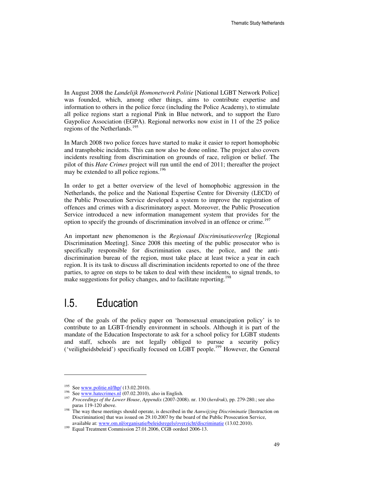In August 2008 the *Landelijk Homonetwerk Politie* [National LGBT Network Police] was founded, which, among other things, aims to contribute expertise and information to others in the police force (including the Police Academy), to stimulate all police regions start a regional Pink in Blue network, and to support the Euro Gaypolice Association (EGPA). Regional networks now exist in 11 of the 25 police regions of the Netherlands.<sup>195</sup>

In March 2008 two police forces have started to make it easier to report homophobic and transphobic incidents. This can now also be done online. The project also covers incidents resulting from discrimination on grounds of race, religion or belief. The pilot of this *Hate Crimes* project will run until the end of 2011; thereafter the project may be extended to all police regions.<sup>196</sup>

In order to get a better overview of the level of homophobic aggression in the Netherlands, the police and the National Expertise Centre for Diversity (LECD) of the Public Prosecution Service developed a system to improve the registration of offences and crimes with a discriminatory aspect. Moreover, the Public Prosecution Service introduced a new information management system that provides for the option to specify the grounds of discrimination involved in an offence or crime.<sup>197</sup>

An important new phenomenon is the *Regionaal Discriminatieoverleg* [Regional Discrimination Meeting]. Since 2008 this meeting of the public prosecutor who is specifically responsible for discrimination cases, the police, and the antidiscrimination bureau of the region, must take place at least twice a year in each region. It is its task to discuss all discrimination incidents reported to one of the three parties, to agree on steps to be taken to deal with these incidents, to signal trends, to make suggestions for policy changes, and to facilitate reporting.<sup>198</sup>

### I.5. Education

One of the goals of the policy paper on 'homosexual emancipation policy' is to contribute to an LGBT-friendly environment in schools. Although it is part of the mandate of the Education Inspectorate to ask for a school policy for LGBT students and staff, schools are not legally obliged to pursue a security policy ('veiligheidsbeleid') specifically focused on LGBT people.<sup>199</sup> However, the General

l

<sup>&</sup>lt;sup>195</sup> See www.politie.nl/lhp/  $(13.02.2010)$ .

<sup>&</sup>lt;sup>196</sup> See www.hatecrimes.nl (07.02.2010), also in English.

<sup>197</sup> *Proceedings of the Lower House*, *Appendix* (2007-2008). nr. 130 (*herdruk*), pp. 279-280.; see also paras 119-120 above.

<sup>&</sup>lt;sup>198</sup> The way these meetings should operate, is described in the *Aanwijzing Discriminatie* [Instruction on Discrimination] that was issued on 29.10.2007 by the board of the Public Prosecution Service, available at: www.om.nl/organisatie/beleidsregels/overzicht/discriminatie (13.02.2010).

<sup>&</sup>lt;sup>199</sup> Equal Treatment Commission 27.01.2006, CGB oordeel 2006-13.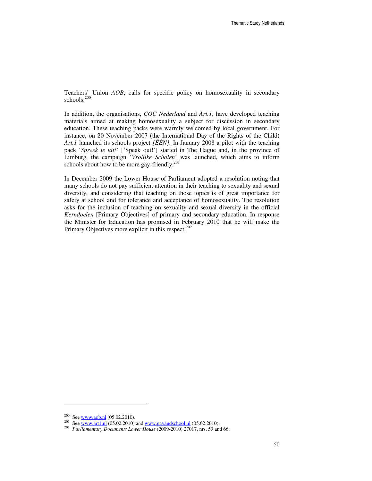Teachers' Union *AOB*, calls for specific policy on homosexuality in secondary schools.<sup>200</sup>

In addition, the organisations, *COC Nederland* and *Art.1*, have developed teaching materials aimed at making homosexuality a subject for discussion in secondary education. These teaching packs were warmly welcomed by local government. For instance, on 20 November 2007 (the International Day of the Rights of the Child) *Art.1* launched its schools project *[ÉÉN].* In January 2008 a pilot with the teaching pack '*Spreek je uit!*' ['Speak out!'] started in The Hague and, in the province of Limburg, the campaign '*Vrolijke Scholen*' was launched, which aims to inform schools about how to be more gay-friendly.<sup>201</sup>

In December 2009 the Lower House of Parliament adopted a resolution noting that many schools do not pay sufficient attention in their teaching to sexuality and sexual diversity, and considering that teaching on those topics is of great importance for safety at school and for tolerance and acceptance of homosexuality. The resolution asks for the inclusion of teaching on sexuality and sexual diversity in the official *Kerndoelen* [Primary Objectives] of primary and secondary education. In response the Minister for Education has promised in February 2010 that he will make the Primary Objectives more explicit in this respect.<sup>202</sup>

 $\overline{a}$ 

<sup>&</sup>lt;sup>200</sup> See <u>www.aob.nl</u> (05.02.2010).

<sup>&</sup>lt;sup>201</sup> See <u>www.art1.nl</u>  $(05.02.2010)$  and www.gayandschool.nl  $(05.02.2010)$ .

<sup>202</sup> *Parliamentary Documents Lower House* (2009-2010) 27017, nrs. 59 and 66.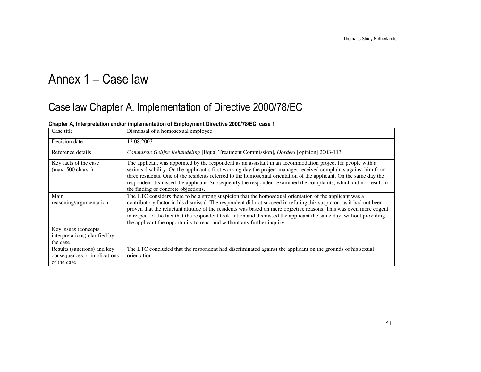# Annex 1 – Case law

## Case law Chapter A. Implementation of Directive 2000/78/EC

| Case title                                                                 | Dismissal of a homosexual employee.                                                                                                                                                                                                                                                                                                                                                                                                                                                                                                                   |
|----------------------------------------------------------------------------|-------------------------------------------------------------------------------------------------------------------------------------------------------------------------------------------------------------------------------------------------------------------------------------------------------------------------------------------------------------------------------------------------------------------------------------------------------------------------------------------------------------------------------------------------------|
| Decision date                                                              | 12.08.2003                                                                                                                                                                                                                                                                                                                                                                                                                                                                                                                                            |
| Reference details                                                          | Commissie Gelijke Behandeling [Equal Treatment Commission], Oordeel [opinion] 2003-113.                                                                                                                                                                                                                                                                                                                                                                                                                                                               |
| Key facts of the case<br>$(max. 500 \text{ chars.})$                       | The applicant was appointed by the respondent as an assistant in an accommodation project for people with a<br>serious disability. On the applicant's first working day the project manager received complaints against him from<br>three residents. One of the residents referred to the homosexual orientation of the applicant. On the same day the<br>respondent dismissed the applicant. Subsequently the respondent examined the complaints, which did not result in<br>the finding of concrete objections.                                     |
| Main<br>reasoning/argumentation                                            | The ETC considers there to be a strong suspicion that the homosexual orientation of the applicant was a<br>contributory factor in his dismissal. The respondent did not succeed in refuting this suspicion, as it had not been<br>proven that the reluctant attitude of the residents was based on mere objective reasons. This was even more cogent<br>in respect of the fact that the respondent took action and dismissed the applicant the same day, without providing<br>the applicant the opportunity to react and without any further inquiry. |
| Key issues (concepts,<br>interpretations) clarified by<br>the case         |                                                                                                                                                                                                                                                                                                                                                                                                                                                                                                                                                       |
| Results (sanctions) and key<br>consequences or implications<br>of the case | The ETC concluded that the respondent had discriminated against the applicant on the grounds of his sexual<br>orientation.                                                                                                                                                                                                                                                                                                                                                                                                                            |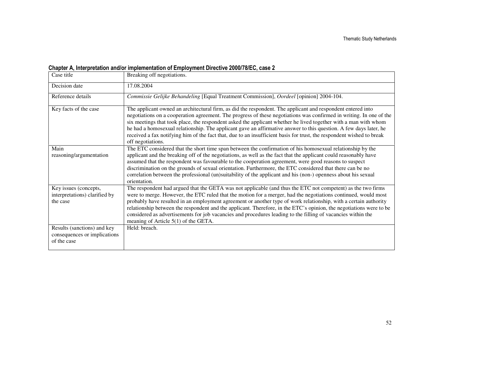| Case title                                                                 | Breaking off negotiations.                                                                                                                                                                                                                                                                                                                                                                                                                                                                                                                                                                                                          |
|----------------------------------------------------------------------------|-------------------------------------------------------------------------------------------------------------------------------------------------------------------------------------------------------------------------------------------------------------------------------------------------------------------------------------------------------------------------------------------------------------------------------------------------------------------------------------------------------------------------------------------------------------------------------------------------------------------------------------|
| Decision date                                                              | 17.08.2004                                                                                                                                                                                                                                                                                                                                                                                                                                                                                                                                                                                                                          |
| Reference details                                                          | Commissie Gelijke Behandeling [Equal Treatment Commission], Oordeel [opinion] 2004-104.                                                                                                                                                                                                                                                                                                                                                                                                                                                                                                                                             |
| Key facts of the case                                                      | The applicant owned an architectural firm, as did the respondent. The applicant and respondent entered into<br>negotiations on a cooperation agreement. The progress of these negotiations was confirmed in writing. In one of the<br>six meetings that took place, the respondent asked the applicant whether he lived together with a man with whom<br>he had a homosexual relationship. The applicant gave an affirmative answer to this question. A few days later, he<br>received a fax notifying him of the fact that, due to an insufficient basis for trust, the respondent wished to break<br>off negotiations.            |
| Main<br>reasoning/argumentation                                            | The ETC considered that the short time span between the confirmation of his homosexual relationship by the<br>applicant and the breaking off of the negotiations, as well as the fact that the applicant could reasonably have<br>assumed that the respondent was favourable to the cooperation agreement, were good reasons to suspect<br>discrimination on the grounds of sexual orientation. Furthermore, the ETC considered that there can be no<br>correlation between the professional (un)suitability of the applicant and his (non-) openness about his sexual<br>orientation.                                              |
| Key issues (concepts,<br>interpretations) clarified by<br>the case         | The respondent had argued that the GETA was not applicable (and thus the ETC not competent) as the two firms<br>were to merge. However, the ETC ruled that the motion for a merger, had the negotiations continued, would most<br>probably have resulted in an employment agreement or another type of work relationship, with a certain authority<br>relationship between the respondent and the applicant. Therefore, in the ETC's opinion, the negotiations were to be<br>considered as advertisements for job vacancies and procedures leading to the filling of vacancies within the<br>meaning of Article $5(1)$ of the GETA. |
| Results (sanctions) and key<br>consequences or implications<br>of the case | Held: breach.                                                                                                                                                                                                                                                                                                                                                                                                                                                                                                                                                                                                                       |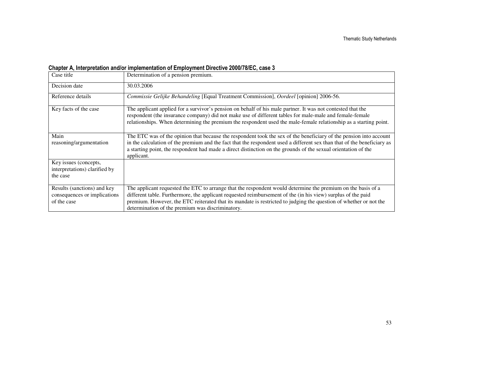| Case title                                                                 | Determination of a pension premium.                                                                                                                                                                                                                                                                                                                                                                   |
|----------------------------------------------------------------------------|-------------------------------------------------------------------------------------------------------------------------------------------------------------------------------------------------------------------------------------------------------------------------------------------------------------------------------------------------------------------------------------------------------|
| Decision date                                                              | 30.03.2006                                                                                                                                                                                                                                                                                                                                                                                            |
| Reference details                                                          | Commissie Gelijke Behandeling [Equal Treatment Commission], Oordeel [opinion] 2006-56.                                                                                                                                                                                                                                                                                                                |
| Key facts of the case                                                      | The applicant applied for a survivor's pension on behalf of his male partner. It was not contested that the<br>respondent (the insurance company) did not make use of different tables for male-male and female-female<br>relationships. When determining the premium the respondent used the male-female relationship as a starting point.                                                           |
| Main<br>reasoning/argumentation                                            | The ETC was of the opinion that because the respondent took the sex of the beneficiary of the pension into account<br>in the calculation of the premium and the fact that the respondent used a different sex than that of the beneficiary as<br>a starting point, the respondent had made a direct distinction on the grounds of the sexual orientation of the<br>applicant.                         |
| Key issues (concepts,<br>interpretations) clarified by<br>the case         |                                                                                                                                                                                                                                                                                                                                                                                                       |
| Results (sanctions) and key<br>consequences or implications<br>of the case | The applicant requested the ETC to arrange that the respondent would determine the premium on the basis of a<br>different table. Furthermore, the applicant requested reimbursement of the (in his view) surplus of the paid<br>premium. However, the ETC reiterated that its mandate is restricted to judging the question of whether or not the<br>determination of the premium was discriminatory. |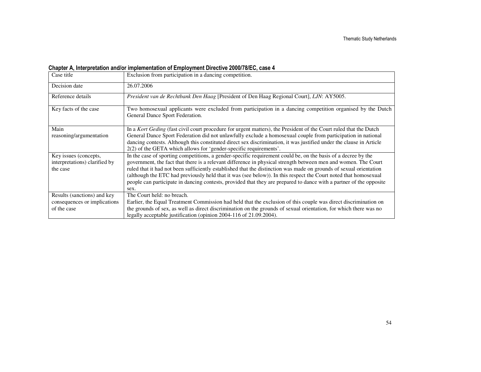| Case title                                                                 | Exclusion from participation in a dancing competition.                                                                                                                                                                                                                                                                                                                                                                                                                                                                                                                                                  |
|----------------------------------------------------------------------------|---------------------------------------------------------------------------------------------------------------------------------------------------------------------------------------------------------------------------------------------------------------------------------------------------------------------------------------------------------------------------------------------------------------------------------------------------------------------------------------------------------------------------------------------------------------------------------------------------------|
| Decision date                                                              | 26.07.2006                                                                                                                                                                                                                                                                                                                                                                                                                                                                                                                                                                                              |
| Reference details                                                          | President van de Rechtbank Den Haag [President of Den Haag Regional Court], LJN: AY5005.                                                                                                                                                                                                                                                                                                                                                                                                                                                                                                                |
| Key facts of the case                                                      | Two homosexual applicants were excluded from participation in a dancing competition organised by the Dutch<br>General Dance Sport Federation.                                                                                                                                                                                                                                                                                                                                                                                                                                                           |
| Main<br>reasoning/argumentation                                            | In a Kort Geding (fast civil court procedure for urgent matters), the President of the Court ruled that the Dutch<br>General Dance Sport Federation did not unlawfully exclude a homosexual couple from participation in national<br>dancing contests. Although this constituted direct sex discrimination, it was justified under the clause in Article<br>$2(2)$ of the GETA which allows for 'gender-specific requirements'.                                                                                                                                                                         |
| Key issues (concepts,<br>interpretations) clarified by<br>the case         | In the case of sporting competitions, a gender-specific requirement could be, on the basis of a decree by the<br>government, the fact that there is a relevant difference in physical strength between men and women. The Court<br>ruled that it had not been sufficiently established that the distinction was made on grounds of sexual orientation<br>(although the ETC had previously held that it was (see below)). In this respect the Court noted that homosexual<br>people can participate in dancing contests, provided that they are prepared to dance with a partner of the opposite<br>sex. |
| Results (sanctions) and key<br>consequences or implications<br>of the case | The Court held: no breach.<br>Earlier, the Equal Treatment Commission had held that the exclusion of this couple was direct discrimination on<br>the grounds of sex, as well as direct discrimination on the grounds of sexual orientation, for which there was no<br>legally acceptable justification (opinion 2004-116 of 21.09.2004).                                                                                                                                                                                                                                                                |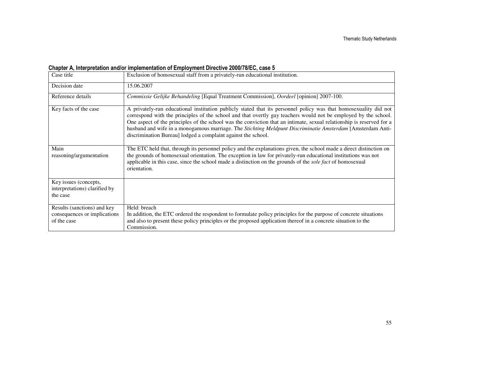| Case title                                                                 | Exclusion of homosexual staff from a privately-run educational institution.                                                                                                                                                                                                                                                                                                                                                                                                                                                                 |
|----------------------------------------------------------------------------|---------------------------------------------------------------------------------------------------------------------------------------------------------------------------------------------------------------------------------------------------------------------------------------------------------------------------------------------------------------------------------------------------------------------------------------------------------------------------------------------------------------------------------------------|
| Decision date                                                              | 15.06.2007                                                                                                                                                                                                                                                                                                                                                                                                                                                                                                                                  |
| Reference details                                                          | Commissie Gelijke Behandeling [Equal Treatment Commission], Oordeel [opinion] 2007-100.                                                                                                                                                                                                                                                                                                                                                                                                                                                     |
| Key facts of the case                                                      | A privately-run educational institution publicly stated that its personnel policy was that homosexuality did not<br>correspond with the principles of the school and that overtly gay teachers would not be employed by the school.<br>One aspect of the principles of the school was the conviction that an intimate, sexual relationship is reserved for a<br>husband and wife in a monogamous marriage. The Stichting Meldpunt Discriminatie Amsterdam [Amsterdam Anti-<br>discrimination Bureau] lodged a complaint against the school. |
| Main<br>reasoning/argumentation                                            | The ETC held that, through its personnel policy and the explanations given, the school made a direct distinction on<br>the grounds of homosexual orientation. The exception in law for privately-run educational institutions was not<br>applicable in this case, since the school made a distinction on the grounds of the <i>sole fact</i> of homosexual<br>orientation.                                                                                                                                                                  |
| Key issues (concepts,<br>interpretations) clarified by<br>the case         |                                                                                                                                                                                                                                                                                                                                                                                                                                                                                                                                             |
| Results (sanctions) and key<br>consequences or implications<br>of the case | Held: breach<br>In addition, the ETC ordered the respondent to formulate policy principles for the purpose of concrete situations<br>and also to present these policy principles or the proposed application thereof in a concrete situation to the<br>Commission.                                                                                                                                                                                                                                                                          |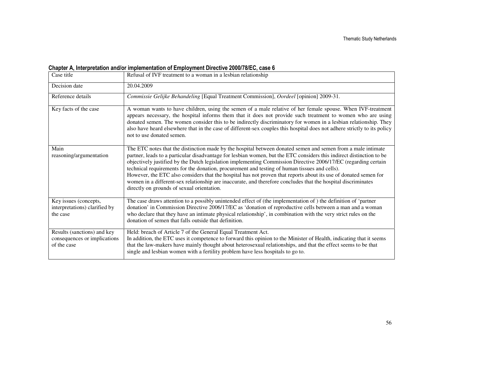| Case title                                                                 | Refusal of IVF treatment to a woman in a lesbian relationship                                                                                                                                                                                                                                                                                                                                                                                                                                                                                                                                                                                                                                                                              |
|----------------------------------------------------------------------------|--------------------------------------------------------------------------------------------------------------------------------------------------------------------------------------------------------------------------------------------------------------------------------------------------------------------------------------------------------------------------------------------------------------------------------------------------------------------------------------------------------------------------------------------------------------------------------------------------------------------------------------------------------------------------------------------------------------------------------------------|
| Decision date                                                              | 20.04.2009                                                                                                                                                                                                                                                                                                                                                                                                                                                                                                                                                                                                                                                                                                                                 |
| Reference details                                                          | Commissie Gelijke Behandeling [Equal Treatment Commission], Oordeel [opinion] 2009-31.                                                                                                                                                                                                                                                                                                                                                                                                                                                                                                                                                                                                                                                     |
| Key facts of the case                                                      | A woman wants to have children, using the semen of a male relative of her female spouse. When IVF-treatment<br>appears necessary, the hospital informs them that it does not provide such treatment to women who are using<br>donated semen. The women consider this to be indirectly discriminatory for women in a lesbian relationship. They<br>also have heard elsewhere that in the case of different-sex couples this hospital does not adhere strictly to its policy<br>not to use donated semen.                                                                                                                                                                                                                                    |
| Main<br>reasoning/argumentation                                            | The ETC notes that the distinction made by the hospital between donated semen and semen from a male intimate<br>partner, leads to a particular disadvantage for lesbian women, but the ETC considers this indirect distinction to be<br>objectively justified by the Dutch legislation implementing Commission Directive 2006/17/EC (regarding certain<br>technical requirements for the donation, procurement and testing of human tissues and cells).<br>However, the ETC also considers that the hospital has not proven that reports about its use of donated semen for<br>women in a different-sex relationship are inaccurate, and therefore concludes that the hospital discriminates<br>directly on grounds of sexual orientation. |
| Key issues (concepts,<br>interpretations) clarified by<br>the case         | The case draws attention to a possibly unintended effect of (the implementation of ) the definition of 'partner<br>donation' in Commission Directive 2006/17/EC as 'donation of reproductive cells between a man and a woman<br>who declare that they have an intimate physical relationship', in combination with the very strict rules on the<br>donation of semen that falls outside that definition.                                                                                                                                                                                                                                                                                                                                   |
| Results (sanctions) and key<br>consequences or implications<br>of the case | Held: breach of Article 7 of the General Equal Treatment Act.<br>In addition, the ETC uses it competence to forward this opinion to the Minister of Health, indicating that it seems<br>that the law-makers have mainly thought about heterosexual relationships, and that the effect seems to be that<br>single and lesbian women with a fertility problem have less hospitals to go to.                                                                                                                                                                                                                                                                                                                                                  |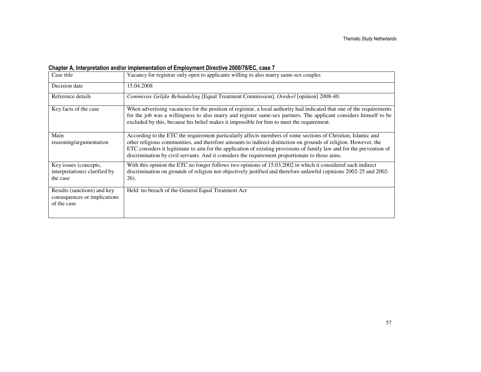| Case title                                                                 | Vacancy for registrar only open to applicants willing to also marry same-sex couples                                                                                                                                                                                                                                                                                                                                                                        |
|----------------------------------------------------------------------------|-------------------------------------------------------------------------------------------------------------------------------------------------------------------------------------------------------------------------------------------------------------------------------------------------------------------------------------------------------------------------------------------------------------------------------------------------------------|
| Decision date                                                              | 15.04.2008                                                                                                                                                                                                                                                                                                                                                                                                                                                  |
| Reference details                                                          | Commissie Gelijke Behandeling [Equal Treatment Commission], Oordeel [opinion] 2008-40.                                                                                                                                                                                                                                                                                                                                                                      |
| Key facts of the case                                                      | When advertising vacancies for the position of registrar, a local authority had indicated that one of the requirements<br>for the job was a willingness to also marry and register same-sex partners. The applicant considers himself to be<br>excluded by this, because his belief makes it impossible for him to meet the requirement.                                                                                                                    |
| Main<br>reasoning/argumentation                                            | According to the ETC the requirement particularly affects members of some sections of Christian, Islamic and<br>other religious communities, and therefore amounts to indirect distinction on grounds of religion. However, the<br>ETC considers it legitimate to aim for the application of existing provisions of family law and for the prevention of<br>discrimination by civil servants. And it considers the requirement proportionate to those aims. |
| Key issues (concepts,<br>interpretations) clarified by<br>the case         | With this opinion the ETC no longer follows two opinions of 15.03.2002 in which it considered such indirect<br>discrimination on grounds of religion not objectively justified and therefore unlawful (opinions 2002-25 and 2002-<br>$26$ ).                                                                                                                                                                                                                |
| Results (sanctions) and key<br>consequences or implications<br>of the case | Held: no breach of the General Equal Treatment Act                                                                                                                                                                                                                                                                                                                                                                                                          |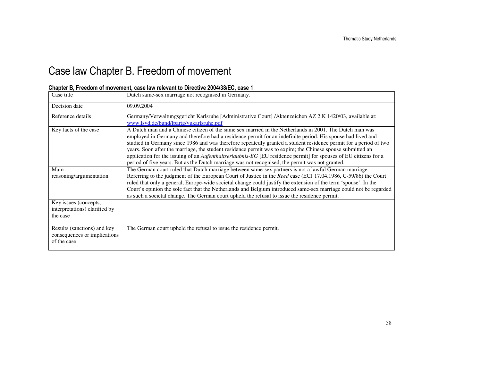## Case law Chapter B. Freedom of movement

| Chapter B, Freedom of movement, case law relevant to Directive 2004/38/EC, case 1 |  |  |  |  |
|-----------------------------------------------------------------------------------|--|--|--|--|
|-----------------------------------------------------------------------------------|--|--|--|--|

| Case title                                                                 | Dutch same-sex marriage not recognised in Germany.                                                                                                                                                                                                                                                                                                                                                                                                                                                                                                                                                                                                                                |
|----------------------------------------------------------------------------|-----------------------------------------------------------------------------------------------------------------------------------------------------------------------------------------------------------------------------------------------------------------------------------------------------------------------------------------------------------------------------------------------------------------------------------------------------------------------------------------------------------------------------------------------------------------------------------------------------------------------------------------------------------------------------------|
| Decision date                                                              | 09.09.2004                                                                                                                                                                                                                                                                                                                                                                                                                                                                                                                                                                                                                                                                        |
| Reference details                                                          | Germany/Verwaltungsgericht Karlsruhe [Administrative Court] /Aktenzeichen AZ 2 K 1420/03, available at:<br>www.lsvd.de/bund/lpartg/vgkarlsruhe.pdf                                                                                                                                                                                                                                                                                                                                                                                                                                                                                                                                |
| Key facts of the case                                                      | A Dutch man and a Chinese citizen of the same sex married in the Netherlands in 2001. The Dutch man was<br>employed in Germany and therefore had a residence permit for an indefinite period. His spouse had lived and<br>studied in Germany since 1986 and was therefore repeatedly granted a student residence permit for a period of two<br>years. Soon after the marriage, the student residence permit was to expire; the Chinese spouse submitted an<br>application for the issuing of an Aufenthaltserlaubnis-EG [EU residence permit] for spouses of EU citizens for a<br>period of five years. But as the Dutch marriage was not recognised, the permit was not granted. |
| Main<br>reasoning/argumentation                                            | The German court ruled that Dutch marriage between same-sex partners is not a lawful German marriage.<br>Referring to the judgment of the European Court of Justice in the Reed case (ECJ 17.04.1986, C-59/86) the Court<br>ruled that only a general, Europe-wide societal change could justify the extension of the term 'spouse'. In the<br>Court's opinion the sole fact that the Netherlands and Belgium introduced same-sex marriage could not be regarded<br>as such a societal change. The German court upheld the refusal to issue the residence permit.                                                                                                                 |
| Key issues (concepts,<br>interpretations) clarified by<br>the case         |                                                                                                                                                                                                                                                                                                                                                                                                                                                                                                                                                                                                                                                                                   |
| Results (sanctions) and key<br>consequences or implications<br>of the case | The German court upheld the refusal to issue the residence permit.                                                                                                                                                                                                                                                                                                                                                                                                                                                                                                                                                                                                                |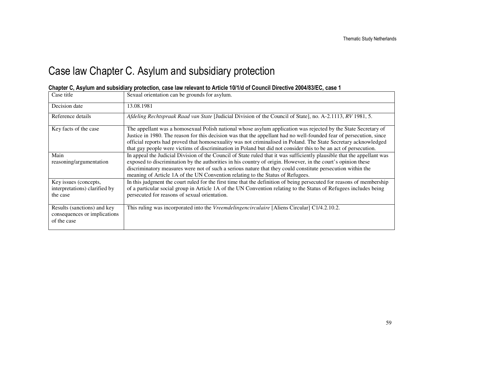## Case law Chapter C. Asylum and subsidiary protection

| Case title                                                                 | Sexual orientation can be grounds for asylum.                                                                                                                                                                                                                                                                                                                                                                                                                               |
|----------------------------------------------------------------------------|-----------------------------------------------------------------------------------------------------------------------------------------------------------------------------------------------------------------------------------------------------------------------------------------------------------------------------------------------------------------------------------------------------------------------------------------------------------------------------|
| Decision date                                                              | 13.08.1981                                                                                                                                                                                                                                                                                                                                                                                                                                                                  |
| Reference details                                                          | Afdeling Rechtspraak Raad van State [Judicial Division of the Council of State], no. A-2.1113, RV 1981, 5.                                                                                                                                                                                                                                                                                                                                                                  |
| Key facts of the case                                                      | The appellant was a homosexual Polish national whose asylum application was rejected by the State Secretary of<br>Justice in 1980. The reason for this decision was that the appellant had no well-founded fear of persecution, since<br>official reports had proved that homosexuality was not criminalised in Poland. The State Secretary acknowledged<br>that gay people were victims of discrimination in Poland but did not consider this to be an act of persecution. |
| Main<br>reasoning/argumentation                                            | In appeal the Judicial Division of the Council of State ruled that it was sufficiently plausible that the appellant was<br>exposed to discrimination by the authorities in his country of origin. However, in the court's opinion these<br>discriminatory measures were not of such a serious nature that they could constitute persecution within the<br>meaning of Article 1A of the UN Convention relating to the Status of Refugees.                                    |
| Key issues (concepts,<br>interpretations) clarified by<br>the case         | In this judgment the court ruled for the first time that the definition of being persecuted for reasons of membership<br>of a particular social group in Article 1A of the UN Convention relating to the Status of Refugees includes being<br>persecuted for reasons of sexual orientation.                                                                                                                                                                                 |
| Results (sanctions) and key<br>consequences or implications<br>of the case | This ruling was incorporated into the Vreemdelingencirculaire [Aliens Circular] C1/4.2.10.2.                                                                                                                                                                                                                                                                                                                                                                                |

#### Chapter C, Asylum and subsidiary protection, case law relevant to Article 10/1/d of Council Directive 2004/83/EC, case 1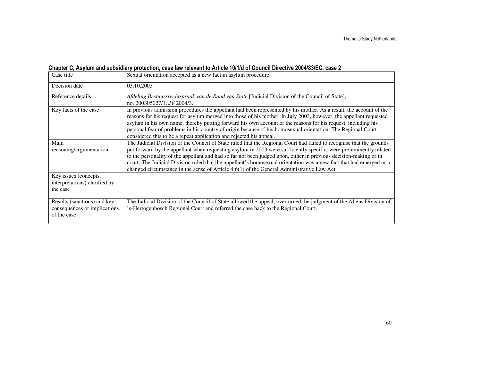#### Chapter C, Asylum and subsidiary protection, case law relevant to Article 10/1/d of Council Directive 2004/83/EC, case 2

| Case title                                                                 | Sexual orientation accepted as a new fact in asylum procedure.                                                                                                                                                                                                                                                                                                                                                                                                                                                                                                                         |
|----------------------------------------------------------------------------|----------------------------------------------------------------------------------------------------------------------------------------------------------------------------------------------------------------------------------------------------------------------------------------------------------------------------------------------------------------------------------------------------------------------------------------------------------------------------------------------------------------------------------------------------------------------------------------|
| Decision date                                                              | 03.10.2003                                                                                                                                                                                                                                                                                                                                                                                                                                                                                                                                                                             |
| Reference details                                                          | Afdeling Bestuursrechtspraak van de Raad van State [Judicial Division of the Council of State],<br>no. 200305027/1, JV 2004/3.                                                                                                                                                                                                                                                                                                                                                                                                                                                         |
| Key facts of the case                                                      | In previous admission procedures the appellant had been represented by his mother. As a result, the account of the<br>reasons for his request for asylum merged into those of his mother. In July 2003, however, the appellant requested<br>asylum in his own name, thereby putting forward his own account of the reasons for his request, including his<br>personal fear of problems in his country of origin because of his homosexual orientation. The Regional Court<br>considered this to be a repeat application and rejected his appeal.                                       |
| Main<br>reasoning/argumentation                                            | The Judicial Division of the Council of State ruled that the Regional Court had failed to recognise that the grounds<br>put forward by the appellant when requesting asylum in 2003 were sufficiently specific, were pre-eminently related<br>to the personality of the appellant and had so far not been judged upon, either in previous decision-making or in<br>court. The Judicial Division ruled that the appellant's homosexual orientation was a new fact that had emerged or a<br>changed circumstance in the sense of Article $4:6(1)$ of the General Administrative Law Act. |
| Key issues (concepts,<br>interpretations) clarified by<br>the case         |                                                                                                                                                                                                                                                                                                                                                                                                                                                                                                                                                                                        |
| Results (sanctions) and key<br>consequences or implications<br>of the case | The Judicial Division of the Council of State allowed the appeal, overturned the judgment of the Aliens Division of<br>'s-Hertogenbosch Regional Court and referred the case back to the Regional Court.                                                                                                                                                                                                                                                                                                                                                                               |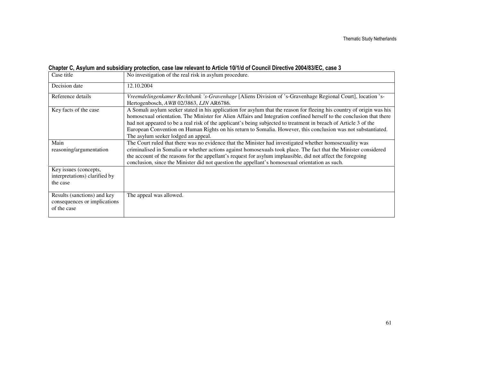#### Chapter C, Asylum and subsidiary protection, case law relevant to Article 10/1/d of Council Directive 2004/83/EC, case 3

| Case title                                                                 | No investigation of the real risk in asylum procedure.                                                                                                                                                                                                                                                                                                                                                                                                                                                                    |
|----------------------------------------------------------------------------|---------------------------------------------------------------------------------------------------------------------------------------------------------------------------------------------------------------------------------------------------------------------------------------------------------------------------------------------------------------------------------------------------------------------------------------------------------------------------------------------------------------------------|
| Decision date                                                              | 12.10.2004                                                                                                                                                                                                                                                                                                                                                                                                                                                                                                                |
| Reference details                                                          | Vreemdelingenkamer Rechtbank 's-Gravenhage [Aliens Division of 's-Gravenhage Regional Court], location 's-<br>Hertogenbosch, AWB 02/3863, LJN AR6786.                                                                                                                                                                                                                                                                                                                                                                     |
| Key facts of the case                                                      | A Somali asylum seeker stated in his application for asylum that the reason for fleeing his country of origin was his<br>homosexual orientation. The Minister for Alien Affairs and Integration confined herself to the conclusion that there<br>had not appeared to be a real risk of the applicant's being subjected to treatment in breach of Article 3 of the<br>European Convention on Human Rights on his return to Somalia. However, this conclusion was not substantiated.<br>The asylum seeker lodged an appeal. |
| Main<br>reasoning/argumentation                                            | The Court ruled that there was no evidence that the Minister had investigated whether homosexuality was<br>criminalised in Somalia or whether actions against homosexuals took place. The fact that the Minister considered<br>the account of the reasons for the appellant's request for asylum implausible, did not affect the foregoing<br>conclusion, since the Minister did not question the appellant's homosexual orientation as such.                                                                             |
| Key issues (concepts,<br>interpretations) clarified by<br>the case         |                                                                                                                                                                                                                                                                                                                                                                                                                                                                                                                           |
| Results (sanctions) and key<br>consequences or implications<br>of the case | The appeal was allowed.                                                                                                                                                                                                                                                                                                                                                                                                                                                                                                   |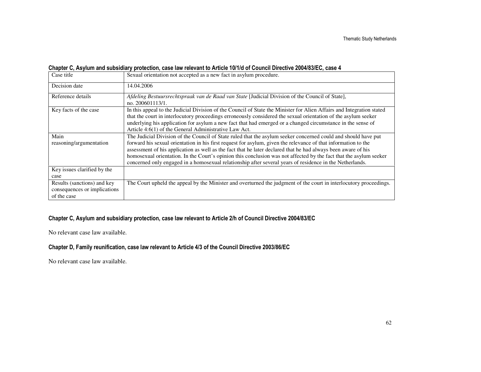#### Chapter C, Asylum and subsidiary protection, case law relevant to Article 10/1/d of Council Directive 2004/83/EC, case 4

| Case title                                                                 | Sexual orientation not accepted as a new fact in asylum procedure.                                                                                                                                                                                                                                                                                                                                                                                                                                                                                                                  |
|----------------------------------------------------------------------------|-------------------------------------------------------------------------------------------------------------------------------------------------------------------------------------------------------------------------------------------------------------------------------------------------------------------------------------------------------------------------------------------------------------------------------------------------------------------------------------------------------------------------------------------------------------------------------------|
| Decision date                                                              | 14.04.2006                                                                                                                                                                                                                                                                                                                                                                                                                                                                                                                                                                          |
| Reference details                                                          | Afdeling Bestuursrechtspraak van de Raad van State [Judicial Division of the Council of State],<br>no. 200601113/1.                                                                                                                                                                                                                                                                                                                                                                                                                                                                 |
| Key facts of the case                                                      | In this appeal to the Judicial Division of the Council of State the Minister for Alien Affairs and Integration stated<br>that the court in interlocutory proceedings erroneously considered the sexual orientation of the asylum seeker<br>underlying his application for asylum a new fact that had emerged or a changed circumstance in the sense of<br>Article 4:6(1) of the General Administrative Law Act.                                                                                                                                                                     |
| Main<br>reasoning/argumentation                                            | The Judicial Division of the Council of State ruled that the asylum seeker concerned could and should have put<br>forward his sexual orientation in his first request for asylum, given the relevance of that information to the<br>assessment of his application as well as the fact that he later declared that he had always been aware of his<br>homosexual orientation. In the Court's opinion this conclusion was not affected by the fact that the asylum seeker<br>concerned only engaged in a homosexual relationship after several years of residence in the Netherlands. |
| Key issues clarified by the<br>case                                        |                                                                                                                                                                                                                                                                                                                                                                                                                                                                                                                                                                                     |
| Results (sanctions) and key<br>consequences or implications<br>of the case | The Court upheld the appeal by the Minister and overturned the judgment of the court in interlocutory proceedings.                                                                                                                                                                                                                                                                                                                                                                                                                                                                  |

#### Chapter C, Asylum and subsidiary protection, case law relevant to Article 2/h of Council Directive 2004/83/EC

No relevant case law available.

#### Chapter D, Family reunification, case law relevant to Article 4/3 of the Council Directive 2003/86/EC

No relevant case law available.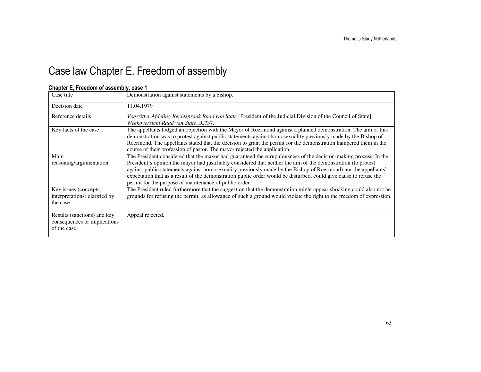## Case law Chapter E. Freedom of assembly

#### Chapter E, Freedom of assembly, case 1

| Case title                                                                 | Demonstration against statements by a bishop.                                                                                                                                                                                                                                                                                                                                                                                                                                                                                       |
|----------------------------------------------------------------------------|-------------------------------------------------------------------------------------------------------------------------------------------------------------------------------------------------------------------------------------------------------------------------------------------------------------------------------------------------------------------------------------------------------------------------------------------------------------------------------------------------------------------------------------|
| Decision date                                                              | 11.04.1979                                                                                                                                                                                                                                                                                                                                                                                                                                                                                                                          |
| Reference details                                                          | Voorzitter Afdeling Rechtspraak Raad van State [President of the Judicial Division of the Council of State]<br>Weekoverzicht Raad van State, R.737.                                                                                                                                                                                                                                                                                                                                                                                 |
| Key facts of the case                                                      | The appellants lodged an objection with the Mayor of Roermond against a planned demonstration. The aim of this<br>demonstration was to protest against public statements against homosexuality previously made by the Bishop of<br>Roermond. The appellants stated that the decision to grant the permit for the demonstration hampered them in the<br>course of their profession of pastor. The mayor rejected the application.                                                                                                    |
| Main<br>reasoning/argumentation                                            | The President considered that the mayor had guaranteed the scrupulousness of the decision-making process. In the<br>President's opinion the mayor had justifiably considered that neither the aim of the demonstration (to protest<br>against public statements against homosexuality previously made by the Bishop of Roermond) nor the appellants'<br>expectation that as a result of the demonstration public order would be disturbed, could give cause to refuse the<br>permit for the purpose of maintenance of public order. |
| Key issues (concepts,<br>interpretations) clarified by<br>the case         | The President ruled furthermore that the suggestion that the demonstration might appear shocking could also not be<br>grounds for refusing the permit, as allowance of such a ground would violate the right to the freedom of expression.                                                                                                                                                                                                                                                                                          |
| Results (sanctions) and key<br>consequences or implications<br>of the case | Appeal rejected.                                                                                                                                                                                                                                                                                                                                                                                                                                                                                                                    |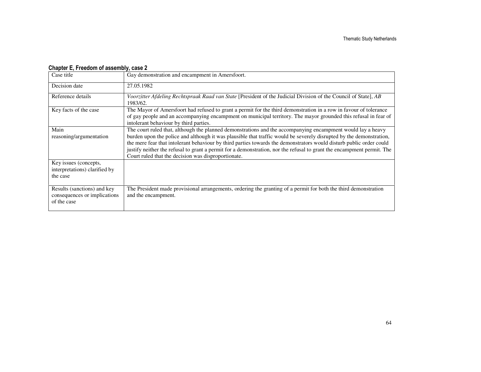#### Chapter E, Freedom of assembly, case 2

| Case title                                                                 | Gay demonstration and encampment in Amersfoort.                                                                                                                                                                                                                                                                                                                                                                                                                                                                                            |
|----------------------------------------------------------------------------|--------------------------------------------------------------------------------------------------------------------------------------------------------------------------------------------------------------------------------------------------------------------------------------------------------------------------------------------------------------------------------------------------------------------------------------------------------------------------------------------------------------------------------------------|
| Decision date                                                              | 27.05.1982                                                                                                                                                                                                                                                                                                                                                                                                                                                                                                                                 |
| Reference details                                                          | Voorzitter Afdeling Rechtspraak Raad van State [President of the Judicial Division of the Council of State], AB<br>1983/62.                                                                                                                                                                                                                                                                                                                                                                                                                |
| Key facts of the case                                                      | The Mayor of Amersfoort had refused to grant a permit for the third demonstration in a row in favour of tolerance<br>of gay people and an accompanying encampment on municipal territory. The mayor grounded this refusal in fear of<br>intolerant behaviour by third parties.                                                                                                                                                                                                                                                             |
| Main<br>reasoning/argumentation                                            | The court ruled that, although the planned demonstrations and the accompanying encampment would lay a heavy<br>burden upon the police and although it was plausible that traffic would be severely disrupted by the demonstration,<br>the mere fear that intolerant behaviour by third parties towards the demonstrators would disturb public order could<br>justify neither the refusal to grant a permit for a demonstration, nor the refusal to grant the encampment permit. The<br>Court ruled that the decision was disproportionate. |
| Key issues (concepts,<br>interpretations) clarified by<br>the case         |                                                                                                                                                                                                                                                                                                                                                                                                                                                                                                                                            |
| Results (sanctions) and key<br>consequences or implications<br>of the case | The President made provisional arrangements, ordering the granting of a permit for both the third demonstration<br>and the encampment.                                                                                                                                                                                                                                                                                                                                                                                                     |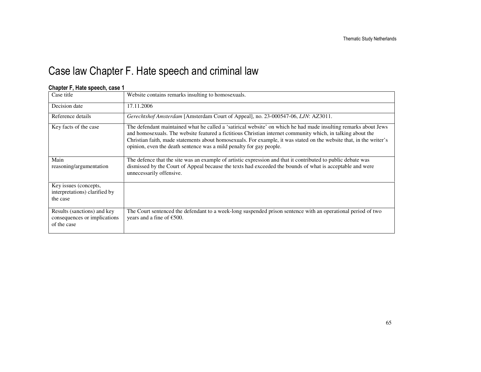## Case law Chapter F. Hate speech and criminal law

| Case title                                                                 | Website contains remarks insulting to homosexuals.                                                                                                                                                                                                                                                                                                                                                                           |
|----------------------------------------------------------------------------|------------------------------------------------------------------------------------------------------------------------------------------------------------------------------------------------------------------------------------------------------------------------------------------------------------------------------------------------------------------------------------------------------------------------------|
| Decision date                                                              | 17.11.2006                                                                                                                                                                                                                                                                                                                                                                                                                   |
| Reference details                                                          | Gerechtshof Amsterdam [Amsterdam Court of Appeal], no. 23-000547-06, LJN: AZ3011.                                                                                                                                                                                                                                                                                                                                            |
| Key facts of the case                                                      | The defendant maintained what he called a 'satirical website' on which he had made insulting remarks about Jews<br>and homosexuals. The website featured a fictitious Christian internet community which, in talking about the<br>Christian faith, made statements about homosexuals. For example, it was stated on the website that, in the writer's<br>opinion, even the death sentence was a mild penalty for gay people. |
| Main<br>reasoning/argumentation                                            | The defence that the site was an example of artistic expression and that it contributed to public debate was<br>dismissed by the Court of Appeal because the texts had exceeded the bounds of what is acceptable and were<br>unnecessarily offensive.                                                                                                                                                                        |
| Key issues (concepts,<br>interpretations) clarified by<br>the case         |                                                                                                                                                                                                                                                                                                                                                                                                                              |
| Results (sanctions) and key<br>consequences or implications<br>of the case | The Court sentenced the defendant to a week-long suspended prison sentence with an operational period of two<br>years and a fine of $\epsilon$ 500.                                                                                                                                                                                                                                                                          |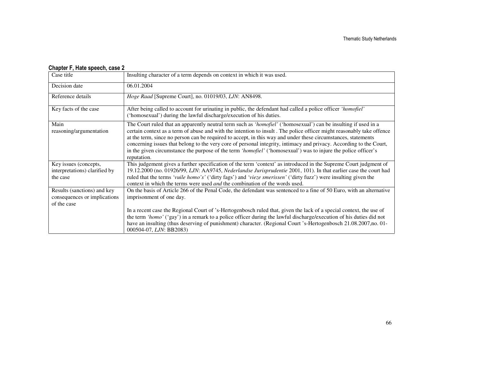| Case title                                                                 | Insulting character of a term depends on context in which it was used.                                                                                                                                                                                                                                                                                                                                                                                                                                                                                                                                            |
|----------------------------------------------------------------------------|-------------------------------------------------------------------------------------------------------------------------------------------------------------------------------------------------------------------------------------------------------------------------------------------------------------------------------------------------------------------------------------------------------------------------------------------------------------------------------------------------------------------------------------------------------------------------------------------------------------------|
| Decision date                                                              | 06.01.2004                                                                                                                                                                                                                                                                                                                                                                                                                                                                                                                                                                                                        |
| Reference details                                                          | <i>Hoge Raad</i> [Supreme Court], no. 01019/03, LJN: AN8498.                                                                                                                                                                                                                                                                                                                                                                                                                                                                                                                                                      |
| Key facts of the case                                                      | After being called to account for urinating in public, the defendant had called a police officer 'homofiel'<br>('homosexual') during the lawful discharge/execution of his duties.                                                                                                                                                                                                                                                                                                                                                                                                                                |
| Main<br>reasoning/argumentation                                            | The Court ruled that an apparently neutral term such as 'homofiel' ('homosexual') can be insulting if used in a<br>certain context as a term of abuse and with the intention to insult. The police officer might reasonably take offence<br>at the term, since no person can be required to accept, in this way and under these circumstances, statements<br>concerning issues that belong to the very core of personal integrity, intimacy and privacy. According to the Court,<br>in the given circumstance the purpose of the term 'homofiel' ('homosexual') was to injure the police officer's<br>reputation. |
| Key issues (concepts,<br>interpretations) clarified by<br>the case         | This judgement gives a further specification of the term 'context' as introduced in the Supreme Court judgment of<br>19.12.2000 (no. 01926/99, LJN: AA9745, Nederlandse Jurisprudentie 2001, 101). In that earlier case the court had<br>ruled that the terms 'vuile homo's' ('dirty fags') and 'vieze smerissen' ('dirty fuzz') were insulting given the<br>context in which the terms were used <i>and</i> the combination of the words used.                                                                                                                                                                   |
| Results (sanctions) and key<br>consequences or implications<br>of the case | On the basis of Article 266 of the Penal Code, the defendant was sentenced to a fine of 50 Euro, with an alternative<br>imprisonment of one day.<br>In a recent case the Regional Court of 's-Hertogenbosch ruled that, given the lack of a special context, the use of<br>the term 'homo' ('gay') in a remark to a police officer during the lawful discharge/execution of his duties did not<br>have an insulting (thus deserving of punishment) character. (Regional Court 's-Hertogenbosch 21.08.2007,no. 01-<br>000504-07, LJN: BB2083)                                                                      |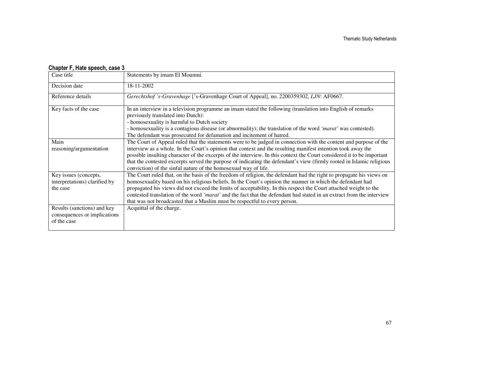| Case title                                                                 | Statements by imam El Moumni.                                                                                                                                                                                                                                                                                                                                                                                                                                                                                                                                  |
|----------------------------------------------------------------------------|----------------------------------------------------------------------------------------------------------------------------------------------------------------------------------------------------------------------------------------------------------------------------------------------------------------------------------------------------------------------------------------------------------------------------------------------------------------------------------------------------------------------------------------------------------------|
| Decision date                                                              | 18-11-2002                                                                                                                                                                                                                                                                                                                                                                                                                                                                                                                                                     |
| Reference details                                                          | Gerechtshof 's-Gravenhage ['s-Gravenhage Court of Appeal], no. 2200359302, LJN: AF0667.                                                                                                                                                                                                                                                                                                                                                                                                                                                                        |
| Key facts of the case                                                      | In an interview in a television programme an imam stated the following (translation into English of remarks<br>previously translated into Dutch):<br>- homosexuality is harmful to Dutch society<br>- homosexuality is a contagious disease (or abnormality); the translation of the word 'marat' was contested).<br>The defendant was prosecuted for defamation and incitement of hatred.                                                                                                                                                                     |
| Main<br>reasoning/argumentation                                            | The Court of Appeal ruled that the statements were to be judged in connection with the content and purpose of the<br>interview as a whole. In the Court's opinion that context and the resulting manifest intention took away the<br>possible insulting character of the excerpts of the interview. In this context the Court considered it to be important<br>that the contested excerpts served the purpose of indicating the defendant's view (firmly rooted in Islamic religious<br>conviction) of the sinful nature of the homosexual way of life.        |
| Key issues (concepts,<br>interpretations) clarified by<br>the case         | The Court ruled that, on the basis of the freedom of religion, the defendant had the right to propagate his views on<br>homosexuality based on his religious beliefs. In the Court's opinion the manner in which the defendant had<br>propagated his views did not exceed the limits of acceptability. In this respect the Court attached weight to the<br>contested translation of the word 'marat' and the fact that the defendant had stated in an extract from the interview<br>that was not broadcasted that a Muslim must be respectful to every person. |
| Results (sanctions) and key<br>consequences or implications<br>of the case | Acquittal of the charge.                                                                                                                                                                                                                                                                                                                                                                                                                                                                                                                                       |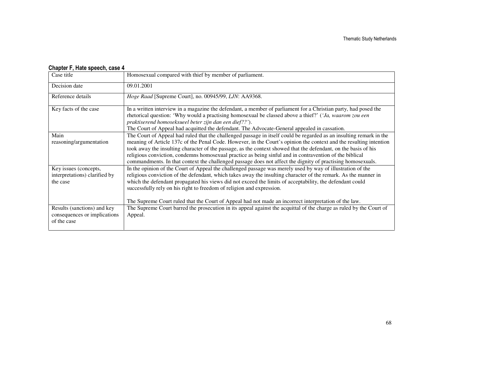| Case title                                                                 | Homosexual compared with thief by member of parliament.                                                                                                                                                                                                                                                                                                                                                                                                                                                                                                                                |
|----------------------------------------------------------------------------|----------------------------------------------------------------------------------------------------------------------------------------------------------------------------------------------------------------------------------------------------------------------------------------------------------------------------------------------------------------------------------------------------------------------------------------------------------------------------------------------------------------------------------------------------------------------------------------|
| Decision date                                                              | 09.01.2001                                                                                                                                                                                                                                                                                                                                                                                                                                                                                                                                                                             |
| Reference details                                                          | Hoge Raad [Supreme Court], no. 00945/99, LJN: AA9368.                                                                                                                                                                                                                                                                                                                                                                                                                                                                                                                                  |
| Key facts of the case                                                      | In a written interview in a magazine the defendant, a member of parliament for a Christian party, had posed the<br>rhetorical question: 'Why would a practising homosexual be classed above a thief?' ('Ja, waarom zou een<br>praktiserend homoseksueel beter zijn dan een dief??').<br>The Court of Appeal had acquitted the defendant. The Advocate-General appealed in cassation.                                                                                                                                                                                                   |
| Main<br>reasoning/argumentation                                            | The Court of Appeal had ruled that the challenged passage in itself could be regarded as an insulting remark in the<br>meaning of Article 137c of the Penal Code. However, in the Court's opinion the context and the resulting intention<br>took away the insulting character of the passage, as the context showed that the defendant, on the basis of his<br>religious conviction, condemns homosexual practice as being sinful and in contravention of the biblical<br>commandments. In that context the challenged passage does not affect the dignity of practising homosexuals. |
| Key issues (concepts,<br>interpretations) clarified by<br>the case         | In the opinion of the Court of Appeal the challenged passage was merely used by way of illustration of the<br>religious conviction of the defendant, which takes away the insulting character of the remark. As the manner in<br>which the defendant propagated his views did not exceed the limits of acceptability, the defendant could<br>successfully rely on his right to freedom of religion and expression.<br>The Supreme Court ruled that the Court of Appeal had not made an incorrect interpretation of the law.                                                            |
| Results (sanctions) and key<br>consequences or implications<br>of the case | The Supreme Court barred the prosecution in its appeal against the acquittal of the charge as ruled by the Court of<br>Appeal.                                                                                                                                                                                                                                                                                                                                                                                                                                                         |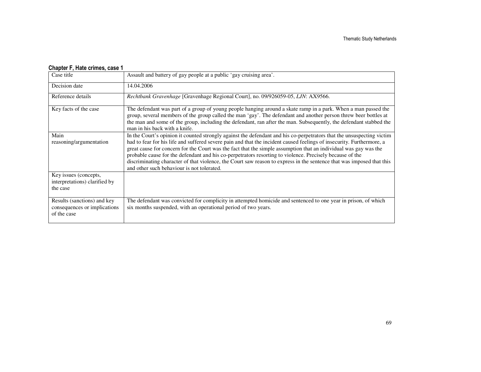#### Chapter F, Hate crimes, case 1

| Case title                                                                 | Assault and battery of gay people at a public 'gay cruising area'.                                                                                                                                                                                                                                                                                                                                                                                                                                                                                                                                                                                    |
|----------------------------------------------------------------------------|-------------------------------------------------------------------------------------------------------------------------------------------------------------------------------------------------------------------------------------------------------------------------------------------------------------------------------------------------------------------------------------------------------------------------------------------------------------------------------------------------------------------------------------------------------------------------------------------------------------------------------------------------------|
| Decision date                                                              | 14.04.2006                                                                                                                                                                                                                                                                                                                                                                                                                                                                                                                                                                                                                                            |
| Reference details                                                          | Rechtbank Gravenhage [Gravenhage Regional Court], no. 09/926059-05, LJN: AX9566.                                                                                                                                                                                                                                                                                                                                                                                                                                                                                                                                                                      |
| Key facts of the case                                                      | The defendant was part of a group of young people hanging around a skate ramp in a park. When a man passed the<br>group, several members of the group called the man 'gay'. The defendant and another person threw beer bottles at<br>the man and some of the group, including the defendant, ran after the man. Subsequently, the defendant stabbed the<br>man in his back with a knife.                                                                                                                                                                                                                                                             |
| Main<br>reasoning/argumentation                                            | In the Court's opinion it counted strongly against the defendant and his co-perpetrators that the unsuspecting victim<br>had to fear for his life and suffered severe pain and that the incident caused feelings of insecurity. Furthermore, a<br>great cause for concern for the Court was the fact that the simple assumption that an individual was gay was the<br>probable cause for the defendant and his co-perpetrators resorting to violence. Precisely because of the<br>discriminating character of that violence, the Court saw reason to express in the sentence that was imposed that this<br>and other such behaviour is not tolerated. |
| Key issues (concepts,<br>interpretations) clarified by<br>the case         |                                                                                                                                                                                                                                                                                                                                                                                                                                                                                                                                                                                                                                                       |
| Results (sanctions) and key<br>consequences or implications<br>of the case | The defendant was convicted for complicity in attempted homicide and sentenced to one year in prison, of which<br>six months suspended, with an operational period of two years.                                                                                                                                                                                                                                                                                                                                                                                                                                                                      |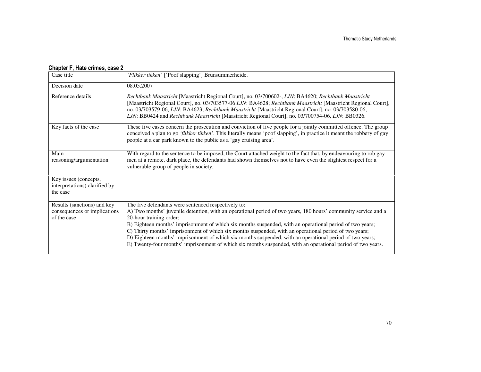#### Chapter F, Hate crimes, case 2

| Case title                                                                 | 'Flikker tikken' ['Poof slapping'] Brunsummerheide.                                                                                                                                                                                                                                                                                                                                                                                                                                                                                                                                                                                               |
|----------------------------------------------------------------------------|---------------------------------------------------------------------------------------------------------------------------------------------------------------------------------------------------------------------------------------------------------------------------------------------------------------------------------------------------------------------------------------------------------------------------------------------------------------------------------------------------------------------------------------------------------------------------------------------------------------------------------------------------|
| Decision date                                                              | 08.05.2007                                                                                                                                                                                                                                                                                                                                                                                                                                                                                                                                                                                                                                        |
| Reference details                                                          | Rechtbank Maastricht [Maastricht Regional Court], no. 03/700602-, LJN: BA4620; Rechtbank Maastricht<br>[Maastricht Regional Court], no. 03/703577-06 LJN: BA4628; Rechtbank Maastricht [Maastricht Regional Court],<br>no. 03/703579-06, LJN: BA4623; Rechtbank Maastricht [Maastricht Regional Court], no. 03/703580-06,<br>LJN: BB0424 and Rechtbank Maastricht [Maastricht Regional Court], no. 03/700754-06, LJN: BB0326.                                                                                                                                                                                                                     |
| Key facts of the case                                                      | These five cases concern the prosecution and conviction of five people for a jointly committed offence. The group<br>conceived a plan to go 'flikker tikken'. This literally means 'poof slapping', in practice it meant the robbery of gay<br>people at a car park known to the public as a 'gay cruising area'.                                                                                                                                                                                                                                                                                                                                 |
| Main<br>reasoning/argumentation                                            | With regard to the sentence to be imposed, the Court attached weight to the fact that, by endeavouring to rob gay<br>men at a remote, dark place, the defendants had shown themselves not to have even the slightest respect for a<br>vulnerable group of people in society.                                                                                                                                                                                                                                                                                                                                                                      |
| Key issues (concepts,<br>interpretations) clarified by<br>the case         |                                                                                                                                                                                                                                                                                                                                                                                                                                                                                                                                                                                                                                                   |
| Results (sanctions) and key<br>consequences or implications<br>of the case | The five defendants were sentenced respectively to:<br>A) Two months' juvenile detention, with an operational period of two years, 180 hours' community service and a<br>20-hour training order;<br>B) Eighteen months' imprisonment of which six months suspended, with an operational period of two years;<br>C) Thirty months' imprisonment of which six months suspended, with an operational period of two years;<br>D) Eighteen months' imprisonment of which six months suspended, with an operational period of two years;<br>E) Twenty-four months' imprisonment of which six months suspended, with an operational period of two years. |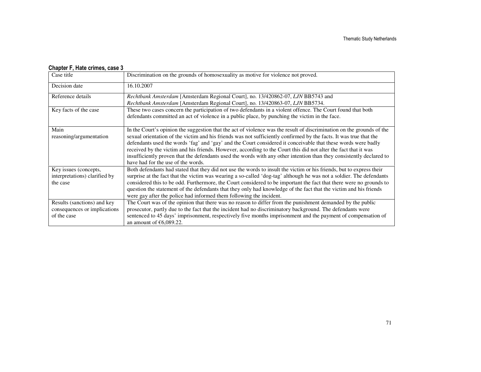#### Chapter F, Hate crimes, case 3

| Case title                                                                 | Discrimination on the grounds of homosexuality as motive for violence not proved.                                                                                                                                                                                                                                                                                                                                                                                                                                                                                                                                                             |
|----------------------------------------------------------------------------|-----------------------------------------------------------------------------------------------------------------------------------------------------------------------------------------------------------------------------------------------------------------------------------------------------------------------------------------------------------------------------------------------------------------------------------------------------------------------------------------------------------------------------------------------------------------------------------------------------------------------------------------------|
| Decision date                                                              | 16.10.2007                                                                                                                                                                                                                                                                                                                                                                                                                                                                                                                                                                                                                                    |
| Reference details                                                          | Rechtbank Amsterdam [Amsterdam Regional Court], no. 13/420862-07, LJN BB5743 and<br>Rechtbank Amsterdam [Amsterdam Regional Court], no. 13/420863-07, LJN BB5734.                                                                                                                                                                                                                                                                                                                                                                                                                                                                             |
| Key facts of the case                                                      | These two cases concern the participation of two defendants in a violent offence. The Court found that both<br>defendants committed an act of violence in a public place, by punching the victim in the face.                                                                                                                                                                                                                                                                                                                                                                                                                                 |
| Main<br>reasoning/argumentation                                            | In the Court's opinion the suggestion that the act of violence was the result of discrimination on the grounds of the<br>sexual orientation of the victim and his friends was not sufficiently confirmed by the facts. It was true that the<br>defendants used the words 'fag' and 'gay' and the Court considered it conceivable that these words were badly<br>received by the victim and his friends. However, according to the Court this did not alter the fact that it was<br>insufficiently proven that the defendants used the words with any other intention than they consistently declared to<br>have had for the use of the words. |
| Key issues (concepts,<br>interpretations) clarified by<br>the case         | Both defendants had stated that they did not use the words to insult the victim or his friends, but to express their<br>surprise at the fact that the victim was wearing a so-called 'dog-tag' although he was not a soldier. The defendants<br>considered this to be odd. Furthermore, the Court considered to be important the fact that there were no grounds to<br>question the statement of the defendants that they only had knowledge of the fact that the victim and his friends<br>were gay after the police had informed them following the incident.                                                                               |
| Results (sanctions) and key<br>consequences or implications<br>of the case | The Court was of the opinion that there was no reason to differ from the punishment demanded by the public<br>prosecutor, partly due to the fact that the incident had no discriminatory background. The defendants were<br>sentenced to 45 days' imprisonment, respectively five months imprisonment and the payment of compensation of<br>an amount of $€6,089.22$ .                                                                                                                                                                                                                                                                        |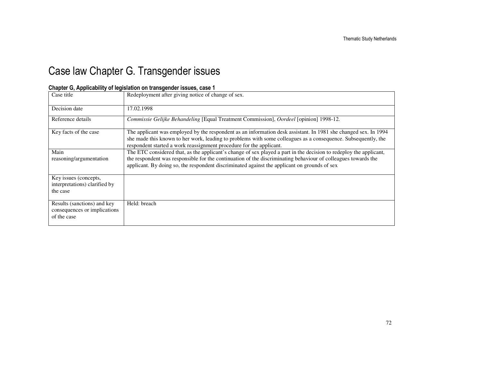## Case law Chapter G. Transgender issues

| Case title                                                                 | Redeployment after giving notice of change of sex.                                                                                                                                                                                                                                                                                  |
|----------------------------------------------------------------------------|-------------------------------------------------------------------------------------------------------------------------------------------------------------------------------------------------------------------------------------------------------------------------------------------------------------------------------------|
| Decision date                                                              | 17.02.1998                                                                                                                                                                                                                                                                                                                          |
| Reference details                                                          | Commissie Gelijke Behandeling [Equal Treatment Commission], Oordeel [opinion] 1998-12.                                                                                                                                                                                                                                              |
| Key facts of the case                                                      | The applicant was employed by the respondent as an information desk assistant. In 1981 she changed sex. In 1994<br>she made this known to her work, leading to problems with some colleagues as a consequence. Subsequently, the<br>respondent started a work reassignment procedure for the applicant.                             |
| Main<br>reasoning/argumentation                                            | The ETC considered that, as the applicant's change of sex played a part in the decision to redeploy the applicant,<br>the respondent was responsible for the continuation of the discriminating behaviour of colleagues towards the<br>applicant. By doing so, the respondent discriminated against the applicant on grounds of sex |
| Key issues (concepts,<br>interpretations) clarified by<br>the case         |                                                                                                                                                                                                                                                                                                                                     |
| Results (sanctions) and key<br>consequences or implications<br>of the case | Held: breach                                                                                                                                                                                                                                                                                                                        |

#### Chapter G, Applicability of legislation on transgender issues, case 1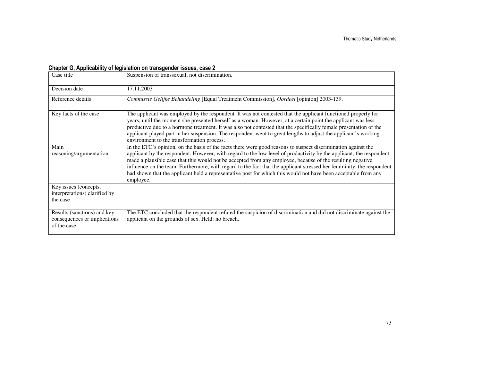| Case title                                                                 | Suspension of transsexual; not discrimination.                                                                                                                                                                                                                                                                                                                                                                                                                                                                                                                                                              |
|----------------------------------------------------------------------------|-------------------------------------------------------------------------------------------------------------------------------------------------------------------------------------------------------------------------------------------------------------------------------------------------------------------------------------------------------------------------------------------------------------------------------------------------------------------------------------------------------------------------------------------------------------------------------------------------------------|
| Decision date                                                              | 17.11.2003                                                                                                                                                                                                                                                                                                                                                                                                                                                                                                                                                                                                  |
| Reference details                                                          | Commissie Gelijke Behandeling [Equal Treatment Commission], Oordeel [opinion] 2003-139.                                                                                                                                                                                                                                                                                                                                                                                                                                                                                                                     |
| Key facts of the case                                                      | The applicant was employed by the respondent. It was not contested that the applicant functioned properly for<br>years, until the moment she presented herself as a woman. However, at a certain point the applicant was less<br>productive due to a hormone treatment. It was also not contested that the specifically female presentation of the<br>applicant played part in her suspension. The respondent went to great lengths to adjust the applicant's working<br>environment to the transformation process.                                                                                         |
| Main<br>reasoning/argumentation                                            | In the ETC's opinion, on the basis of the facts there were good reasons to suspect discrimination against the<br>applicant by the respondent. However, with regard to the low level of productivity by the applicant, the respondent<br>made a plausible case that this would not be accepted from any employee, because of the resulting negative<br>influence on the team. Furthermore, with regard to the fact that the applicant stressed her femininity, the respondent<br>had shown that the applicant held a representative post for which this would not have been acceptable from any<br>employee. |
| Key issues (concepts,<br>interpretations) clarified by<br>the case         |                                                                                                                                                                                                                                                                                                                                                                                                                                                                                                                                                                                                             |
| Results (sanctions) and key<br>consequences or implications<br>of the case | The ETC concluded that the respondent refuted the suspicion of discrimination and did not discriminate against the<br>applicant on the grounds of sex. Held: no breach.                                                                                                                                                                                                                                                                                                                                                                                                                                     |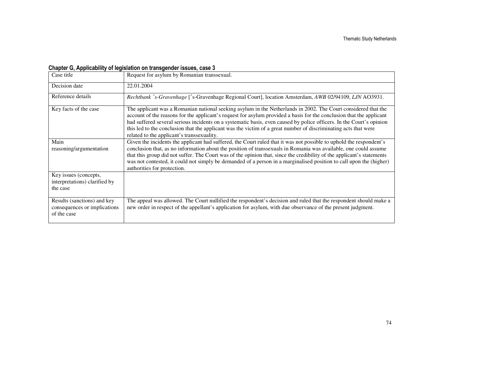| Case title                                                                 | Request for asylum by Romanian transsexual.                                                                                                                                                                                                                                                                                                                                                                                                                                                                                     |
|----------------------------------------------------------------------------|---------------------------------------------------------------------------------------------------------------------------------------------------------------------------------------------------------------------------------------------------------------------------------------------------------------------------------------------------------------------------------------------------------------------------------------------------------------------------------------------------------------------------------|
| Decision date                                                              | 22.01.2004                                                                                                                                                                                                                                                                                                                                                                                                                                                                                                                      |
| Reference details                                                          | Rechtbank 's-Gravenhage ['s-Gravenhage Regional Court], location Amsterdam, AWB 02/94109, LJN AO3931.                                                                                                                                                                                                                                                                                                                                                                                                                           |
| Key facts of the case                                                      | The applicant was a Romanian national seeking asylum in the Netherlands in 2002. The Court considered that the<br>account of the reasons for the applicant's request for asylum provided a basis for the conclusion that the applicant<br>had suffered several serious incidents on a systematic basis, even caused by police officers. In the Court's opinion<br>this led to the conclusion that the applicant was the victim of a great number of discriminating acts that were<br>related to the applicant's transsexuality. |
| Main<br>reasoning/argumentation                                            | Given the incidents the applicant had suffered, the Court ruled that it was not possible to uphold the respondent's<br>conclusion that, as no information about the position of transsexuals in Romania was available, one could assume<br>that this group did not suffer. The Court was of the opinion that, since the credibility of the applicant's statements<br>was not contested, it could not simply be demanded of a person in a marginalised position to call upon the (higher)<br>authorities for protection.         |
| Key issues (concepts,<br>interpretations) clarified by<br>the case         |                                                                                                                                                                                                                                                                                                                                                                                                                                                                                                                                 |
| Results (sanctions) and key<br>consequences or implications<br>of the case | The appeal was allowed. The Court nullified the respondent's decision and ruled that the respondent should make a<br>new order in respect of the appellant's application for asylum, with due observance of the present judgment.                                                                                                                                                                                                                                                                                               |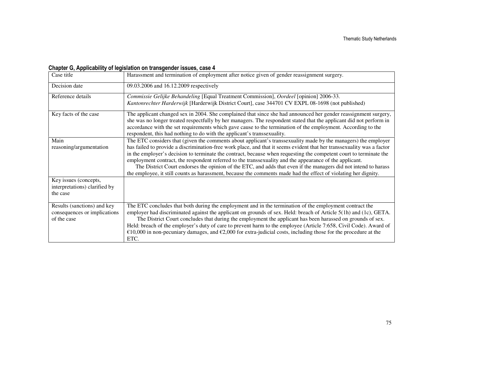| Case title                                                                 | Harassment and termination of employment after notice given of gender reassignment surgery.                                                                                                                                                                                                                                                                                                                                                                                                                                                                                                |
|----------------------------------------------------------------------------|--------------------------------------------------------------------------------------------------------------------------------------------------------------------------------------------------------------------------------------------------------------------------------------------------------------------------------------------------------------------------------------------------------------------------------------------------------------------------------------------------------------------------------------------------------------------------------------------|
| Decision date                                                              | 09.03.2006 and 16.12.2009 respectively                                                                                                                                                                                                                                                                                                                                                                                                                                                                                                                                                     |
| Reference details                                                          | Commissie Gelijke Behandeling [Equal Treatment Commission], Oordeel [opinion] 2006-33.<br>Kantonrechter Harderwijk [Harderwijk District Court], case 344701 CV EXPL 08-1698 (not published)                                                                                                                                                                                                                                                                                                                                                                                                |
| Key facts of the case                                                      | The applicant changed sex in 2004. She complained that since she had announced her gender reassignment surgery,<br>she was no longer treated respectfully by her managers. The respondent stated that the applicant did not perform in<br>accordance with the set requirements which gave cause to the termination of the employment. According to the<br>respondent, this had nothing to do with the applicant's transsexuality.                                                                                                                                                          |
| Main<br>reasoning/argumentation                                            | The ETC considers that (given the comments about applicant's transsexuality made by the managers) the employer<br>has failed to provide a discrimination-free work place, and that it seems evident that her transsexuality was a factor                                                                                                                                                                                                                                                                                                                                                   |
|                                                                            | in the employer's decision to terminate the contract, because when requesting the competent court to terminate the<br>employment contract, the respondent referred to the transsexuality and the appearance of the applicant.<br>The District Court endorses the opinion of the ETC, and adds that even if the managers did not intend to harass<br>the employee, it still counts as harassment, because the comments made had the effect of violating her dignity.                                                                                                                        |
| Key issues (concepts,<br>interpretations) clarified by<br>the case         |                                                                                                                                                                                                                                                                                                                                                                                                                                                                                                                                                                                            |
| Results (sanctions) and key<br>consequences or implications<br>of the case | The ETC concludes that both during the employment and in the termination of the employment contract the<br>employer had discriminated against the applicant on grounds of sex. Held: breach of Article 5(1h) and (1c), GETA.<br>The District Court concludes that during the employment the applicant has been harassed on grounds of sex.<br>Held: breach of the employer's duty of care to prevent harm to the employee (Article 7:658, Civil Code). Award of<br>€10,000 in non-pecuniary damages, and €2,000 for extra-judicial costs, including those for the procedure at the<br>ETC. |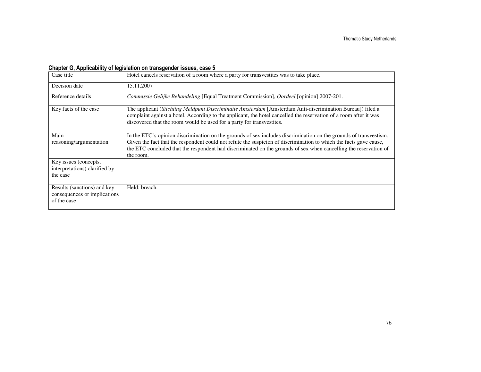| Case title                                                                 | Hotel cancels reservation of a room where a party for transvestites was to take place.                                                                                                                                                                                                                                                                                   |
|----------------------------------------------------------------------------|--------------------------------------------------------------------------------------------------------------------------------------------------------------------------------------------------------------------------------------------------------------------------------------------------------------------------------------------------------------------------|
| Decision date                                                              | 15.11.2007                                                                                                                                                                                                                                                                                                                                                               |
| Reference details                                                          | Commissie Gelijke Behandeling [Equal Treatment Commission], Oordeel [opinion] 2007-201.                                                                                                                                                                                                                                                                                  |
| Key facts of the case                                                      | The applicant (Stichting Meldpunt Discriminatie Amsterdam [Amsterdam Anti-discrimination Bureau]) filed a<br>complaint against a hotel. According to the applicant, the hotel cancelled the reservation of a room after it was<br>discovered that the room would be used for a party for transvestites.                                                                  |
| Main<br>reasoning/argumentation                                            | In the ETC's opinion discrimination on the grounds of sex includes discrimination on the grounds of transvestism.<br>Given the fact that the respondent could not refute the suspicion of discrimination to which the facts gave cause,<br>the ETC concluded that the respondent had discriminated on the grounds of sex when cancelling the reservation of<br>the room. |
| Key issues (concepts,<br>interpretations) clarified by<br>the case         |                                                                                                                                                                                                                                                                                                                                                                          |
| Results (sanctions) and key<br>consequences or implications<br>of the case | Held: breach.                                                                                                                                                                                                                                                                                                                                                            |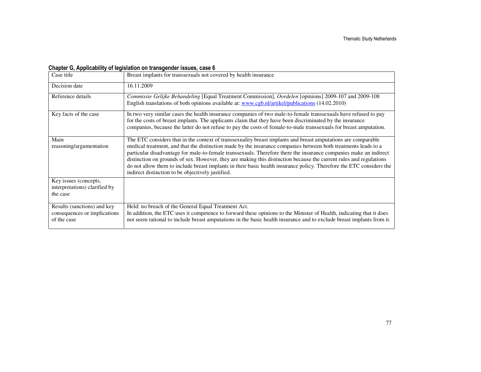| Case title                                                                 | Breast implants for transsexuals not covered by health insurance                                                                                                                                                                                                                                                                                                                                                                                                                                                                                                                                                                                        |
|----------------------------------------------------------------------------|---------------------------------------------------------------------------------------------------------------------------------------------------------------------------------------------------------------------------------------------------------------------------------------------------------------------------------------------------------------------------------------------------------------------------------------------------------------------------------------------------------------------------------------------------------------------------------------------------------------------------------------------------------|
| Decision date                                                              | 16.11.2009                                                                                                                                                                                                                                                                                                                                                                                                                                                                                                                                                                                                                                              |
| Reference details                                                          | Commissie Gelijke Behandeling [Equal Treatment Commission], Oordelen [opinions] 2009-107 and 2009-108<br>English translations of both opinions available at: www.cgb.nl/artikel/publications (14.02.2010)                                                                                                                                                                                                                                                                                                                                                                                                                                               |
| Key facts of the case                                                      | In two very similar cases the health insurance companies of two male-to-female transsexuals have refused to pay<br>for the costs of breast implants. The applicants claim that they have been discriminated by the insurance<br>companies, because the latter do not refuse to pay the costs of female-to-male transsexuals for breast amputation.                                                                                                                                                                                                                                                                                                      |
| Main<br>reasoning/argumentation                                            | The ETC considers that in the context of transsexuality breast implants and breast amputations are comparable<br>medical treatment, and that the distinction made by the insurance companies between both treatments leads to a<br>particular disadvantage for male-to-female transsexuals. Therefore there the insurance companies make an indirect<br>distinction on grounds of sex. However, they are making this distinction because the current rules and regulations<br>do not allow them to include breast implants in their basic health insurance policy. Therefore the ETC considers the<br>indirect distinction to be objectively justified. |
| Key issues (concepts,<br>interpretations) clarified by<br>the case         |                                                                                                                                                                                                                                                                                                                                                                                                                                                                                                                                                                                                                                                         |
| Results (sanctions) and key<br>consequences or implications<br>of the case | Held: no breach of the General Equal Treatment Act.<br>In addition, the ETC uses it competence to forward these opinions to the Minister of Health, indicating that it does<br>not seem rational to include breast amputations in the basic health insurance and to exclude breast implants from it.                                                                                                                                                                                                                                                                                                                                                    |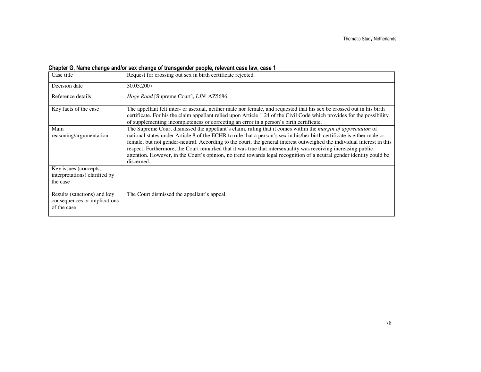# Chapter G, Name change and/or sex change of transgender people, relevant case law, case 1

| Case title                                                                 | Request for crossing out sex in birth certificate rejected.                                                                                                                                                                                                                                                                                                                                                                                                                                                                                                                                                                     |
|----------------------------------------------------------------------------|---------------------------------------------------------------------------------------------------------------------------------------------------------------------------------------------------------------------------------------------------------------------------------------------------------------------------------------------------------------------------------------------------------------------------------------------------------------------------------------------------------------------------------------------------------------------------------------------------------------------------------|
| Decision date                                                              | 30.03.2007                                                                                                                                                                                                                                                                                                                                                                                                                                                                                                                                                                                                                      |
| Reference details                                                          | Hoge Raad [Supreme Court], LJN: AZ5686.                                                                                                                                                                                                                                                                                                                                                                                                                                                                                                                                                                                         |
| Key facts of the case                                                      | The appellant felt inter- or asexual, neither male nor female, and requested that his sex be crossed out in his birth<br>certificate. For his the claim appellant relied upon Article 1:24 of the Civil Code which provides for the possibility<br>of supplementing incompleteness or correcting an error in a person's birth certificate.                                                                                                                                                                                                                                                                                      |
| Main<br>reasoning/argumentation                                            | The Supreme Court dismissed the appellant's claim, ruling that it comes within the <i>margin of appreciation</i> of<br>national states under Article 8 of the ECHR to rule that a person's sex in his/her birth certificate is either male or<br>female, but not gender-neutral. According to the court, the general interest outweighed the individual interest in this<br>respect. Furthermore, the Court remarked that it was true that intersexuality was receiving increasing public<br>attention. However, in the Court's opinion, no trend towards legal recognition of a neutral gender identity could be<br>discerned. |
| Key issues (concepts,<br>interpretations) clarified by<br>the case         |                                                                                                                                                                                                                                                                                                                                                                                                                                                                                                                                                                                                                                 |
| Results (sanctions) and key<br>consequences or implications<br>of the case | The Court dismissed the appellant's appeal.                                                                                                                                                                                                                                                                                                                                                                                                                                                                                                                                                                                     |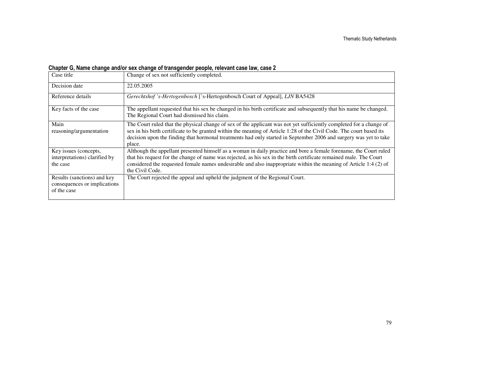# Chapter G, Name change and/or sex change of transgender people, relevant case law, case 2

| Case title                                                                 | Change of sex not sufficiently completed.                                                                                                                                                                                                                                                                                                                                       |
|----------------------------------------------------------------------------|---------------------------------------------------------------------------------------------------------------------------------------------------------------------------------------------------------------------------------------------------------------------------------------------------------------------------------------------------------------------------------|
| Decision date                                                              | 22.05.2005                                                                                                                                                                                                                                                                                                                                                                      |
| Reference details                                                          | Gerechtshof 's-Hertogenbosch ['s-Hertogenbosch Court of Appeal], LJN BA5428                                                                                                                                                                                                                                                                                                     |
| Key facts of the case                                                      | The appellant requested that his sex be changed in his birth certificate and subsequently that his name be changed.<br>The Regional Court had dismissed his claim.                                                                                                                                                                                                              |
| Main<br>reasoning/argumentation                                            | The Court ruled that the physical change of sex of the applicant was not yet sufficiently completed for a change of<br>sex in his birth certificate to be granted within the meaning of Article 1:28 of the Civil Code. The court based its<br>decision upon the finding that hormonal treatments had only started in September 2006 and surgery was yet to take<br>place.      |
| Key issues (concepts,<br>interpretations) clarified by<br>the case         | Although the appellant presented himself as a woman in daily practice and bore a female forename, the Court ruled<br>that his request for the change of name was rejected, as his sex in the birth certificate remained male. The Court<br>considered the requested female names undesirable and also inappropriate within the meaning of Article 1:4 (2) of<br>the Civil Code. |
| Results (sanctions) and key<br>consequences or implications<br>of the case | The Court rejected the appeal and upheld the judgment of the Regional Court.                                                                                                                                                                                                                                                                                                    |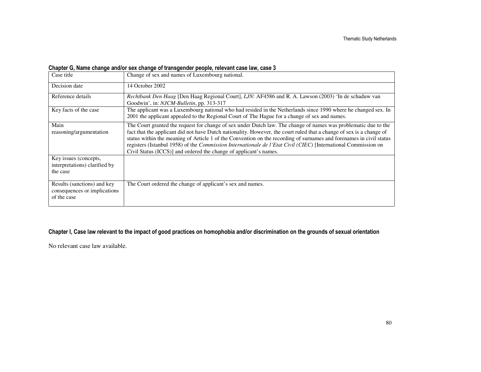# Chapter G, Name change and/or sex change of transgender people, relevant case law, case 3

| Case title                                                                 | Change of sex and names of Luxembourg national.                                                                                                                                                                                                                                                                                                                                                                                                                                                                                                       |
|----------------------------------------------------------------------------|-------------------------------------------------------------------------------------------------------------------------------------------------------------------------------------------------------------------------------------------------------------------------------------------------------------------------------------------------------------------------------------------------------------------------------------------------------------------------------------------------------------------------------------------------------|
| Decision date                                                              | 14 October 2002                                                                                                                                                                                                                                                                                                                                                                                                                                                                                                                                       |
| Reference details                                                          | Rechtbank Den Haag [Den Haag Regional Court], LJN: AF4586 and R. A. Lawson (2003) 'In de schaduw van<br>Goodwin', in: NJCM-Bulletin, pp. 313-317                                                                                                                                                                                                                                                                                                                                                                                                      |
| Key facts of the case                                                      | The applicant was a Luxembourg national who had resided in the Netherlands since 1990 where he changed sex. In<br>2001 the applicant appealed to the Regional Court of The Hague for a change of sex and names.                                                                                                                                                                                                                                                                                                                                       |
| Main<br>reasoning/argumentation                                            | The Court granted the request for change of sex under Dutch law. The change of names was problematic due to the<br>fact that the applicant did not have Dutch nationality. However, the court ruled that a change of sex is a change of<br>status within the meaning of Article 1 of the Convention on the recording of surnames and forenames in civil status<br>registers (Istanbul 1958) of the Commission Internationale de l'Etat Civil (CIEC) [International Commission on<br>Civil Status (ICCS)] and ordered the change of applicant's names. |
| Key issues (concepts,<br>interpretations) clarified by<br>the case         |                                                                                                                                                                                                                                                                                                                                                                                                                                                                                                                                                       |
| Results (sanctions) and key<br>consequences or implications<br>of the case | The Court ordered the change of applicant's sex and names.                                                                                                                                                                                                                                                                                                                                                                                                                                                                                            |

## Chapter I, Case law relevant to the impact of good practices on homophobia and/or discrimination on the grounds of sexual orientation

No relevant case law available.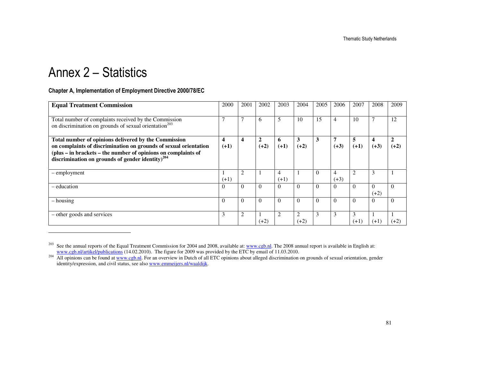# Annex 2 – Statistics

## Chapter A, Implementation of Employment Directive 2000/78/EC

| <b>Equal Treatment Commission</b>                                                                                                                                                                                                                         | 2000        | 2001                    | 2002                   | 2003        | 2004        | 2005     | 2006        | 2007        | 2008               | 2009                   |
|-----------------------------------------------------------------------------------------------------------------------------------------------------------------------------------------------------------------------------------------------------------|-------------|-------------------------|------------------------|-------------|-------------|----------|-------------|-------------|--------------------|------------------------|
| Total number of complaints received by the Commission<br>on discrimination on grounds of sexual orientation <sup>203</sup>                                                                                                                                | ⇁           | $\overline{7}$          | 6                      | 5           | 10          | 15       | 4           | 10          | ┑                  | 12                     |
| Total number of opinions delivered by the Commission<br>on complaints of discrimination on grounds of sexual orientation<br>(plus – in brackets – the number of opinions on complaints of<br>discrimination on grounds of gender identity) <sup>204</sup> | 4<br>$(+1)$ | $\overline{\mathbf{4}}$ | $\mathbf{2}$<br>$(+2)$ | 6<br>$(+1)$ | 3<br>$(+2)$ | 3        | 7<br>$(+3)$ | 5<br>$(+1)$ | 4<br>$(+3)$        | $\mathbf{2}$<br>$(+2)$ |
| - employment                                                                                                                                                                                                                                              | $(+1)$      | $\overline{2}$          |                        | 4<br>$(+1)$ |             | $\Omega$ | 4<br>$(+3)$ | 2           | 3                  |                        |
| – education                                                                                                                                                                                                                                               | $\Omega$    | $\Omega$                | $\theta$               | $\Omega$    | $\Omega$    | $\theta$ | $\Omega$    | $\Omega$    | $\theta$<br>$(+2)$ | $\Omega$               |
| – housing                                                                                                                                                                                                                                                 | $\Omega$    | $\Omega$                | $\theta$               | $\theta$    | $\Omega$    | $\theta$ | $\Omega$    | $\theta$    | $\theta$           | $\Omega$               |
| - other goods and services                                                                                                                                                                                                                                | 3           | $\overline{2}$          | $(+2)$                 | 2           | 2<br>$(+2)$ | 3        | 3           | 3<br>$(+1)$ | $(+1)$             | $(+2)$                 |

<sup>&</sup>lt;sup>203</sup> See the annual reports of the Equal Treatment Commission for 2004 and 2008, available at: <u>www.cgb.nl</u>. The 2008 annual report is available in English at:<br>
<u>www.cgb.nl/artikel/publications</u> (14.02.2010). The figure f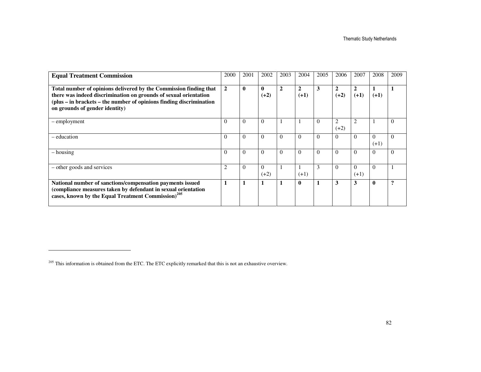| <b>Equal Treatment Commission</b>                                                                                                                                                                                                              | 2000           | 2001         | 2002                   | 2003           | 2004                     | 2005     | 2006                     | 2007               | 2008               | 2009                    |
|------------------------------------------------------------------------------------------------------------------------------------------------------------------------------------------------------------------------------------------------|----------------|--------------|------------------------|----------------|--------------------------|----------|--------------------------|--------------------|--------------------|-------------------------|
| Total number of opinions delivered by the Commission finding that<br>there was indeed discrimination on grounds of sexual orientation<br>(plus – in brackets – the number of opinions finding discrimination<br>on grounds of gender identity) | $\overline{2}$ | $\mathbf{0}$ | $\mathbf{0}$<br>$(+2)$ | $\overline{2}$ | $\overline{2}$<br>$(+1)$ | 3        | $\overline{2}$<br>$(+2)$ | 2<br>$(+1)$        | $(+1)$             |                         |
| - employment                                                                                                                                                                                                                                   | $\Omega$       | $\Omega$     | $\Omega$               |                |                          | $\Omega$ | $\overline{2}$<br>$(+2)$ | $\overline{2}$     |                    | $\Omega$                |
| – education                                                                                                                                                                                                                                    | $\Omega$       | $\Omega$     | $\Omega$               | $\Omega$       | $\Omega$                 | $\Omega$ | $\Omega$                 | $\Omega$           | $\Omega$<br>$(+1)$ | $\Omega$                |
| $-$ housing                                                                                                                                                                                                                                    | $\Omega$       | $\Omega$     | $\Omega$               | $\Omega$       | $\Omega$                 | $\Omega$ | $\Omega$                 | $\theta$           | $\Omega$           | $\Omega$                |
| - other goods and services                                                                                                                                                                                                                     |                | $\Omega$     | $\Omega$<br>$(+2)$     |                | $(+1)$                   | 3        | $\Omega$                 | $\Omega$<br>$(+1)$ | $\Omega$           |                         |
| National number of sanctions/compensation payments issued<br>(compliance measures taken by defendant in sexual orientation<br>cases, known by the Equal Treatment Commission) <sup>205</sup>                                                   |                |              |                        |                | $\mathbf 0$              | 1        | 3                        | 3                  | $\mathbf{0}$       | $\overline{\mathbf{?}}$ |

<sup>&</sup>lt;sup>205</sup> This information is obtained from the ETC. The ETC explicitly remarked that this is not an exhaustive overview.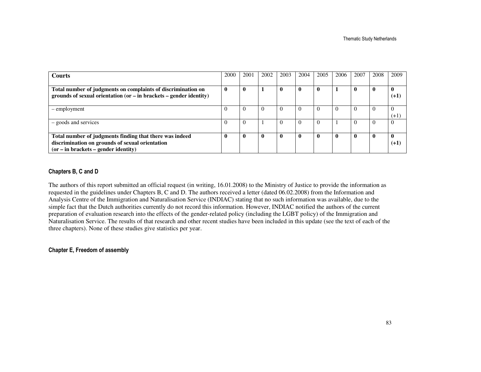| <b>Courts</b>                                                          | 2000 | 2001         | 2002        | 2003     | 2004         | 2005        | 2006         | 2007        | 2008         | 2009     |
|------------------------------------------------------------------------|------|--------------|-------------|----------|--------------|-------------|--------------|-------------|--------------|----------|
|                                                                        |      |              |             |          |              |             |              |             |              |          |
| Total number of judgments on complaints of discrimination on           |      | $\mathbf 0$  |             | 0        | 0            | 0           |              | $\bf{0}$    | $\bf{0}$     |          |
| grounds of sexual orientation (or $-$ in brackets $-$ gender identity) |      |              |             |          |              |             |              |             |              | $(+1)$   |
|                                                                        |      |              |             |          |              |             |              |             |              |          |
| - employment                                                           |      |              |             |          | $\Omega$     | (           |              | $\theta$    |              |          |
|                                                                        |      |              |             |          |              |             |              |             |              | $(+1)$   |
| - goods and services                                                   |      |              |             | $\Omega$ | $\Omega$     | $\Omega$    |              | $\Omega$    | $\theta$     | $\Omega$ |
|                                                                        |      |              |             |          |              |             |              |             |              |          |
| Total number of judgments finding that there was indeed                |      | $\mathbf{0}$ | $\mathbf 0$ | $\bf{0}$ | $\mathbf{0}$ | $\mathbf 0$ | $\mathbf{0}$ | $\mathbf 0$ | $\mathbf{0}$ |          |
| discrimination on grounds of sexual orientation                        |      |              |             |          |              |             |              |             |              | $(+1)$   |
| $(or - in brackets - gender identity)$                                 |      |              |             |          |              |             |              |             |              |          |

### Chapters B, C and D

The authors of this report submitted an official request (in writing, 16.01.2008) to the Ministry of Justice to provide the information as requested in the guidelines under Chapters B, C and D. The authors received a letter (dated 06.02.2008) from the Information and Analysis Centre of the Immigration and Naturalisation Service (INDIAC) stating that no such information was available, due to the simple fact that the Dutch authorities currently do not record this information. However, INDIAC notified the authors of the current preparation of evaluation research into the effects of the gender-related policy (including the LGBT policy) of the Immigration and Naturalisation Service. The results of that research and other recent studies have been included in this update (see the text of each of the three chapters). None of these studies give statistics per year.

#### Chapter E, Freedom of assembly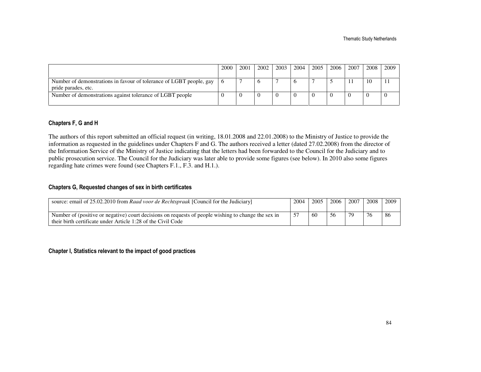|                                                                                            | 2000 | 2001 | 2002 | 2003 | 2004 | 2005 | 2006 | 2007 | 2008 | 2009 |
|--------------------------------------------------------------------------------------------|------|------|------|------|------|------|------|------|------|------|
|                                                                                            |      |      |      |      |      |      |      |      |      |      |
| Number of demonstrations in favour of tolerance of LGBT people, gay<br>pride parades, etc. |      |      |      |      |      |      |      |      | 10   |      |
| Number of demonstrations against tolerance of LGBT people                                  |      |      |      |      |      |      |      |      |      |      |

#### Chapters F, G and H

The authors of this report submitted an official request (in writing, 18.01.2008 and 22.01.2008) to the Ministry of Justice to provide the information as requested in the guidelines under Chapters F and G. The authors received a letter (dated 27.02.2008) from the director of the Information Service of the Ministry of Justice indicating that the letters had been forwarded to the Council for the Judiciary and to public prosecution service. The Council for the Judiciary was later able to provide some figures (see below). In 2010 also some figures regarding hate crimes were found (see Chapters F.1., F.3. and H.1.).

## Chapters G, Requested changes of sex in birth certificates

| source: email of 25.02.2010 from Raad voor de Rechtspraak [Council for the Judiciary]                                                                               | 2004 | 2005 | 2006 | 2007 | 2008 | 2009 |
|---------------------------------------------------------------------------------------------------------------------------------------------------------------------|------|------|------|------|------|------|
| Number of (positive or negative) court decisions on requests of people wishing to change the sex in<br>their birth certificate under Article 1:28 of the Civil Code |      | 60   | 56   | 79   | 76   | 86   |

### Chapter I, Statistics relevant to the impact of good practices